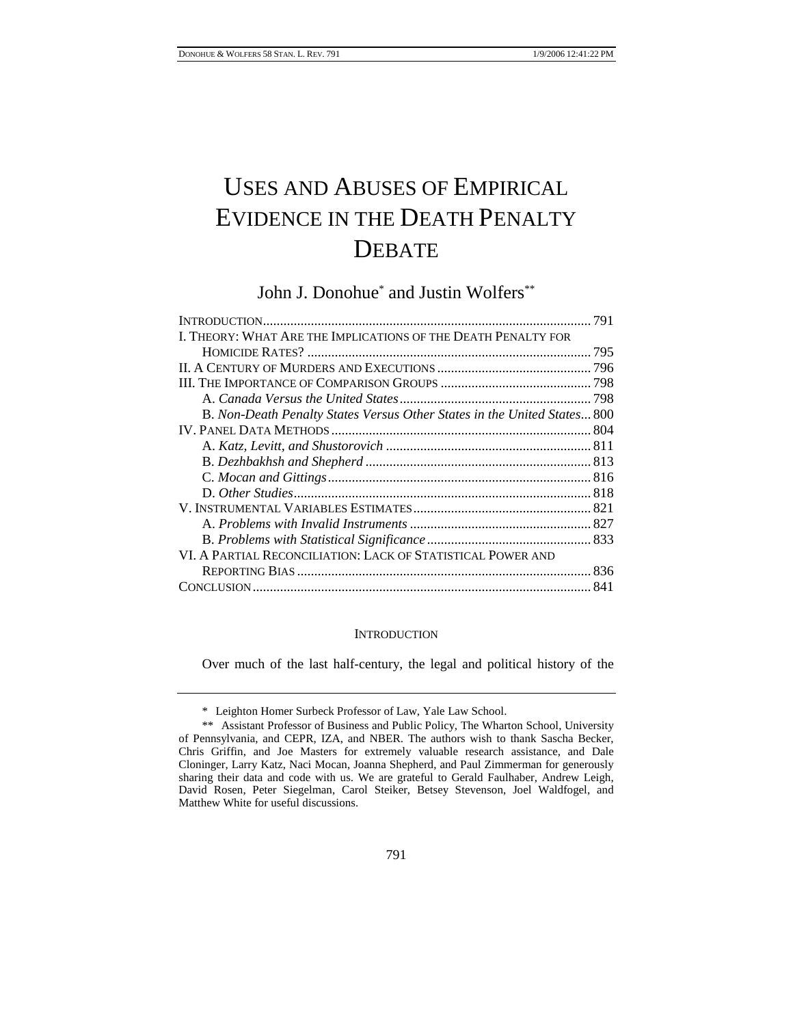# USES AND ABUSES OF EMPIRICAL EVIDENCE IN THE DEATH PENALTY **DEBATE**

John J. Donohue\* and Justin Wolfers\*\*

### **INTRODUCTION**

Over much of the last half-century, the legal and political history of the

<sup>\*</sup> Leighton Homer Surbeck Professor of Law, Yale Law School.

<sup>\*\*</sup> Assistant Professor of Business and Public Policy, The Wharton School, University of Pennsylvania, and CEPR, IZA, and NBER. The authors wish to thank Sascha Becker, Chris Griffin, and Joe Masters for extremely valuable research assistance, and Dale Cloninger, Larry Katz, Naci Mocan, Joanna Shepherd, and Paul Zimmerman for generously sharing their data and code with us. We are grateful to Gerald Faulhaber, Andrew Leigh, David Rosen, Peter Siegelman, Carol Steiker, Betsey Stevenson, Joel Waldfogel, and Matthew White for useful discussions.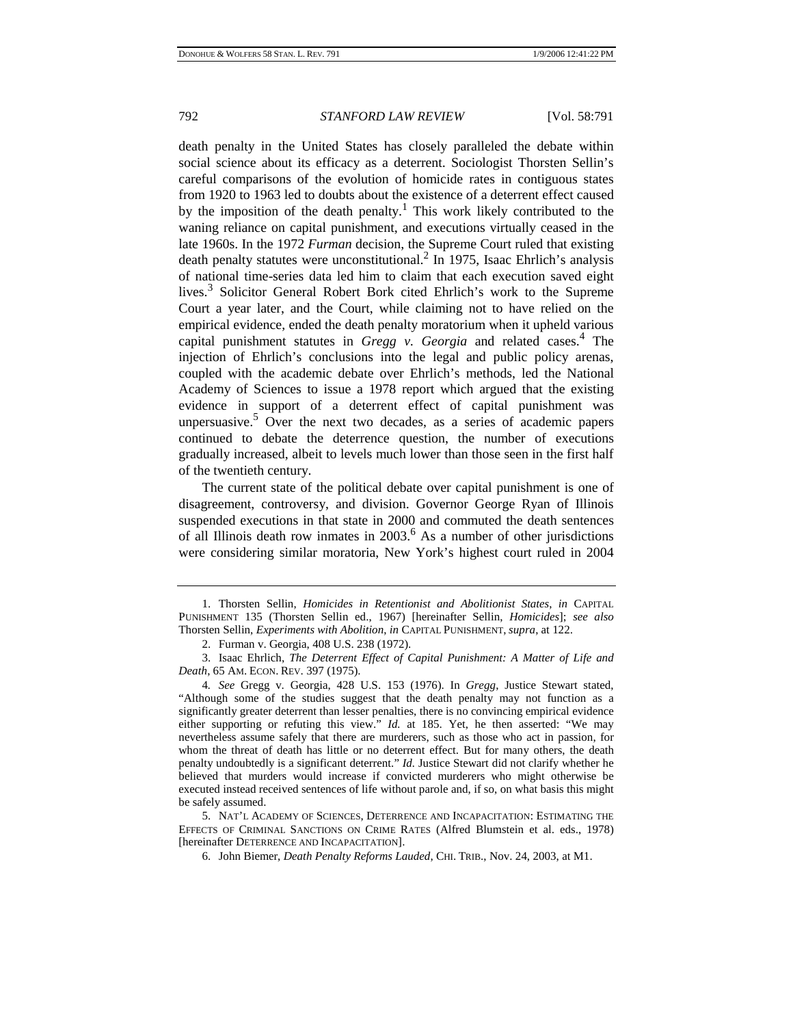death penalty in the United States has closely paralleled the debate within social science about its efficacy as a deterrent. Sociologist Thorsten Sellin's careful comparisons of the evolution of homicide rates in contiguous states from 1920 to 1963 led to doubts about the existence of a deterrent effect caused by the imposition of the death penalty.<sup>1</sup> This work likely contributed to the waning reliance on capital punishment, and executions virtually ceased in the late 1960s. In the 1972 *Furman* decision, the Supreme Court ruled that existing death penalty statutes were unconstitutional.<sup>2</sup> In 1975, Isaac Ehrlich's analysis of national time-series data led him to claim that each execution saved eight lives.<sup>3</sup> Solicitor General Robert Bork cited Ehrlich's work to the Supreme Court a year later, and the Court, while claiming not to have relied on the empirical evidence, ended the death penalty moratorium when it upheld various capital punishment statutes in *Gregg v. Georgia* and related cases.<sup>4</sup> The injection of Ehrlich's conclusions into the legal and public policy arenas, coupled with the academic debate over Ehrlich's methods, led the National Academy of Sciences to issue a 1978 report which argued that the existing evidence in support of a deterrent effect of capital punishment was unpersuasive.<sup>5</sup> Over the next two decades, as a series of academic papers continued to debate the deterrence question, the number of executions gradually increased, albeit to levels much lower than those seen in the first half of the twentieth century.

The current state of the political debate over capital punishment is one of disagreement, controversy, and division. Governor George Ryan of Illinois suspended executions in that state in 2000 and commuted the death sentences of all Illinois death row inmates in 2003.<sup>6</sup> As a number of other jurisdictions were considering similar moratoria, New York's highest court ruled in 2004

<sup>1.</sup> Thorsten Sellin, *Homicides in Retentionist and Abolitionist States*, *in* CAPITAL PUNISHMENT 135 (Thorsten Sellin ed., 1967) [hereinafter Sellin, *Homicides*]; *see also*  Thorsten Sellin, *Experiments with Abolition*, *in* CAPITAL PUNISHMENT, *supra*, at 122.

<sup>2.</sup> Furman v. Georgia, 408 U.S. 238 (1972).

<sup>3.</sup> Isaac Ehrlich, *The Deterrent Effect of Capital Punishment: A Matter of Life and Death*, 65 AM. ECON. REV. 397 (1975).

<sup>4</sup>*. See* Gregg v. Georgia, 428 U.S. 153 (1976). In *Gregg*, Justice Stewart stated, "Although some of the studies suggest that the death penalty may not function as a significantly greater deterrent than lesser penalties, there is no convincing empirical evidence either supporting or refuting this view." *Id.* at 185. Yet, he then asserted: "We may nevertheless assume safely that there are murderers, such as those who act in passion, for whom the threat of death has little or no deterrent effect. But for many others, the death penalty undoubtedly is a significant deterrent." *Id.* Justice Stewart did not clarify whether he believed that murders would increase if convicted murderers who might otherwise be executed instead received sentences of life without parole and, if so, on what basis this might be safely assumed.

<sup>5.</sup> NAT'L ACADEMY OF SCIENCES, DETERRENCE AND INCAPACITATION: ESTIMATING THE EFFECTS OF CRIMINAL SANCTIONS ON CRIME RATES (Alfred Blumstein et al. eds., 1978) [hereinafter DETERRENCE AND INCAPACITATION].

<sup>6.</sup> John Biemer, *Death Penalty Reforms Lauded*, CHI. TRIB., Nov. 24, 2003, at M1.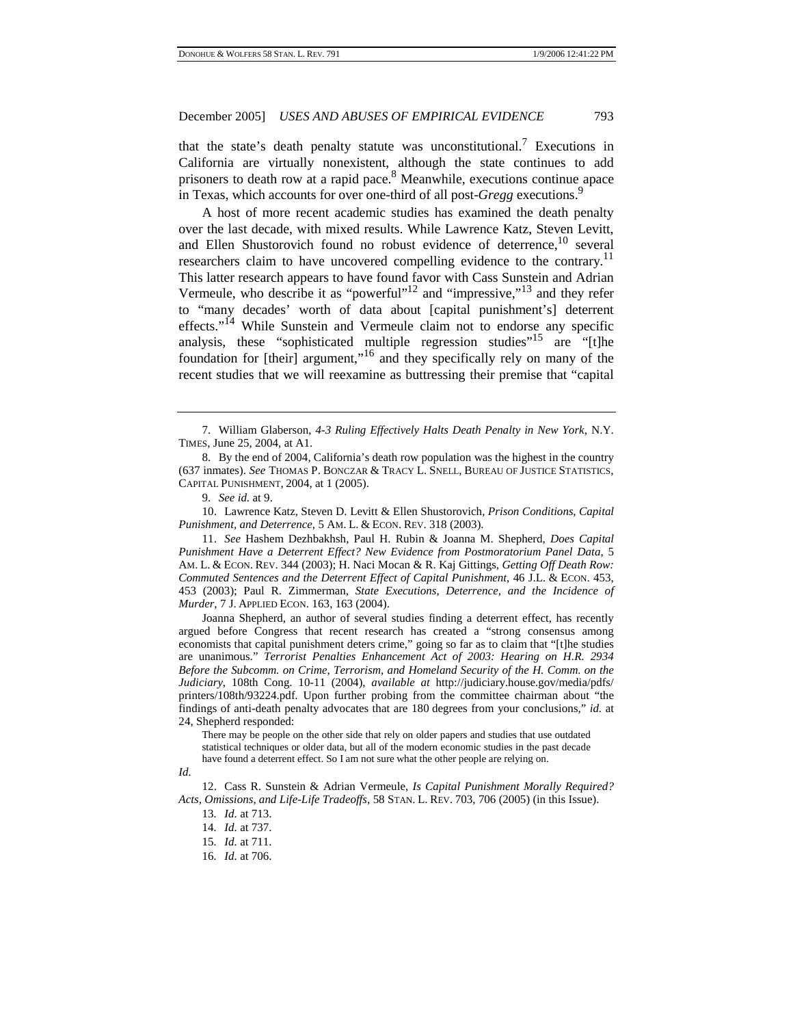that the state's death penalty statute was unconstitutional.<sup>7</sup> Executions in California are virtually nonexistent, although the state continues to add prisoners to death row at a rapid pace.<sup>8</sup> Meanwhile, executions continue apace in Texas, which accounts for over one-third of all post-*Gregg* executions.<sup>9</sup>

A host of more recent academic studies has examined the death penalty over the last decade, with mixed results. While Lawrence Katz, Steven Levitt, and Ellen Shustorovich found no robust evidence of deterrence,  $10$  several researchers claim to have uncovered compelling evidence to the contrary.<sup>11</sup> This latter research appears to have found favor with Cass Sunstein and Adrian Vermeule, who describe it as "powerful"<sup>12</sup> and "impressive,"<sup>13</sup> and they refer to "many decades' worth of data about [capital punishment's] deterrent effects."<sup>14</sup> While Sunstein and Vermeule claim not to endorse any specific analysis, these "sophisticated multiple regression studies"<sup>15</sup> are "[t]he foundation for [their] argument,"16 and they specifically rely on many of the recent studies that we will reexamine as buttressing their premise that "capital

10. Lawrence Katz, Steven D. Levitt & Ellen Shustorovich, *Prison Conditions, Capital Punishment, and Deterrence*, 5 AM. L. & ECON. REV. 318 (2003).

11. *See* Hashem Dezhbakhsh, Paul H. Rubin & Joanna M. Shepherd, *Does Capital Punishment Have a Deterrent Effect? New Evidence from Postmoratorium Panel Data*, 5 AM. L. & ECON. REV. 344 (2003); H. Naci Mocan & R. Kaj Gittings, *Getting Off Death Row: Commuted Sentences and the Deterrent Effect of Capital Punishment*, 46 J.L. & ECON. 453, 453 (2003); Paul R. Zimmerman, *State Executions, Deterrence, and the Incidence of Murder*, 7 J. APPLIED ECON. 163, 163 (2004).

Joanna Shepherd, an author of several studies finding a deterrent effect, has recently argued before Congress that recent research has created a "strong consensus among economists that capital punishment deters crime," going so far as to claim that "[t]he studies are unanimous." *Terrorist Penalties Enhancement Act of 2003: Hearing on H.R. 2934 Before the Subcomm. on Crime, Terrorism, and Homeland Security of the H. Comm. on the Judiciary*, 108th Cong. 10-11 (2004), *available at* http://judiciary.house.gov/media/pdfs/ printers/108th/93224.pdf. Upon further probing from the committee chairman about "the findings of anti-death penalty advocates that are 180 degrees from your conclusions," *id.* at 24, Shepherd responded:

There may be people on the other side that rely on older papers and studies that use outdated statistical techniques or older data, but all of the modern economic studies in the past decade have found a deterrent effect. So I am not sure what the other people are relying on.

12. Cass R. Sunstein & Adrian Vermeule, *Is Capital Punishment Morally Required? Acts, Omissions, and Life-Life Tradeoffs*, 58 STAN. L. REV. 703, 706 (2005) (in this Issue).

16*. Id.* at 706.

<sup>7.</sup> William Glaberson, *4-3 Ruling Effectively Halts Death Penalty in New York*, N.Y. TIMES, June 25, 2004, at A1.

<sup>8.</sup> By the end of 2004, California's death row population was the highest in the country (637 inmates). *See* THOMAS P. BONCZAR & TRACY L. SNELL, BUREAU OF JUSTICE STATISTICS, CAPITAL PUNISHMENT, 2004, at 1 (2005).

<sup>9.</sup> *See id.* at 9.

*Id.* 

<sup>13</sup>*. Id.* at 713.

<sup>14</sup>*. Id.* at 737.

<sup>15</sup>*. Id.* at 711.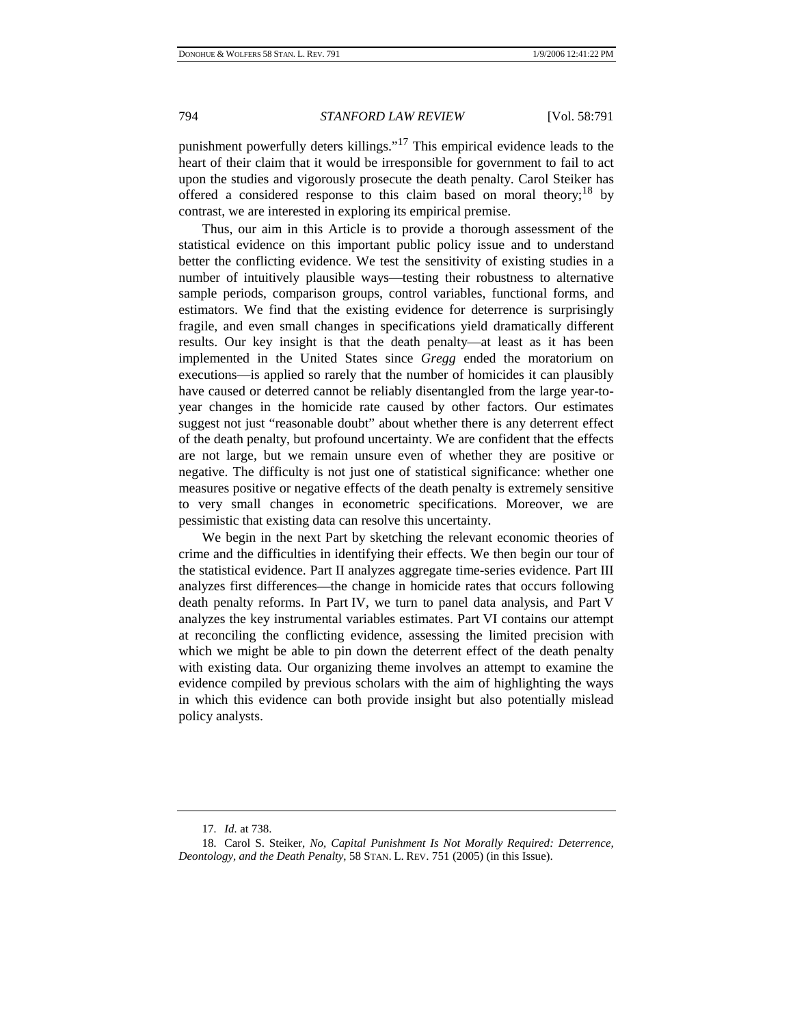punishment powerfully deters killings."17 This empirical evidence leads to the heart of their claim that it would be irresponsible for government to fail to act upon the studies and vigorously prosecute the death penalty. Carol Steiker has offered a considered response to this claim based on moral theory;<sup>18</sup> by contrast, we are interested in exploring its empirical premise.

Thus, our aim in this Article is to provide a thorough assessment of the statistical evidence on this important public policy issue and to understand better the conflicting evidence. We test the sensitivity of existing studies in a number of intuitively plausible ways—testing their robustness to alternative sample periods, comparison groups, control variables, functional forms, and estimators. We find that the existing evidence for deterrence is surprisingly fragile, and even small changes in specifications yield dramatically different results. Our key insight is that the death penalty—at least as it has been implemented in the United States since *Gregg* ended the moratorium on executions—is applied so rarely that the number of homicides it can plausibly have caused or deterred cannot be reliably disentangled from the large year-toyear changes in the homicide rate caused by other factors. Our estimates suggest not just "reasonable doubt" about whether there is any deterrent effect of the death penalty, but profound uncertainty. We are confident that the effects are not large, but we remain unsure even of whether they are positive or negative. The difficulty is not just one of statistical significance: whether one measures positive or negative effects of the death penalty is extremely sensitive to very small changes in econometric specifications. Moreover, we are pessimistic that existing data can resolve this uncertainty.

We begin in the next Part by sketching the relevant economic theories of crime and the difficulties in identifying their effects. We then begin our tour of the statistical evidence. Part II analyzes aggregate time-series evidence. Part III analyzes first differences—the change in homicide rates that occurs following death penalty reforms. In Part IV, we turn to panel data analysis, and Part V analyzes the key instrumental variables estimates. Part VI contains our attempt at reconciling the conflicting evidence, assessing the limited precision with which we might be able to pin down the deterrent effect of the death penalty with existing data. Our organizing theme involves an attempt to examine the evidence compiled by previous scholars with the aim of highlighting the ways in which this evidence can both provide insight but also potentially mislead policy analysts.

<sup>17</sup>*. Id.* at 738.

<sup>18</sup>*.* Carol S. Steiker, *No, Capital Punishment Is Not Morally Required: Deterrence, Deontology, and the Death Penalty*, 58 STAN. L. REV. 751 (2005) (in this Issue).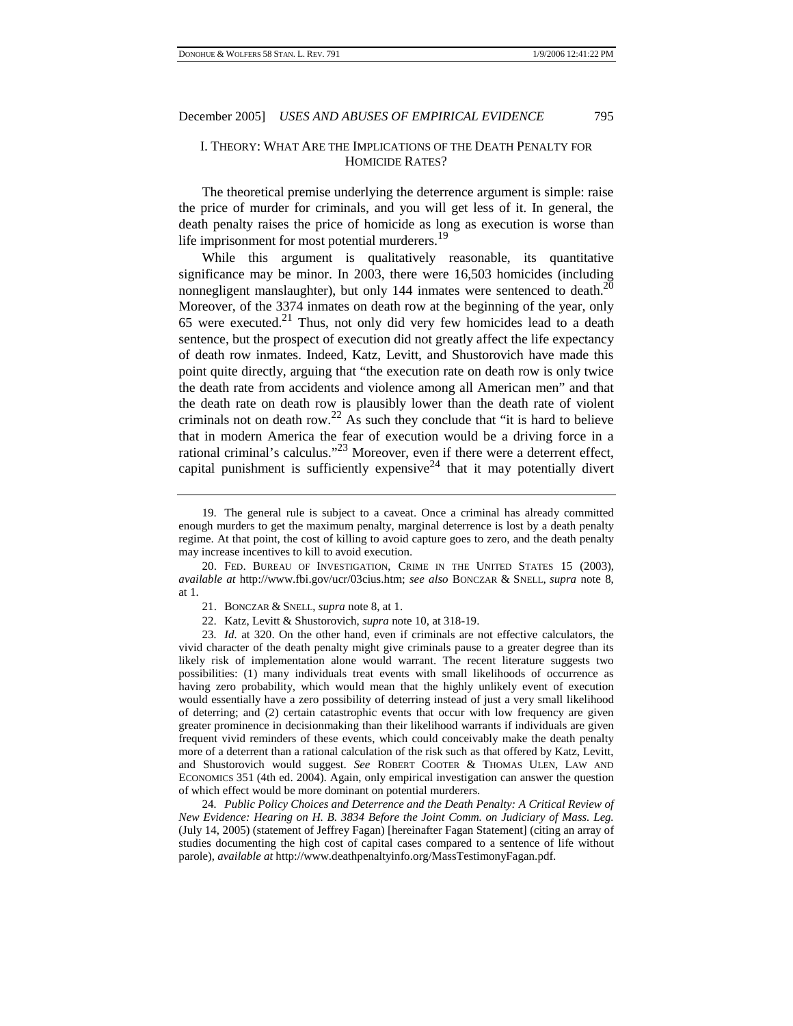### I. THEORY: WHAT ARE THE IMPLICATIONS OF THE DEATH PENALTY FOR HOMICIDE RATES?

The theoretical premise underlying the deterrence argument is simple: raise the price of murder for criminals, and you will get less of it. In general, the death penalty raises the price of homicide as long as execution is worse than life imprisonment for most potential murderers.<sup>19</sup>

While this argument is qualitatively reasonable, its quantitative significance may be minor. In 2003, there were 16,503 homicides (including nonnegligent manslaughter), but only 144 inmates were sentenced to death. $^{20}$ Moreover, of the 3374 inmates on death row at the beginning of the year, only 65 were executed. $21$  Thus, not only did very few homicides lead to a death sentence, but the prospect of execution did not greatly affect the life expectancy of death row inmates. Indeed, Katz, Levitt, and Shustorovich have made this point quite directly, arguing that "the execution rate on death row is only twice the death rate from accidents and violence among all American men" and that the death rate on death row is plausibly lower than the death rate of violent criminals not on death row.<sup>22</sup> As such they conclude that "it is hard to believe that in modern America the fear of execution would be a driving force in a rational criminal's calculus."23 Moreover, even if there were a deterrent effect, capital punishment is sufficiently expensive<sup>24</sup> that it may potentially divert

24*. Public Policy Choices and Deterrence and the Death Penalty: A Critical Review of New Evidence: Hearing on H. B. 3834 Before the Joint Comm. on Judiciary of Mass. Leg.*  (July 14, 2005) (statement of Jeffrey Fagan) [hereinafter Fagan Statement] (citing an array of studies documenting the high cost of capital cases compared to a sentence of life without parole), *available at* http://www.deathpenaltyinfo.org/MassTestimonyFagan.pdf.

<sup>19.</sup> The general rule is subject to a caveat. Once a criminal has already committed enough murders to get the maximum penalty, marginal deterrence is lost by a death penalty regime. At that point, the cost of killing to avoid capture goes to zero, and the death penalty may increase incentives to kill to avoid execution.

<sup>20.</sup> FED. BUREAU OF INVESTIGATION, CRIME IN THE UNITED STATES 15 (2003), *available at* http://www.fbi.gov/ucr/03cius.htm; *see also* BONCZAR & SNELL, *supra* note 8, at 1.

<sup>21.</sup> BONCZAR & SNELL, *supra* note 8, at 1.

<sup>22.</sup> Katz, Levitt & Shustorovich, *supra* note 10, at 318-19.

<sup>23</sup>*. Id.* at 320. On the other hand, even if criminals are not effective calculators, the vivid character of the death penalty might give criminals pause to a greater degree than its likely risk of implementation alone would warrant. The recent literature suggests two possibilities: (1) many individuals treat events with small likelihoods of occurrence as having zero probability, which would mean that the highly unlikely event of execution would essentially have a zero possibility of deterring instead of just a very small likelihood of deterring; and (2) certain catastrophic events that occur with low frequency are given greater prominence in decisionmaking than their likelihood warrants if individuals are given frequent vivid reminders of these events, which could conceivably make the death penalty more of a deterrent than a rational calculation of the risk such as that offered by Katz, Levitt, and Shustorovich would suggest. *See* ROBERT COOTER & THOMAS ULEN, LAW AND ECONOMICS 351 (4th ed. 2004). Again, only empirical investigation can answer the question of which effect would be more dominant on potential murderers.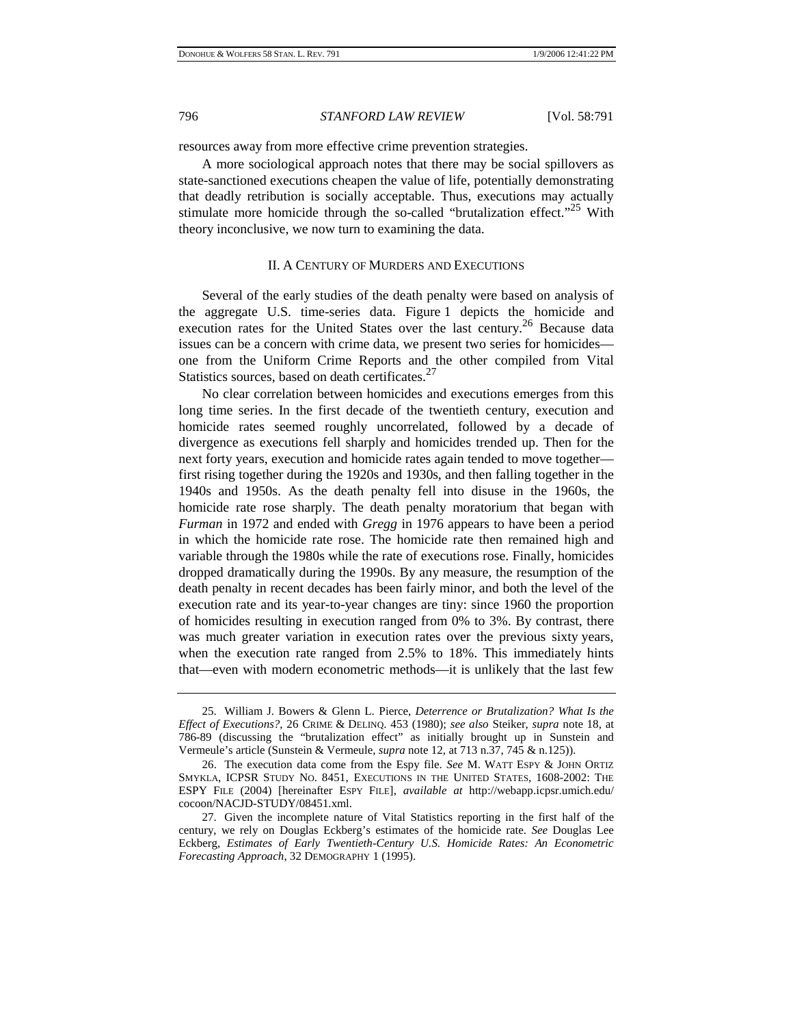resources away from more effective crime prevention strategies.

A more sociological approach notes that there may be social spillovers as state-sanctioned executions cheapen the value of life, potentially demonstrating that deadly retribution is socially acceptable. Thus, executions may actually stimulate more homicide through the so-called "brutalization effect."<sup>25</sup> With theory inconclusive, we now turn to examining the data.

### II. A CENTURY OF MURDERS AND EXECUTIONS

Several of the early studies of the death penalty were based on analysis of the aggregate U.S. time-series data. Figure 1 depicts the homicide and execution rates for the United States over the last century.<sup>26</sup> Because data issues can be a concern with crime data, we present two series for homicides one from the Uniform Crime Reports and the other compiled from Vital Statistics sources, based on death certificates.<sup>27</sup>

No clear correlation between homicides and executions emerges from this long time series. In the first decade of the twentieth century, execution and homicide rates seemed roughly uncorrelated, followed by a decade of divergence as executions fell sharply and homicides trended up. Then for the next forty years, execution and homicide rates again tended to move together first rising together during the 1920s and 1930s, and then falling together in the 1940s and 1950s. As the death penalty fell into disuse in the 1960s, the homicide rate rose sharply. The death penalty moratorium that began with *Furman* in 1972 and ended with *Gregg* in 1976 appears to have been a period in which the homicide rate rose. The homicide rate then remained high and variable through the 1980s while the rate of executions rose. Finally, homicides dropped dramatically during the 1990s. By any measure, the resumption of the death penalty in recent decades has been fairly minor, and both the level of the execution rate and its year-to-year changes are tiny: since 1960 the proportion of homicides resulting in execution ranged from 0% to 3%. By contrast, there was much greater variation in execution rates over the previous sixty years, when the execution rate ranged from 2.5% to 18%. This immediately hints that—even with modern econometric methods—it is unlikely that the last few

<sup>25.</sup> William J. Bowers & Glenn L. Pierce, *Deterrence or Brutalization? What Is the Effect of Executions?*, 26 CRIME & DELINQ. 453 (1980); *see also* Steiker, *supra* note 18, at 786-89 (discussing the "brutalization effect" as initially brought up in Sunstein and Vermeule's article (Sunstein & Vermeule, *supra* note 12, at 713 n.37, 745 & n.125)).

<sup>26.</sup> The execution data come from the Espy file. *See* M. WATT ESPY & JOHN ORTIZ SMYKLA, ICPSR STUDY NO. 8451, EXECUTIONS IN THE UNITED STATES, 1608-2002: THE ESPY FILE (2004) [hereinafter ESPY FILE], *available at* http://webapp.icpsr.umich.edu/ cocoon/NACJD-STUDY/08451.xml.

<sup>27.</sup> Given the incomplete nature of Vital Statistics reporting in the first half of the century, we rely on Douglas Eckberg's estimates of the homicide rate. *See* Douglas Lee Eckberg, *Estimates of Early Twentieth-Century U.S. Homicide Rates: An Econometric Forecasting Approach*, 32 DEMOGRAPHY 1 (1995).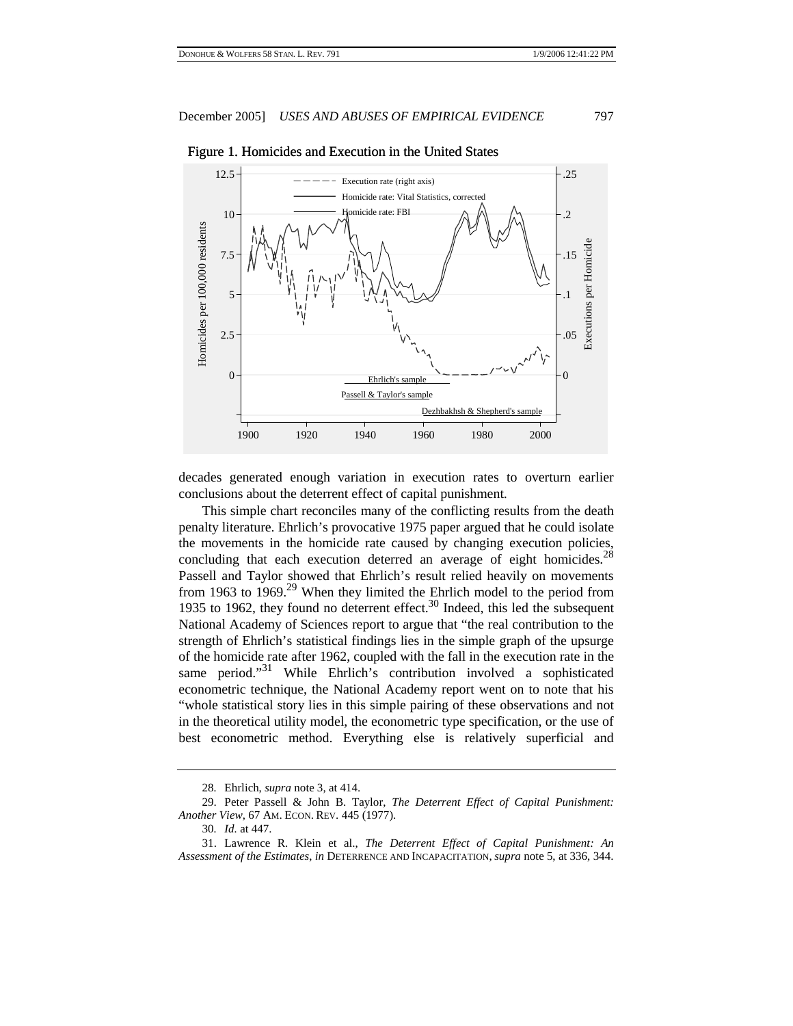

#### Figure 1. Homicides and Execution in the United States

decades generated enough variation in execution rates to overturn earlier conclusions about the deterrent effect of capital punishment.

This simple chart reconciles many of the conflicting results from the death penalty literature. Ehrlich's provocative 1975 paper argued that he could isolate the movements in the homicide rate caused by changing execution policies, concluding that each execution deterred an average of eight homicides.<sup>28</sup> Passell and Taylor showed that Ehrlich's result relied heavily on movements from 1963 to 1969.<sup>29</sup> When they limited the Ehrlich model to the period from 1935 to 1962, they found no deterrent effect.<sup>30</sup> Indeed, this led the subsequent National Academy of Sciences report to argue that "the real contribution to the strength of Ehrlich's statistical findings lies in the simple graph of the upsurge of the homicide rate after 1962, coupled with the fall in the execution rate in the same period."<sup>31</sup> While Ehrlich's contribution involved a sophisticated econometric technique, the National Academy report went on to note that his "whole statistical story lies in this simple pairing of these observations and not in the theoretical utility model, the econometric type specification, or the use of best econometric method. Everything else is relatively superficial and

<sup>28</sup>*.* Ehrlich, *supra* note 3, at 414.

<sup>29.</sup> Peter Passell & John B. Taylor, *The Deterrent Effect of Capital Punishment: Another View*, 67 AM. ECON. REV. 445 (1977).

<sup>30</sup>*. Id.* at 447.

<sup>31.</sup> Lawrence R. Klein et al., *The Deterrent Effect of Capital Punishment: An Assessment of the Estimates*, *in* DETERRENCE AND INCAPACITATION, *supra* note 5, at 336, 344.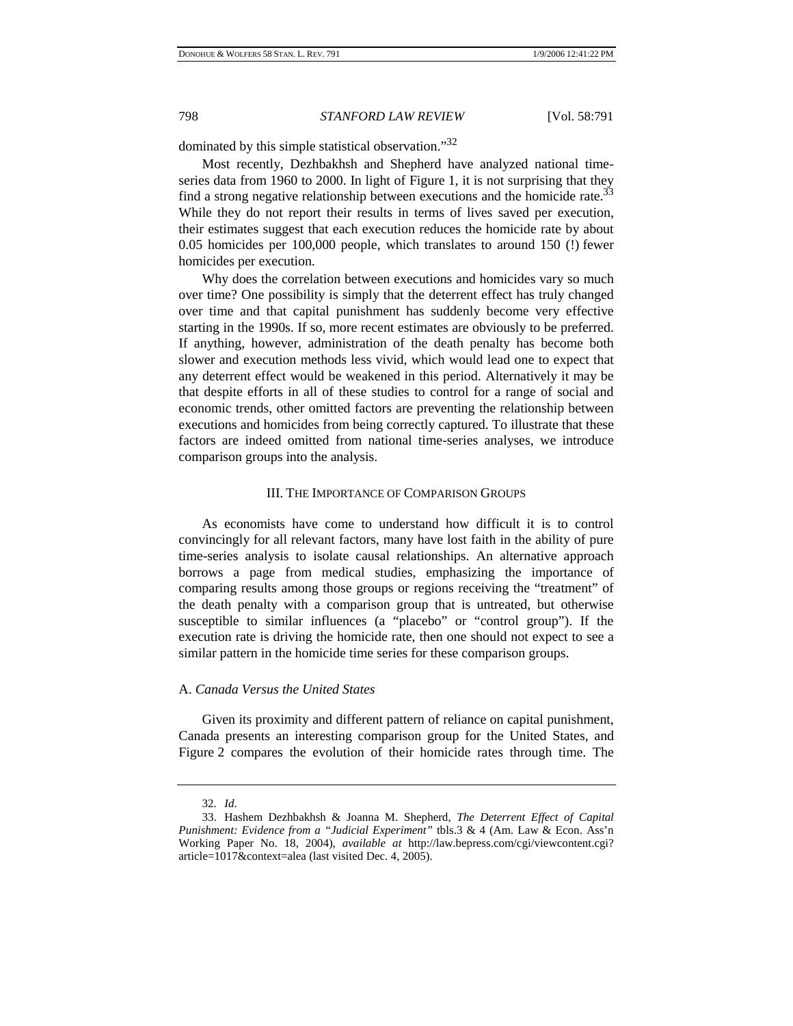dominated by this simple statistical observation."<sup>32</sup>

Most recently, Dezhbakhsh and Shepherd have analyzed national timeseries data from 1960 to 2000. In light of Figure 1, it is not surprising that they find a strong negative relationship between executions and the homicide rate.<sup>33</sup> While they do not report their results in terms of lives saved per execution, their estimates suggest that each execution reduces the homicide rate by about 0.05 homicides per 100,000 people, which translates to around 150 (!) fewer homicides per execution.

Why does the correlation between executions and homicides vary so much over time? One possibility is simply that the deterrent effect has truly changed over time and that capital punishment has suddenly become very effective starting in the 1990s. If so, more recent estimates are obviously to be preferred. If anything, however, administration of the death penalty has become both slower and execution methods less vivid, which would lead one to expect that any deterrent effect would be weakened in this period. Alternatively it may be that despite efforts in all of these studies to control for a range of social and economic trends, other omitted factors are preventing the relationship between executions and homicides from being correctly captured. To illustrate that these factors are indeed omitted from national time-series analyses, we introduce comparison groups into the analysis.

#### III. THE IMPORTANCE OF COMPARISON GROUPS

As economists have come to understand how difficult it is to control convincingly for all relevant factors, many have lost faith in the ability of pure time-series analysis to isolate causal relationships. An alternative approach borrows a page from medical studies, emphasizing the importance of comparing results among those groups or regions receiving the "treatment" of the death penalty with a comparison group that is untreated, but otherwise susceptible to similar influences (a "placebo" or "control group"). If the execution rate is driving the homicide rate, then one should not expect to see a similar pattern in the homicide time series for these comparison groups.

#### A. *Canada Versus the United States*

Given its proximity and different pattern of reliance on capital punishment, Canada presents an interesting comparison group for the United States, and Figure 2 compares the evolution of their homicide rates through time. The

<sup>32</sup>*. Id.*

<sup>33.</sup> Hashem Dezhbakhsh & Joanna M. Shepherd, *The Deterrent Effect of Capital Punishment: Evidence from a "Judicial Experiment"* tbls.3 & 4 (Am. Law & Econ. Ass'n Working Paper No. 18, 2004), *available at* http://law.bepress.com/cgi/viewcontent.cgi? article=1017&context=alea (last visited Dec. 4, 2005).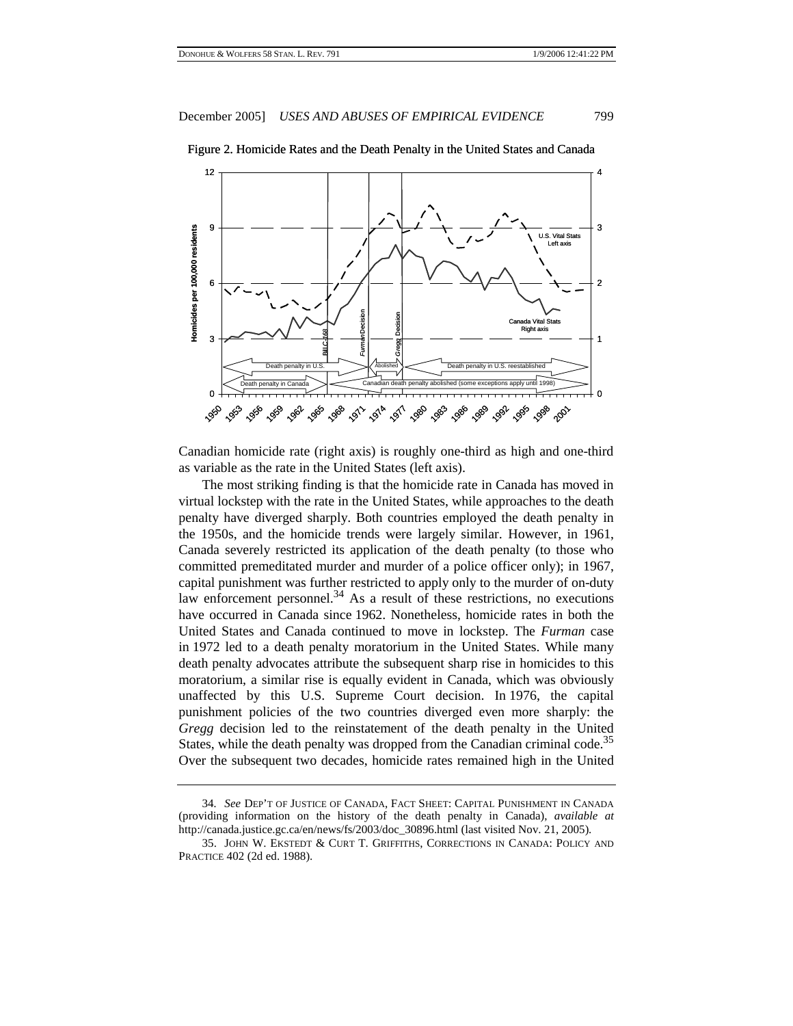

Figure 2. Homicide Rates and the Death Penalty in the United States and Canada

Canadian homicide rate (right axis) is roughly one-third as high and one-third as variable as the rate in the United States (left axis).

The most striking finding is that the homicide rate in Canada has moved in virtual lockstep with the rate in the United States, while approaches to the death penalty have diverged sharply. Both countries employed the death penalty in the 1950s, and the homicide trends were largely similar. However, in 1961, Canada severely restricted its application of the death penalty (to those who committed premeditated murder and murder of a police officer only); in 1967, capital punishment was further restricted to apply only to the murder of on-duty law enforcement personnel.<sup>34</sup> As a result of these restrictions, no executions have occurred in Canada since 1962. Nonetheless, homicide rates in both the United States and Canada continued to move in lockstep. The *Furman* case in 1972 led to a death penalty moratorium in the United States. While many death penalty advocates attribute the subsequent sharp rise in homicides to this moratorium, a similar rise is equally evident in Canada, which was obviously unaffected by this U.S. Supreme Court decision. In 1976, the capital punishment policies of the two countries diverged even more sharply: the *Gregg* decision led to the reinstatement of the death penalty in the United States, while the death penalty was dropped from the Canadian criminal code.<sup>35</sup> Over the subsequent two decades, homicide rates remained high in the United

<sup>34</sup>*. See* DEP'T OF JUSTICE OF CANADA, FACT SHEET: CAPITAL PUNISHMENT IN CANADA (providing information on the history of the death penalty in Canada), *available at* http://canada.justice.gc.ca/en/news/fs/2003/doc\_30896.html (last visited Nov. 21, 2005).

<sup>35.</sup> JOHN W. EKSTEDT & CURT T. GRIFFITHS, CORRECTIONS IN CANADA: POLICY AND PRACTICE 402 (2d ed. 1988).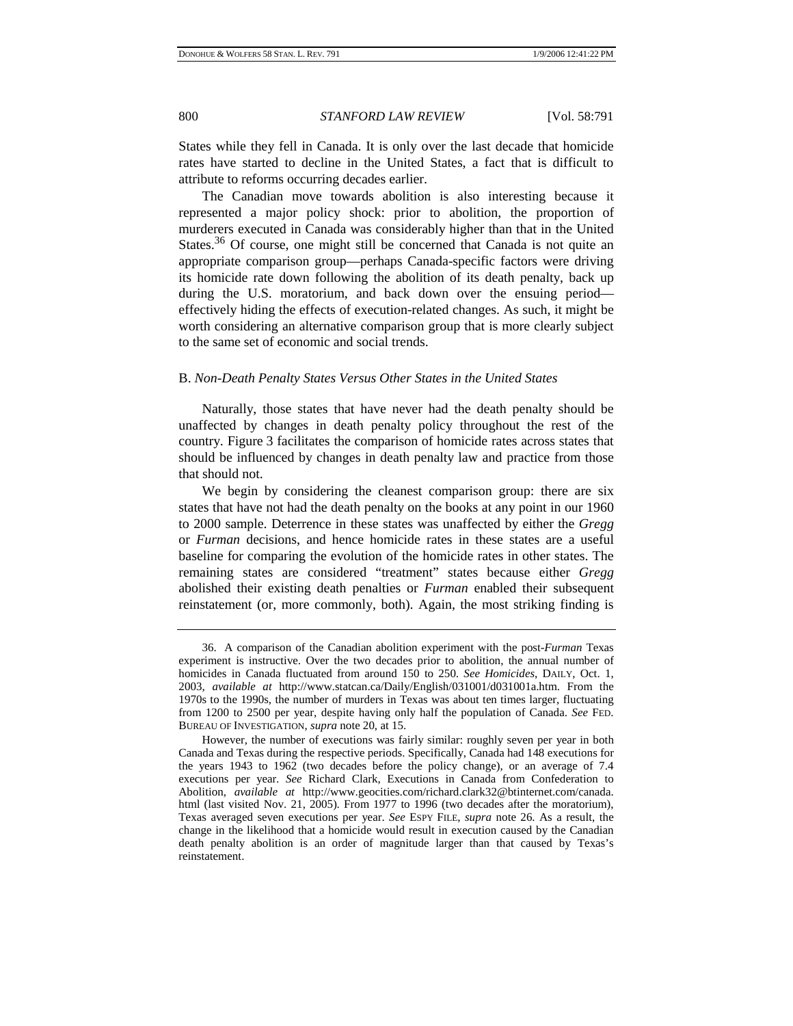States while they fell in Canada. It is only over the last decade that homicide rates have started to decline in the United States, a fact that is difficult to attribute to reforms occurring decades earlier.

The Canadian move towards abolition is also interesting because it represented a major policy shock: prior to abolition, the proportion of murderers executed in Canada was considerably higher than that in the United States.<sup>36</sup> Of course, one might still be concerned that Canada is not quite an appropriate comparison group—perhaps Canada-specific factors were driving its homicide rate down following the abolition of its death penalty, back up during the U.S. moratorium, and back down over the ensuing period effectively hiding the effects of execution-related changes. As such, it might be worth considering an alternative comparison group that is more clearly subject to the same set of economic and social trends.

### B. *Non-Death Penalty States Versus Other States in the United States*

Naturally, those states that have never had the death penalty should be unaffected by changes in death penalty policy throughout the rest of the country. Figure 3 facilitates the comparison of homicide rates across states that should be influenced by changes in death penalty law and practice from those that should not.

We begin by considering the cleanest comparison group: there are six states that have not had the death penalty on the books at any point in our 1960 to 2000 sample. Deterrence in these states was unaffected by either the *Gregg* or *Furman* decisions, and hence homicide rates in these states are a useful baseline for comparing the evolution of the homicide rates in other states. The remaining states are considered "treatment" states because either *Gregg* abolished their existing death penalties or *Furman* enabled their subsequent reinstatement (or, more commonly, both). Again, the most striking finding is

<sup>36.</sup> A comparison of the Canadian abolition experiment with the post-*Furman* Texas experiment is instructive. Over the two decades prior to abolition, the annual number of homicides in Canada fluctuated from around 150 to 250. *See Homicides*, DAILY, Oct. 1, 2003, *available at* http://www.statcan.ca/Daily/English/031001/d031001a.htm. From the 1970s to the 1990s, the number of murders in Texas was about ten times larger, fluctuating from 1200 to 2500 per year, despite having only half the population of Canada. *See* FED. BUREAU OF INVESTIGATION, *supra* note 20, at 15.

However, the number of executions was fairly similar: roughly seven per year in both Canada and Texas during the respective periods. Specifically, Canada had 148 executions for the years 1943 to 1962 (two decades before the policy change), or an average of 7.4 executions per year. *See* Richard Clark, Executions in Canada from Confederation to Abolition, *available at* http://www.geocities.com/richard.clark32@btinternet.com/canada. html (last visited Nov. 21, 2005). From 1977 to 1996 (two decades after the moratorium), Texas averaged seven executions per year. *See* ESPY FILE, *supra* note 26. As a result, the change in the likelihood that a homicide would result in execution caused by the Canadian death penalty abolition is an order of magnitude larger than that caused by Texas's reinstatement.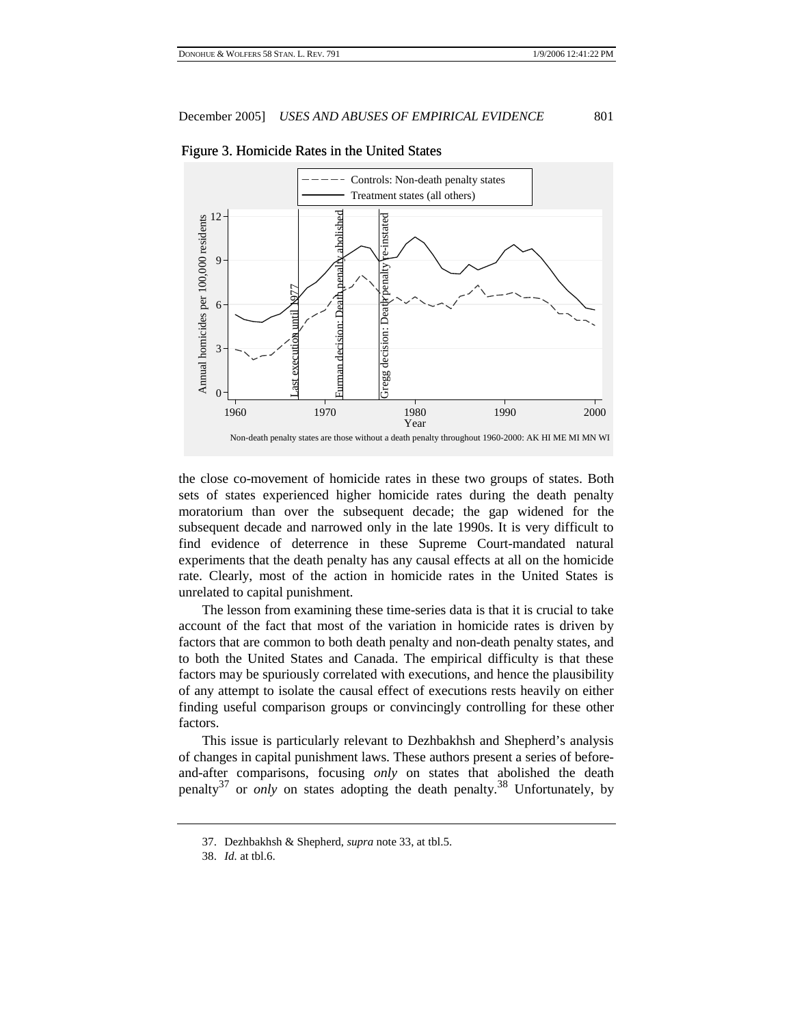

Figure 3. Homicide Rates in the United States Homicide Rates in the United States

the close co-movement of homicide rates in these two groups of states. Both sets of states experienced higher homicide rates during the death penalty moratorium than over the subsequent decade; the gap widened for the subsequent decade and narrowed only in the late 1990s. It is very difficult to find evidence of deterrence in these Supreme Court-mandated natural experiments that the death penalty has any causal effects at all on the homicide rate. Clearly, most of the action in homicide rates in the United States is unrelated to capital punishment.

The lesson from examining these time-series data is that it is crucial to take account of the fact that most of the variation in homicide rates is driven by factors that are common to both death penalty and non-death penalty states, and to both the United States and Canada. The empirical difficulty is that these factors may be spuriously correlated with executions, and hence the plausibility of any attempt to isolate the causal effect of executions rests heavily on either finding useful comparison groups or convincingly controlling for these other factors.

This issue is particularly relevant to Dezhbakhsh and Shepherd's analysis of changes in capital punishment laws. These authors present a series of beforeand-after comparisons, focusing *only* on states that abolished the death penalty<sup>37</sup> or *only* on states adopting the death penalty.<sup>38</sup> Unfortunately, by

<sup>37.</sup> Dezhbakhsh & Shepherd, *supra* note 33, at tbl.5.

<sup>38.</sup> *Id.* at tbl.6.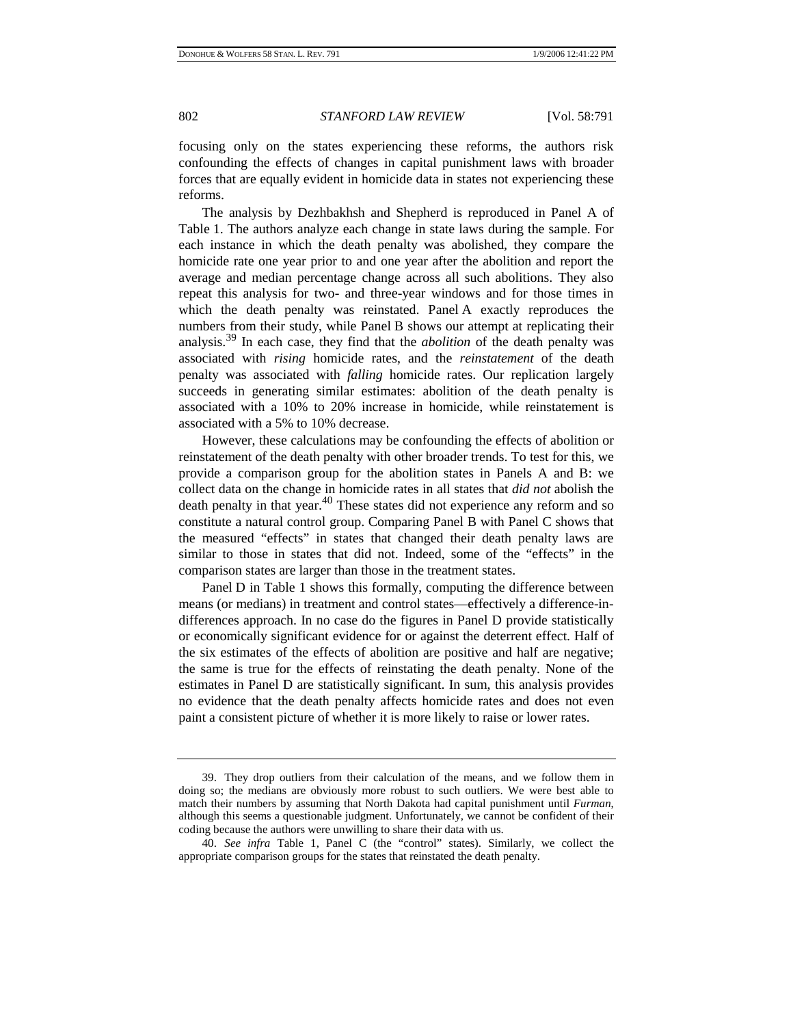focusing only on the states experiencing these reforms, the authors risk confounding the effects of changes in capital punishment laws with broader forces that are equally evident in homicide data in states not experiencing these reforms.

The analysis by Dezhbakhsh and Shepherd is reproduced in Panel A of Table 1. The authors analyze each change in state laws during the sample. For each instance in which the death penalty was abolished, they compare the homicide rate one year prior to and one year after the abolition and report the average and median percentage change across all such abolitions. They also repeat this analysis for two- and three-year windows and for those times in which the death penalty was reinstated. Panel A exactly reproduces the numbers from their study, while Panel B shows our attempt at replicating their analysis.39 In each case, they find that the *abolition* of the death penalty was associated with *rising* homicide rates, and the *reinstatement* of the death penalty was associated with *falling* homicide rates. Our replication largely succeeds in generating similar estimates: abolition of the death penalty is associated with a 10% to 20% increase in homicide, while reinstatement is associated with a 5% to 10% decrease.

However, these calculations may be confounding the effects of abolition or reinstatement of the death penalty with other broader trends. To test for this, we provide a comparison group for the abolition states in Panels A and B: we collect data on the change in homicide rates in all states that *did not* abolish the death penalty in that year.<sup>40</sup> These states did not experience any reform and so constitute a natural control group. Comparing Panel B with Panel C shows that the measured "effects" in states that changed their death penalty laws are similar to those in states that did not. Indeed, some of the "effects" in the comparison states are larger than those in the treatment states.

Panel D in Table 1 shows this formally, computing the difference between means (or medians) in treatment and control states—effectively a difference-indifferences approach. In no case do the figures in Panel D provide statistically or economically significant evidence for or against the deterrent effect. Half of the six estimates of the effects of abolition are positive and half are negative; the same is true for the effects of reinstating the death penalty. None of the estimates in Panel D are statistically significant. In sum, this analysis provides no evidence that the death penalty affects homicide rates and does not even paint a consistent picture of whether it is more likely to raise or lower rates.

<sup>39.</sup> They drop outliers from their calculation of the means, and we follow them in doing so; the medians are obviously more robust to such outliers. We were best able to match their numbers by assuming that North Dakota had capital punishment until *Furman*, although this seems a questionable judgment. Unfortunately, we cannot be confident of their coding because the authors were unwilling to share their data with us.

<sup>40.</sup> *See infra* Table 1, Panel C (the "control" states). Similarly, we collect the appropriate comparison groups for the states that reinstated the death penalty.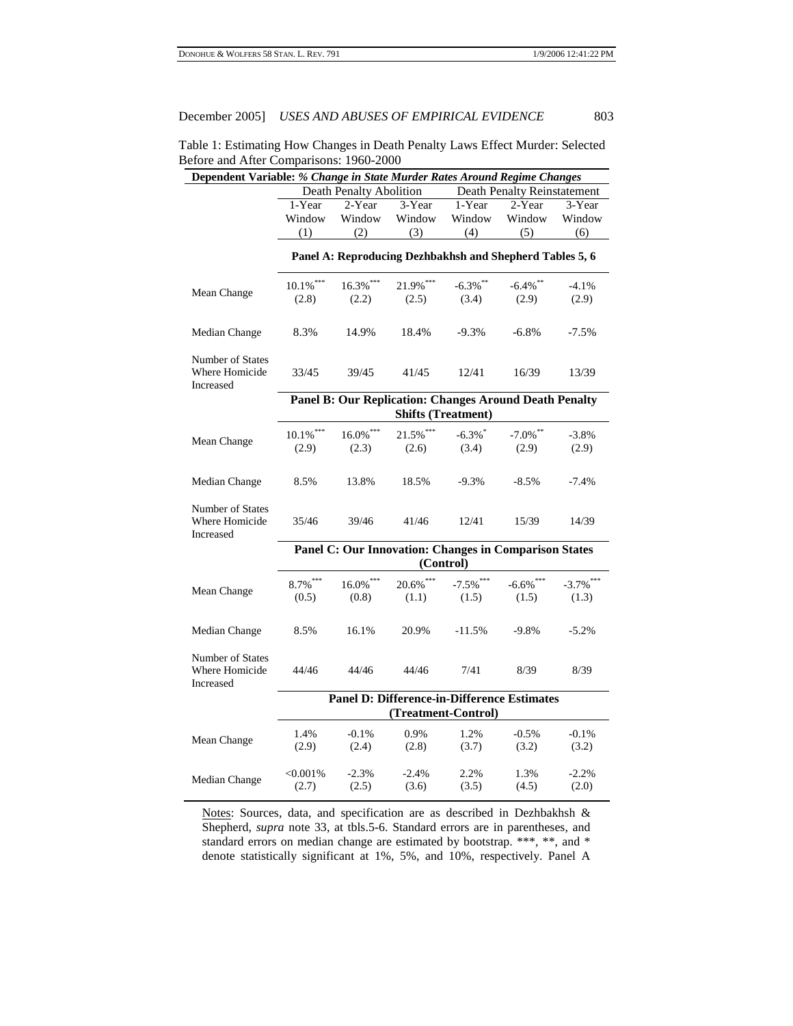Table 1: Estimating How Changes in Death Penalty Laws Effect Murder: Selected Before and After Comparisons: 1960-2000

|                                                 | Dependent Variable: % Change in State Murder Rates Around Regime Changes |                                                               |                     |                           |              |              |  |  |
|-------------------------------------------------|--------------------------------------------------------------------------|---------------------------------------------------------------|---------------------|---------------------------|--------------|--------------|--|--|
|                                                 | Death Penalty Abolition<br>Death Penalty Reinstatement                   |                                                               |                     |                           |              |              |  |  |
|                                                 | 1-Year                                                                   | 2-Year                                                        | 3-Year              | 1-Year                    | 2-Year       | 3-Year       |  |  |
|                                                 | Window                                                                   | Window                                                        | Window              | Window                    | Window       | Window       |  |  |
|                                                 | (1)                                                                      | (2)                                                           | (3)                 | (4)                       | (5)          | (6)          |  |  |
|                                                 | Panel A: Reproducing Dezhbakhsh and Shepherd Tables 5, 6                 |                                                               |                     |                           |              |              |  |  |
| Mean Change                                     | $10.1\%$ ***                                                             | $16.3\%$ ***                                                  | 21.9%***            | $-6.3\%$ **               | $-6.4\%$ **  | $-4.1%$      |  |  |
|                                                 | (2.8)                                                                    | (2.2)                                                         | (2.5)               | (3.4)                     | (2.9)        | (2.9)        |  |  |
| Median Change                                   | 8.3%                                                                     | 14.9%                                                         | 18.4%               | $-9.3%$                   | $-6.8%$      | $-7.5%$      |  |  |
| Number of States<br>Where Homicide<br>Increased | 33/45                                                                    | 39/45                                                         | 41/45               | 12/41                     | 16/39        | 13/39        |  |  |
|                                                 |                                                                          | <b>Panel B: Our Replication: Changes Around Death Penalty</b> |                     |                           |              |              |  |  |
|                                                 |                                                                          |                                                               |                     | <b>Shifts (Treatment)</b> |              |              |  |  |
|                                                 | $10.1\%$ ***                                                             | $16.0\%$ ***                                                  | $21.5%$ ***         | $-6.3\%$                  | $-7.0\%$ **  | $-3.8%$      |  |  |
| Mean Change                                     | (2.9)                                                                    | (2.3)                                                         | (2.6)               | (3.4)                     | (2.9)        | (2.9)        |  |  |
|                                                 |                                                                          |                                                               |                     |                           |              |              |  |  |
| Median Change                                   | 8.5%                                                                     | 13.8%                                                         | 18.5%               | $-9.3%$                   | $-8.5%$      | $-7.4%$      |  |  |
| Number of States<br>Where Homicide<br>Increased | 35/46                                                                    | 39/46                                                         | 41/46               | 12/41                     | 15/39        | 14/39        |  |  |
|                                                 |                                                                          | Panel C: Our Innovation: Changes in Comparison States         | (Control)           |                           |              |              |  |  |
|                                                 |                                                                          |                                                               |                     |                           |              |              |  |  |
| Mean Change                                     | $8.7\%$ <sup>***</sup>                                                   | $16.0\%$ ***                                                  | $20.6\%$ ***        | $-7.5\%$ ***              | $-6.6\%$ *** | $-3.7\%$ *** |  |  |
|                                                 | (0.5)                                                                    | (0.8)                                                         | (1.1)               | (1.5)                     | (1.5)        | (1.3)        |  |  |
| Median Change                                   | 8.5%                                                                     | 16.1%                                                         | 20.9%               | $-11.5%$                  | $-9.8%$      | $-5.2%$      |  |  |
| Number of States<br>Where Homicide<br>Increased | 44/46                                                                    | 44/46                                                         | 44/46               | 7/41                      | 8/39         | 8/39         |  |  |
|                                                 |                                                                          | <b>Panel D: Difference-in-Difference Estimates</b>            |                     |                           |              |              |  |  |
|                                                 |                                                                          |                                                               | (Treatment-Control) |                           |              |              |  |  |
|                                                 | 1.4%                                                                     | $-0.1%$                                                       | 0.9%                | 1.2%                      | $-0.5%$      | $-0.1%$      |  |  |
| Mean Change                                     | (2.9)                                                                    | (2.4)                                                         | (2.8)               | (3.7)                     | (3.2)        | (3.2)        |  |  |
|                                                 |                                                                          |                                                               |                     |                           |              |              |  |  |
| Median Change                                   | $<,0.001\%$                                                              | $-2.3%$                                                       | $-2.4%$             | 2.2%                      | 1.3%         | $-2.2%$      |  |  |
|                                                 | (2.7)                                                                    | (2.5)                                                         | (3.6)               | (3.5)                     | (4.5)        | (2.0)        |  |  |

Notes: Sources, data, and specification are as described in Dezhbakhsh & Shepherd, *supra* note 33, at tbls.5-6. Standard errors are in parentheses, and standard errors on median change are estimated by bootstrap. \*\*\*, \*\*, and \* denote statistically significant at 1%, 5%, and 10%, respectively. Panel A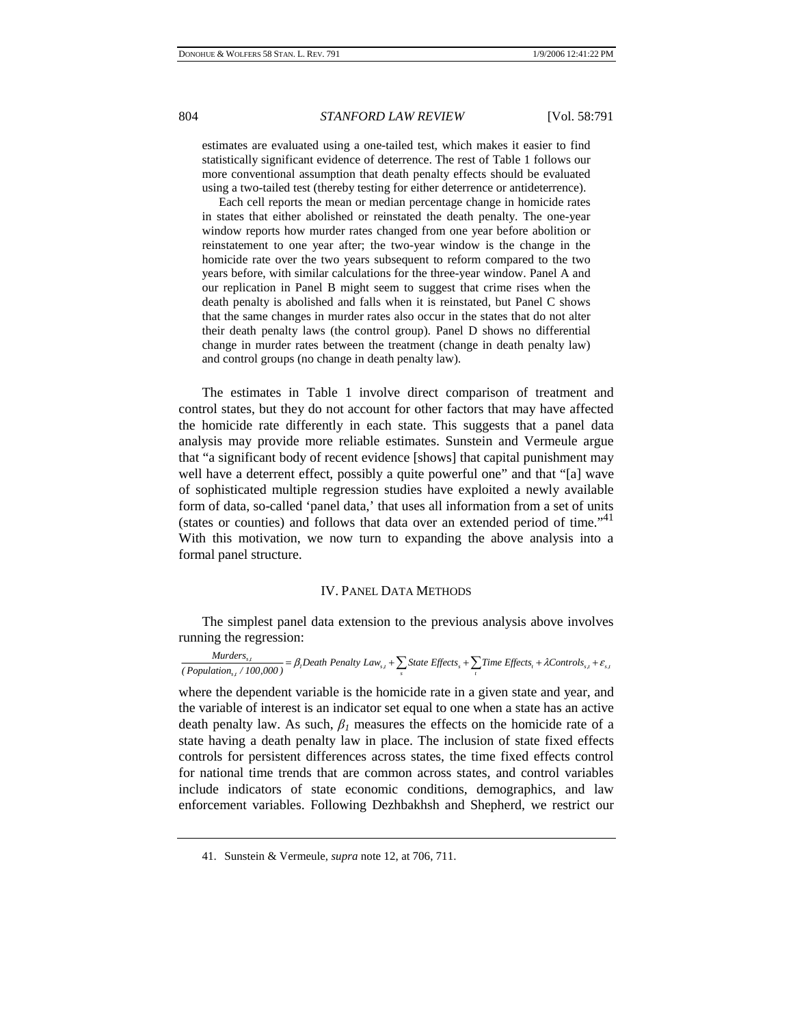estimates are evaluated using a one-tailed test, which makes it easier to find statistically significant evidence of deterrence. The rest of Table 1 follows our more conventional assumption that death penalty effects should be evaluated using a two-tailed test (thereby testing for either deterrence or antideterrence).

 Each cell reports the mean or median percentage change in homicide rates in states that either abolished or reinstated the death penalty. The one-year window reports how murder rates changed from one year before abolition or reinstatement to one year after; the two-year window is the change in the homicide rate over the two years subsequent to reform compared to the two years before, with similar calculations for the three-year window. Panel A and our replication in Panel B might seem to suggest that crime rises when the death penalty is abolished and falls when it is reinstated, but Panel C shows that the same changes in murder rates also occur in the states that do not alter their death penalty laws (the control group). Panel D shows no differential change in murder rates between the treatment (change in death penalty law) and control groups (no change in death penalty law).

The estimates in Table 1 involve direct comparison of treatment and control states, but they do not account for other factors that may have affected the homicide rate differently in each state. This suggests that a panel data analysis may provide more reliable estimates. Sunstein and Vermeule argue that "a significant body of recent evidence [shows] that capital punishment may well have a deterrent effect, possibly a quite powerful one" and that "[a] wave of sophisticated multiple regression studies have exploited a newly available form of data, so-called 'panel data,' that uses all information from a set of units (states or counties) and follows that data over an extended period of time."<sup>41</sup> With this motivation, we now turn to expanding the above analysis into a formal panel structure.

#### IV. PANEL DATA METHODS

The simplest panel data extension to the previous analysis above involves running the regression:

*Murders*<sub>*s*,t</sub>  $\frac{Murders_{s,t}}{100,000}$  =  $\beta_1$  Death Penalty Law<sub>s,t</sub> +  $\sum_s$  State Effects  $_s$  +  $\sum_t$  Time Effects  $_t$  +  $\lambda$ Controls<sub>s,t</sub> +  $\varepsilon_{s,t}$ 

where the dependent variable is the homicide rate in a given state and year, and the variable of interest is an indicator set equal to one when a state has an active death penalty law. As such,  $\beta_l$  measures the effects on the homicide rate of a state having a death penalty law in place. The inclusion of state fixed effects controls for persistent differences across states, the time fixed effects control for national time trends that are common across states, and control variables include indicators of state economic conditions, demographics, and law enforcement variables. Following Dezhbakhsh and Shepherd, we restrict our

<sup>41.</sup> Sunstein & Vermeule, *supra* note 12, at 706, 711.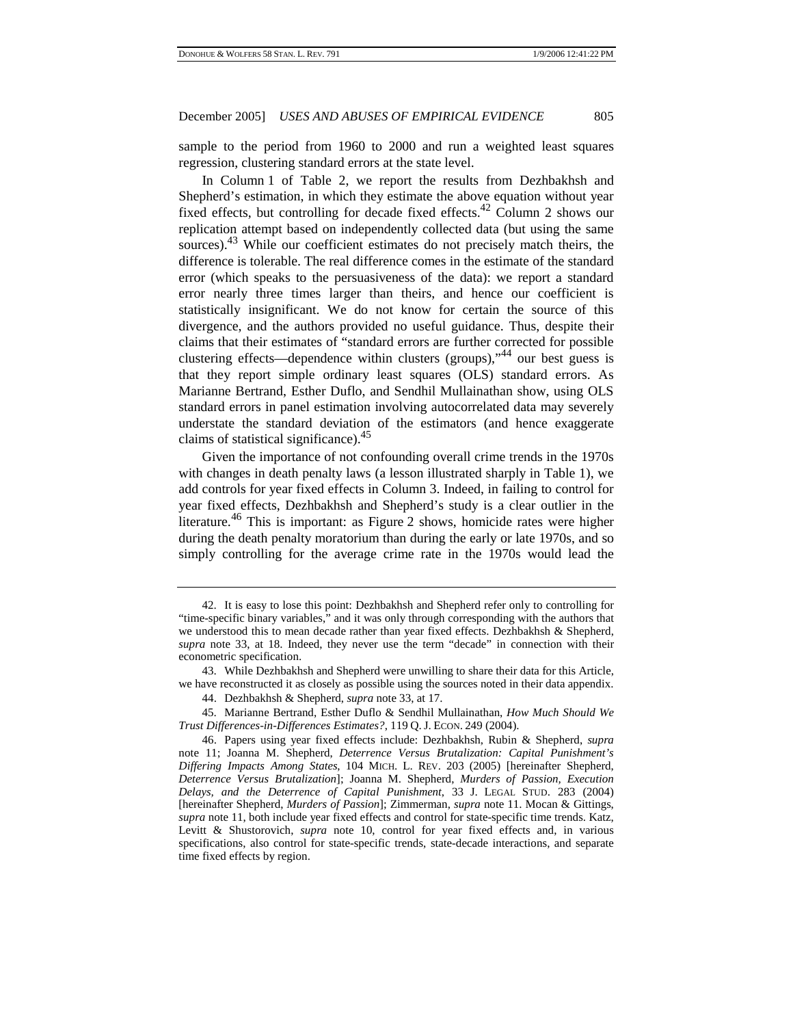sample to the period from 1960 to 2000 and run a weighted least squares regression, clustering standard errors at the state level.

In Column 1 of Table 2, we report the results from Dezhbakhsh and Shepherd's estimation, in which they estimate the above equation without year fixed effects, but controlling for decade fixed effects.<sup>42</sup> Column 2 shows our replication attempt based on independently collected data (but using the same sources).<sup>43</sup> While our coefficient estimates do not precisely match theirs, the difference is tolerable. The real difference comes in the estimate of the standard error (which speaks to the persuasiveness of the data): we report a standard error nearly three times larger than theirs, and hence our coefficient is statistically insignificant. We do not know for certain the source of this divergence, and the authors provided no useful guidance. Thus, despite their claims that their estimates of "standard errors are further corrected for possible clustering effects—dependence within clusters (groups), $\cdot^{44}$  our best guess is that they report simple ordinary least squares (OLS) standard errors. As Marianne Bertrand, Esther Duflo, and Sendhil Mullainathan show, using OLS standard errors in panel estimation involving autocorrelated data may severely understate the standard deviation of the estimators (and hence exaggerate claims of statistical significance).45

Given the importance of not confounding overall crime trends in the 1970s with changes in death penalty laws (a lesson illustrated sharply in Table 1), we add controls for year fixed effects in Column 3. Indeed, in failing to control for year fixed effects, Dezhbakhsh and Shepherd's study is a clear outlier in the literature.<sup>46</sup> This is important: as Figure 2 shows, homicide rates were higher during the death penalty moratorium than during the early or late 1970s, and so simply controlling for the average crime rate in the 1970s would lead the

<sup>42.</sup> It is easy to lose this point: Dezhbakhsh and Shepherd refer only to controlling for "time-specific binary variables," and it was only through corresponding with the authors that we understood this to mean decade rather than year fixed effects. Dezhbakhsh & Shepherd, *supra* note 33, at 18. Indeed, they never use the term "decade" in connection with their econometric specification.

<sup>43.</sup> While Dezhbakhsh and Shepherd were unwilling to share their data for this Article, we have reconstructed it as closely as possible using the sources noted in their data appendix.

<sup>44.</sup> Dezhbakhsh & Shepherd, *supra* note 33, at 17.

<sup>45.</sup> Marianne Bertrand, Esther Duflo & Sendhil Mullainathan, *How Much Should We Trust Differences-in-Differences Estimates?*, 119 Q.J. ECON. 249 (2004).

<sup>46.</sup> Papers using year fixed effects include: Dezhbakhsh, Rubin & Shepherd, *supra* note 11; Joanna M. Shepherd, *Deterrence Versus Brutalization: Capital Punishment's Differing Impacts Among States*, 104 MICH. L. REV. 203 (2005) [hereinafter Shepherd, *Deterrence Versus Brutalization*]; Joanna M. Shepherd, *Murders of Passion, Execution Delays, and the Deterrence of Capital Punishment*, 33 J. LEGAL STUD. 283 (2004) [hereinafter Shepherd, *Murders of Passion*]; Zimmerman, *supra* note 11. Mocan & Gittings, *supra* note 11, both include year fixed effects and control for state-specific time trends. Katz, Levitt & Shustorovich, *supra* note 10, control for year fixed effects and, in various specifications, also control for state-specific trends, state-decade interactions, and separate time fixed effects by region.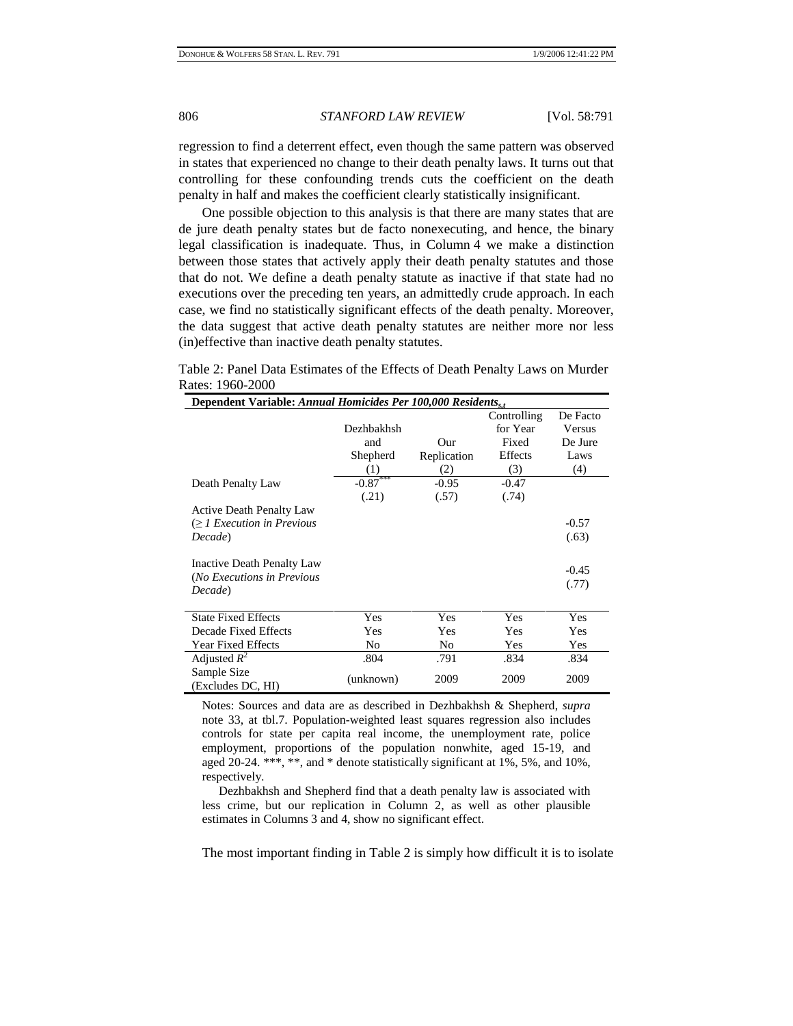regression to find a deterrent effect, even though the same pattern was observed in states that experienced no change to their death penalty laws. It turns out that controlling for these confounding trends cuts the coefficient on the death penalty in half and makes the coefficient clearly statistically insignificant.

One possible objection to this analysis is that there are many states that are de jure death penalty states but de facto nonexecuting, and hence, the binary legal classification is inadequate. Thus, in Column 4 we make a distinction between those states that actively apply their death penalty statutes and those that do not. We define a death penalty statute as inactive if that state had no executions over the preceding ten years, an admittedly crude approach. In each case, we find no statistically significant effects of the death penalty. Moreover, the data suggest that active death penalty statutes are neither more nor less (in)effective than inactive death penalty statutes.

Table 2: Panel Data Estimates of the Effects of Death Penalty Laws on Murder Rates: 1960-2000

| Dependent Variable: Annual Homicides Per 100,000 Residents, $_{st}$ |                |                |             |          |
|---------------------------------------------------------------------|----------------|----------------|-------------|----------|
|                                                                     |                |                | Controlling | De Facto |
|                                                                     | Dezhbakhsh     |                | for Year    | Versus   |
|                                                                     | and            | Our            | Fixed       | De Jure  |
|                                                                     | Shepherd       | Replication    | Effects     | Laws     |
|                                                                     | (1)            | (2)            | (3)         | (4)      |
| Death Penalty Law                                                   | $-0.87***$     | $-0.95$        | $-0.47$     |          |
|                                                                     | (.21)          | (.57)          | (.74)       |          |
| <b>Active Death Penalty Law</b>                                     |                |                |             |          |
| $\geq 1$ Execution in Previous                                      |                |                |             | $-0.57$  |
| Decade)                                                             |                |                |             | (.63)    |
|                                                                     |                |                |             |          |
| Inactive Death Penalty Law                                          |                |                |             | $-0.45$  |
| (No Executions in Previous                                          |                |                |             |          |
| Decade)                                                             |                |                |             | (.77)    |
|                                                                     |                |                |             |          |
| <b>State Fixed Effects</b>                                          | Yes            | Yes            | Yes         | Yes      |
| Decade Fixed Effects                                                | Yes            | Yes            | Yes         | Yes      |
| <b>Year Fixed Effects</b>                                           | N <sub>0</sub> | N <sub>0</sub> | Yes         | Yes      |
| Adjusted $R^2$                                                      | .804           | .791           | .834        | .834     |
| Sample Size                                                         |                | 2009           | 2009        | 2009     |
| (Excludes DC, HI)                                                   | (unknown)      |                |             |          |

Notes: Sources and data are as described in Dezhbakhsh & Shepherd, *supra* note 33, at tbl.7. Population-weighted least squares regression also includes controls for state per capita real income, the unemployment rate, police employment, proportions of the population nonwhite, aged 15-19, and aged 20-24. \*\*\*, \*\*, and \* denote statistically significant at 1%, 5%, and 10%, respectively.

 Dezhbakhsh and Shepherd find that a death penalty law is associated with less crime, but our replication in Column 2, as well as other plausible estimates in Columns 3 and 4, show no significant effect.

The most important finding in Table 2 is simply how difficult it is to isolate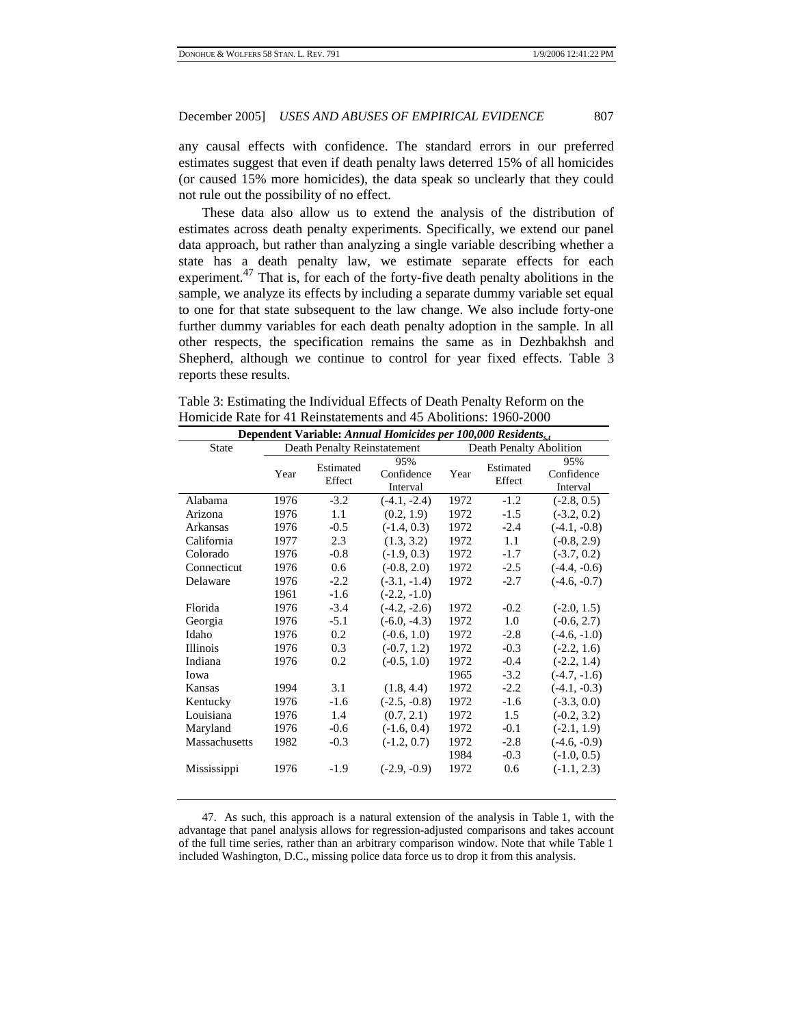any causal effects with confidence. The standard errors in our preferred estimates suggest that even if death penalty laws deterred 15% of all homicides (or caused 15% more homicides), the data speak so unclearly that they could not rule out the possibility of no effect.

These data also allow us to extend the analysis of the distribution of estimates across death penalty experiments. Specifically, we extend our panel data approach, but rather than analyzing a single variable describing whether a state has a death penalty law, we estimate separate effects for each experiment.<sup>47</sup> That is, for each of the forty-five death penalty abolitions in the sample, we analyze its effects by including a separate dummy variable set equal to one for that state subsequent to the law change. We also include forty-one further dummy variables for each death penalty adoption in the sample. In all other respects, the specification remains the same as in Dezhbakhsh and Shepherd, although we continue to control for year fixed effects. Table 3 reports these results.

| Table 3: Estimating the Individual Effects of Death Penalty Reform on the |  |
|---------------------------------------------------------------------------|--|
| Homicide Rate for 41 Reinstatements and 45 Abolitions: 1960-2000          |  |

| Dependent Variable: Annual Homicides per 100,000 Residents, |      |                             |                               |                         |                     |                               |  |
|-------------------------------------------------------------|------|-----------------------------|-------------------------------|-------------------------|---------------------|-------------------------------|--|
| <b>State</b>                                                |      | Death Penalty Reinstatement |                               | Death Penalty Abolition |                     |                               |  |
|                                                             | Year | Estimated<br>Effect         | 95%<br>Confidence<br>Interval | Year                    | Estimated<br>Effect | 95%<br>Confidence<br>Interval |  |
| Alabama                                                     | 1976 | $-3.2$                      | $(-4.1, -2.4)$                | 1972                    | $-1.2$              | $(-2.8, 0.5)$                 |  |
| Arizona                                                     | 1976 | 1.1                         | (0.2, 1.9)                    | 1972                    | $-1.5$              | $(-3.2, 0.2)$                 |  |
| Arkansas                                                    | 1976 | $-0.5$                      | $(-1.4, 0.3)$                 | 1972                    | $-2.4$              | $(-4.1, -0.8)$                |  |
| California                                                  | 1977 | 2.3                         | (1.3, 3.2)                    | 1972                    | 1.1                 | $(-0.8, 2.9)$                 |  |
| Colorado                                                    | 1976 | $-0.8$                      | $(-1.9, 0.3)$                 | 1972                    | $-1.7$              | $(-3.7, 0.2)$                 |  |
| Connecticut                                                 | 1976 | 0.6                         | $(-0.8, 2.0)$                 | 1972                    | $-2.5$              | $(-4.4, -0.6)$                |  |
| Delaware                                                    | 1976 | $-2.2$                      | $(-3.1, -1.4)$                | 1972                    | $-2.7$              | $(-4.6, -0.7)$                |  |
|                                                             | 1961 | $-1.6$                      | $(-2.2, -1.0)$                |                         |                     |                               |  |
| Florida                                                     | 1976 | $-3.4$                      | $(-4.2, -2.6)$                | 1972                    | $-0.2$              | $(-2.0, 1.5)$                 |  |
| Georgia                                                     | 1976 | $-5.1$                      | $(-6.0, -4.3)$                | 1972                    | 1.0                 | $(-0.6, 2.7)$                 |  |
| Idaho                                                       | 1976 | 0.2                         | $(-0.6, 1.0)$                 | 1972                    | $-2.8$              | $(-4.6, -1.0)$                |  |
| <b>Illinois</b>                                             | 1976 | 0.3                         | $(-0.7, 1.2)$                 | 1972                    | $-0.3$              | $(-2.2, 1.6)$                 |  |
| Indiana                                                     | 1976 | 0.2                         | $(-0.5, 1.0)$                 | 1972                    | $-0.4$              | $(-2.2, 1.4)$                 |  |
| Iowa                                                        |      |                             |                               | 1965                    | $-3.2$              | $(-4.7, -1.6)$                |  |
| Kansas                                                      | 1994 | 3.1                         | (1.8, 4.4)                    | 1972                    | $-2.2$              | $(-4.1, -0.3)$                |  |
| Kentucky                                                    | 1976 | $-1.6$                      | $(-2.5, -0.8)$                | 1972                    | $-1.6$              | $(-3.3, 0.0)$                 |  |
| Louisiana                                                   | 1976 | 1.4                         | (0.7, 2.1)                    | 1972                    | 1.5                 | $(-0.2, 3.2)$                 |  |
| Maryland                                                    | 1976 | $-0.6$                      | $(-1.6, 0.4)$                 | 1972                    | $-0.1$              | $(-2.1, 1.9)$                 |  |
| Massachusetts                                               | 1982 | $-0.3$                      | $(-1.2, 0.7)$                 | 1972                    | $-2.8$              | $(-4.6, -0.9)$                |  |
|                                                             |      |                             |                               | 1984                    | $-0.3$              | $(-1.0, 0.5)$                 |  |
| Mississippi                                                 | 1976 | $-1.9$                      | $(-2.9, -0.9)$                | 1972                    | 0.6                 | $(-1.1, 2.3)$                 |  |

47. As such, this approach is a natural extension of the analysis in Table 1, with the advantage that panel analysis allows for regression-adjusted comparisons and takes account of the full time series, rather than an arbitrary comparison window. Note that while Table 1 included Washington, D.C., missing police data force us to drop it from this analysis.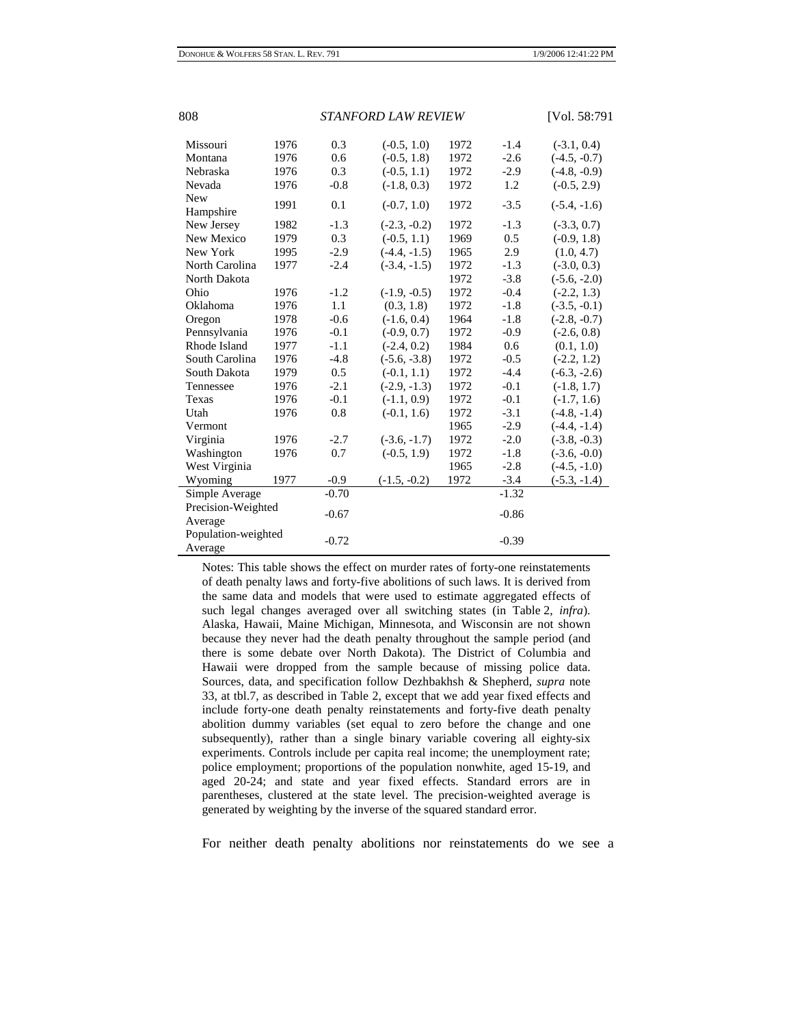| 808<br><b>STANFORD LAW REVIEW</b> |      |         |                |      |         | [Vol. 58:791   |
|-----------------------------------|------|---------|----------------|------|---------|----------------|
| Missouri                          | 1976 | 0.3     | $(-0.5, 1.0)$  | 1972 | $-1.4$  | $(-3.1, 0.4)$  |
| Montana                           | 1976 | 0.6     | $(-0.5, 1.8)$  | 1972 | $-2.6$  | $(-4.5, -0.7)$ |
| Nebraska                          | 1976 | 0.3     | $(-0.5, 1.1)$  | 1972 | $-2.9$  | $(-4.8, -0.9)$ |
| Nevada                            | 1976 | $-0.8$  | $(-1.8, 0.3)$  | 1972 | 1.2     | $(-0.5, 2.9)$  |
| New<br>Hampshire                  | 1991 | 0.1     | $(-0.7, 1.0)$  | 1972 | $-3.5$  | $(-5.4, -1.6)$ |
| New Jersey                        | 1982 | $-1.3$  | $(-2.3, -0.2)$ | 1972 | $-1.3$  | $(-3.3, 0.7)$  |
| New Mexico                        | 1979 | 0.3     | $(-0.5, 1.1)$  | 1969 | 0.5     | $(-0.9, 1.8)$  |
| New York                          | 1995 | $-2.9$  | $(-4.4, -1.5)$ | 1965 | 2.9     | (1.0, 4.7)     |
| North Carolina                    | 1977 | $-2.4$  | $(-3.4, -1.5)$ | 1972 | $-1.3$  | $(-3.0, 0.3)$  |
| North Dakota                      |      |         |                | 1972 | $-3.8$  | $(-5.6, -2.0)$ |
| Ohio                              | 1976 | $-1.2$  | $(-1.9, -0.5)$ | 1972 | $-0.4$  | $(-2.2, 1.3)$  |
| Oklahoma                          | 1976 | 1.1     | (0.3, 1.8)     | 1972 | $-1.8$  | $(-3.5, -0.1)$ |
| Oregon                            | 1978 | $-0.6$  | $(-1.6, 0.4)$  | 1964 | $-1.8$  | $(-2.8, -0.7)$ |
| Pennsylvania                      | 1976 | $-0.1$  | $(-0.9, 0.7)$  | 1972 | $-0.9$  | $(-2.6, 0.8)$  |
| Rhode Island                      | 1977 | $-1.1$  | $(-2.4, 0.2)$  | 1984 | 0.6     | (0.1, 1.0)     |
| South Carolina                    | 1976 | $-4.8$  | $(-5.6, -3.8)$ | 1972 | $-0.5$  | $(-2.2, 1.2)$  |
| South Dakota                      | 1979 | 0.5     | $(-0.1, 1.1)$  | 1972 | $-4.4$  | $(-6.3, -2.6)$ |
| Tennessee                         | 1976 | $-2.1$  | $(-2.9, -1.3)$ | 1972 | $-0.1$  | $(-1.8, 1.7)$  |
| Texas                             | 1976 | $-0.1$  | $(-1.1, 0.9)$  | 1972 | $-0.1$  | $(-1.7, 1.6)$  |
| Utah                              | 1976 | 0.8     | $(-0.1, 1.6)$  | 1972 | $-3.1$  | $(-4.8, -1.4)$ |
| Vermont                           |      |         |                | 1965 | $-2.9$  | $(-4.4, -1.4)$ |
| Virginia                          | 1976 | $-2.7$  | $(-3.6, -1.7)$ | 1972 | $-2.0$  | $(-3.8, -0.3)$ |
| Washington                        | 1976 | 0.7     | $(-0.5, 1.9)$  | 1972 | $-1.8$  | $(-3.6, -0.0)$ |
| West Virginia                     |      |         |                | 1965 | $-2.8$  | $(-4.5, -1.0)$ |
| Wyoming                           | 1977 | $-0.9$  | $(-1.5, -0.2)$ | 1972 | $-3.4$  | $(-5.3, -1.4)$ |
| Simple Average                    |      | $-0.70$ |                |      | $-1.32$ |                |
| Precision-Weighted<br>Average     |      | $-0.67$ |                |      | $-0.86$ |                |
| Population-weighted<br>Average    |      | $-0.72$ |                |      | $-0.39$ |                |

Notes: This table shows the effect on murder rates of forty-one reinstatements of death penalty laws and forty-five abolitions of such laws. It is derived from the same data and models that were used to estimate aggregated effects of such legal changes averaged over all switching states (in Table 2, *infra*). Alaska, Hawaii, Maine Michigan, Minnesota, and Wisconsin are not shown because they never had the death penalty throughout the sample period (and there is some debate over North Dakota). The District of Columbia and Hawaii were dropped from the sample because of missing police data. Sources, data, and specification follow Dezhbakhsh & Shepherd, *supra* note 33, at tbl.7, as described in Table 2, except that we add year fixed effects and include forty-one death penalty reinstatements and forty-five death penalty abolition dummy variables (set equal to zero before the change and one subsequently), rather than a single binary variable covering all eighty-six experiments. Controls include per capita real income; the unemployment rate; police employment; proportions of the population nonwhite, aged 15-19, and aged 20-24; and state and year fixed effects. Standard errors are in parentheses, clustered at the state level. The precision-weighted average is generated by weighting by the inverse of the squared standard error.

For neither death penalty abolitions nor reinstatements do we see a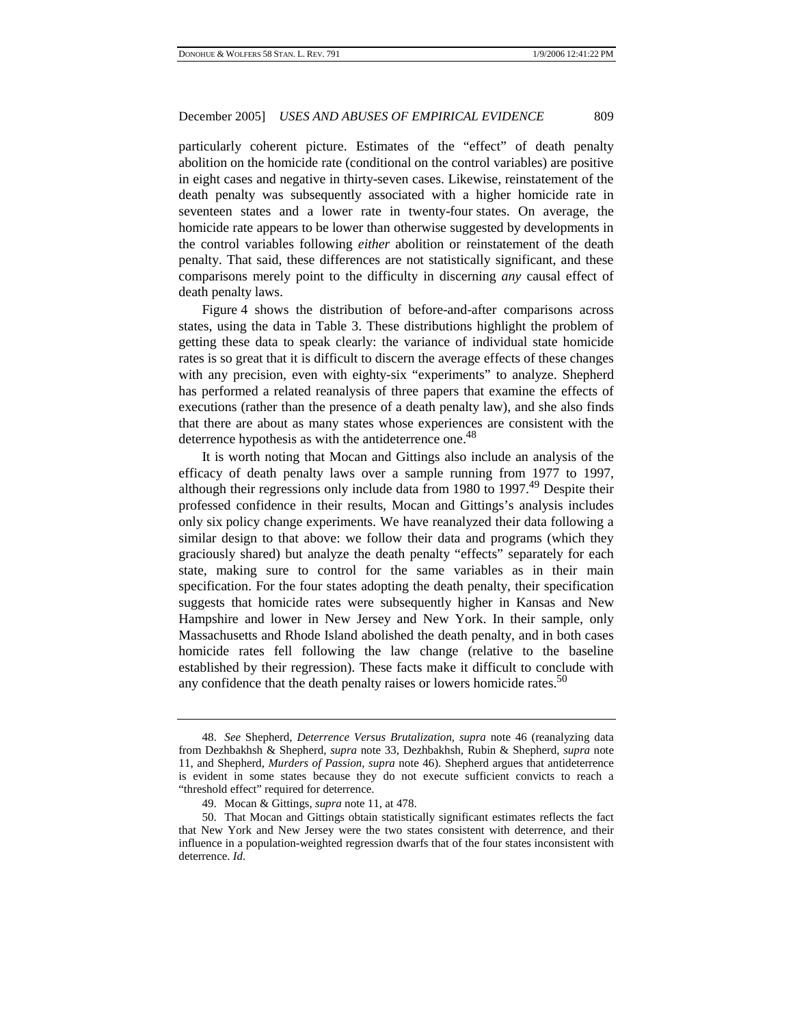particularly coherent picture. Estimates of the "effect" of death penalty abolition on the homicide rate (conditional on the control variables) are positive in eight cases and negative in thirty-seven cases. Likewise, reinstatement of the death penalty was subsequently associated with a higher homicide rate in seventeen states and a lower rate in twenty-four states. On average, the homicide rate appears to be lower than otherwise suggested by developments in the control variables following *either* abolition or reinstatement of the death penalty. That said, these differences are not statistically significant, and these comparisons merely point to the difficulty in discerning *any* causal effect of death penalty laws.

Figure 4 shows the distribution of before-and-after comparisons across states, using the data in Table 3. These distributions highlight the problem of getting these data to speak clearly: the variance of individual state homicide rates is so great that it is difficult to discern the average effects of these changes with any precision, even with eighty-six "experiments" to analyze. Shepherd has performed a related reanalysis of three papers that examine the effects of executions (rather than the presence of a death penalty law), and she also finds that there are about as many states whose experiences are consistent with the deterrence hypothesis as with the antideterrence one.<sup>48</sup>

It is worth noting that Mocan and Gittings also include an analysis of the efficacy of death penalty laws over a sample running from 1977 to 1997, although their regressions only include data from 1980 to 1997.<sup>49</sup> Despite their professed confidence in their results, Mocan and Gittings's analysis includes only six policy change experiments. We have reanalyzed their data following a similar design to that above: we follow their data and programs (which they graciously shared) but analyze the death penalty "effects" separately for each state, making sure to control for the same variables as in their main specification. For the four states adopting the death penalty, their specification suggests that homicide rates were subsequently higher in Kansas and New Hampshire and lower in New Jersey and New York. In their sample, only Massachusetts and Rhode Island abolished the death penalty, and in both cases homicide rates fell following the law change (relative to the baseline established by their regression). These facts make it difficult to conclude with any confidence that the death penalty raises or lowers homicide rates.<sup>50</sup>

<sup>48.</sup> *See* Shepherd, *Deterrence Versus Brutalization*, *supra* note 46 (reanalyzing data from Dezhbakhsh & Shepherd, *supra* note 33, Dezhbakhsh, Rubin & Shepherd, *supra* note 11, and Shepherd, *Murders of Passion*, *supra* note 46). Shepherd argues that antideterrence is evident in some states because they do not execute sufficient convicts to reach a "threshold effect" required for deterrence.

<sup>49.</sup> Mocan & Gittings, *supra* note 11, at 478.

<sup>50.</sup> That Mocan and Gittings obtain statistically significant estimates reflects the fact that New York and New Jersey were the two states consistent with deterrence, and their influence in a population-weighted regression dwarfs that of the four states inconsistent with deterrence. *Id.*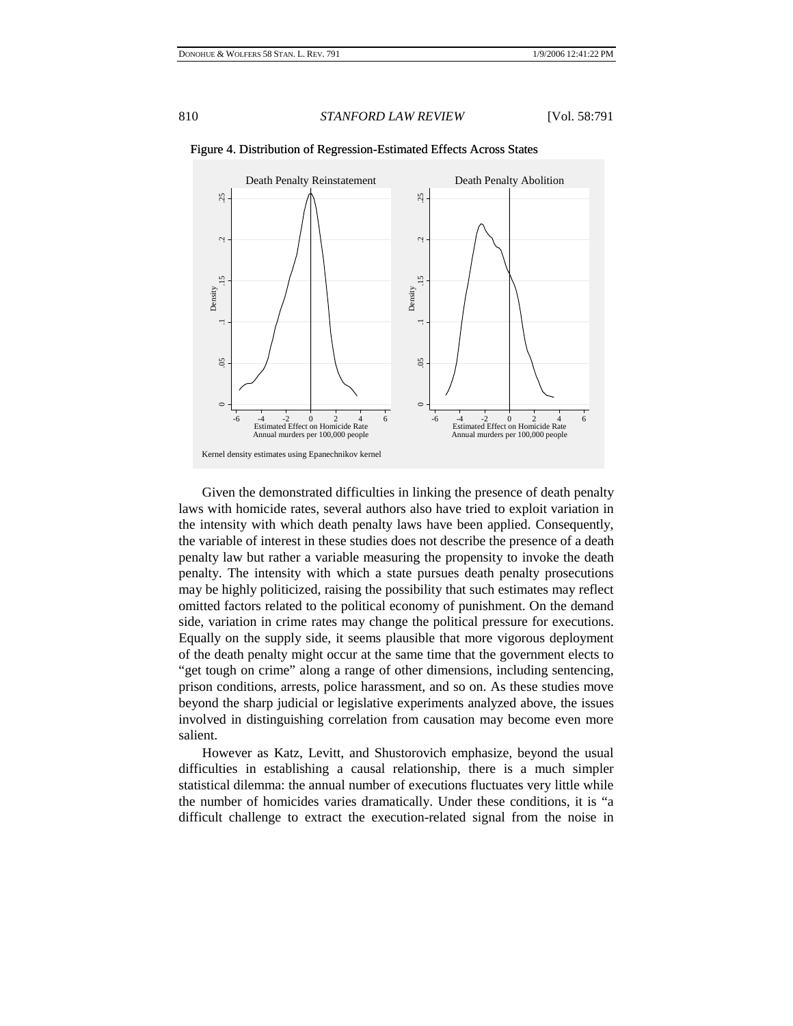

Figure 4. Distribution of Regression-Estimated Effects Across States

Given the demonstrated difficulties in linking the presence of death penalty laws with homicide rates, several authors also have tried to exploit variation in the intensity with which death penalty laws have been applied. Consequently, the variable of interest in these studies does not describe the presence of a death penalty law but rather a variable measuring the propensity to invoke the death penalty. The intensity with which a state pursues death penalty prosecutions may be highly politicized, raising the possibility that such estimates may reflect omitted factors related to the political economy of punishment. On the demand side, variation in crime rates may change the political pressure for executions. Equally on the supply side, it seems plausible that more vigorous deployment of the death penalty might occur at the same time that the government elects to "get tough on crime" along a range of other dimensions, including sentencing, prison conditions, arrests, police harassment, and so on. As these studies move beyond the sharp judicial or legislative experiments analyzed above, the issues involved in distinguishing correlation from causation may become even more salient.

However as Katz, Levitt, and Shustorovich emphasize, beyond the usual difficulties in establishing a causal relationship, there is a much simpler statistical dilemma: the annual number of executions fluctuates very little while the number of homicides varies dramatically. Under these conditions, it is "a difficult challenge to extract the execution-related signal from the noise in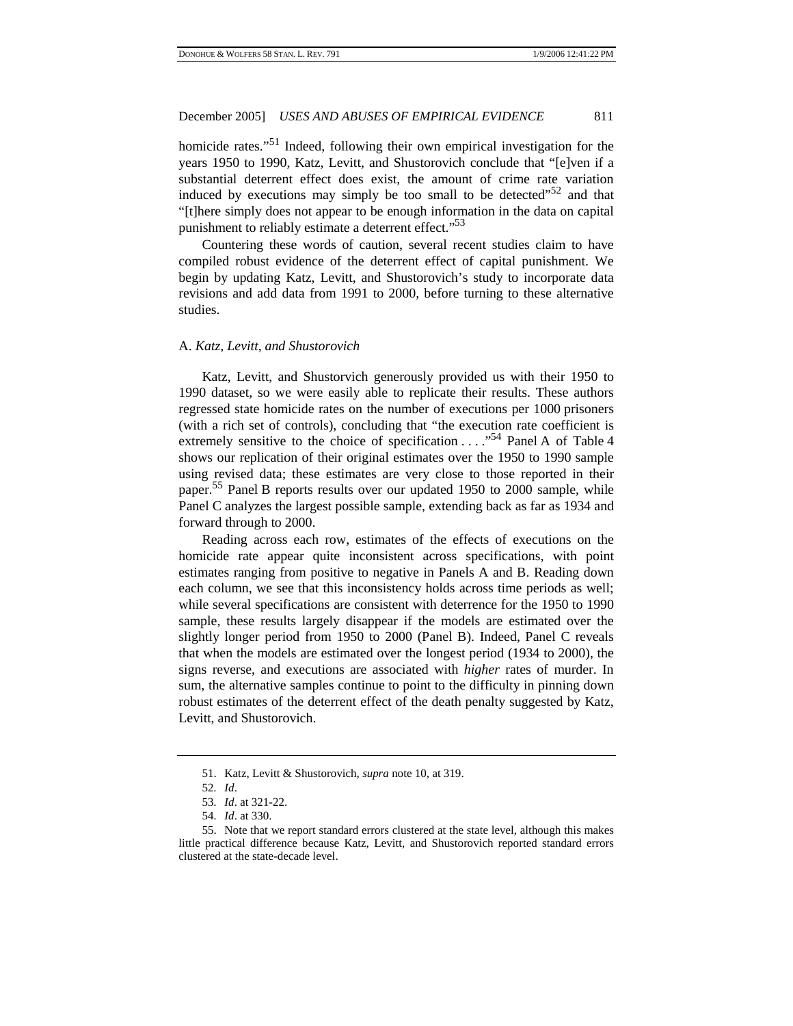homicide rates."<sup>51</sup> Indeed, following their own empirical investigation for the years 1950 to 1990, Katz, Levitt, and Shustorovich conclude that "[e]ven if a substantial deterrent effect does exist, the amount of crime rate variation induced by executions may simply be too small to be detected"<sup>52</sup> and that "[t]here simply does not appear to be enough information in the data on capital punishment to reliably estimate a deterrent effect."<sup>53</sup>

Countering these words of caution, several recent studies claim to have compiled robust evidence of the deterrent effect of capital punishment. We begin by updating Katz, Levitt, and Shustorovich's study to incorporate data revisions and add data from 1991 to 2000, before turning to these alternative studies.

#### A. *Katz, Levitt, and Shustorovich*

Katz, Levitt, and Shustorvich generously provided us with their 1950 to 1990 dataset, so we were easily able to replicate their results. These authors regressed state homicide rates on the number of executions per 1000 prisoners (with a rich set of controls), concluding that "the execution rate coefficient is extremely sensitive to the choice of specification . . . ."54 Panel A of Table 4 shows our replication of their original estimates over the 1950 to 1990 sample using revised data; these estimates are very close to those reported in their paper.<sup>55</sup> Panel B reports results over our updated 1950 to 2000 sample, while Panel C analyzes the largest possible sample, extending back as far as 1934 and forward through to 2000.

Reading across each row, estimates of the effects of executions on the homicide rate appear quite inconsistent across specifications, with point estimates ranging from positive to negative in Panels A and B. Reading down each column, we see that this inconsistency holds across time periods as well; while several specifications are consistent with deterrence for the 1950 to 1990 sample, these results largely disappear if the models are estimated over the slightly longer period from 1950 to 2000 (Panel B). Indeed, Panel C reveals that when the models are estimated over the longest period (1934 to 2000), the signs reverse, and executions are associated with *higher* rates of murder. In sum, the alternative samples continue to point to the difficulty in pinning down robust estimates of the deterrent effect of the death penalty suggested by Katz, Levitt, and Shustorovich.

<sup>51.</sup> Katz, Levitt & Shustorovich, *supra* note 10, at 319.

<sup>52</sup>*. Id*.

<sup>53</sup>*. Id*. at 321-22.

<sup>54</sup>*. Id*. at 330.

<sup>55.</sup> Note that we report standard errors clustered at the state level, although this makes little practical difference because Katz, Levitt, and Shustorovich reported standard errors clustered at the state-decade level.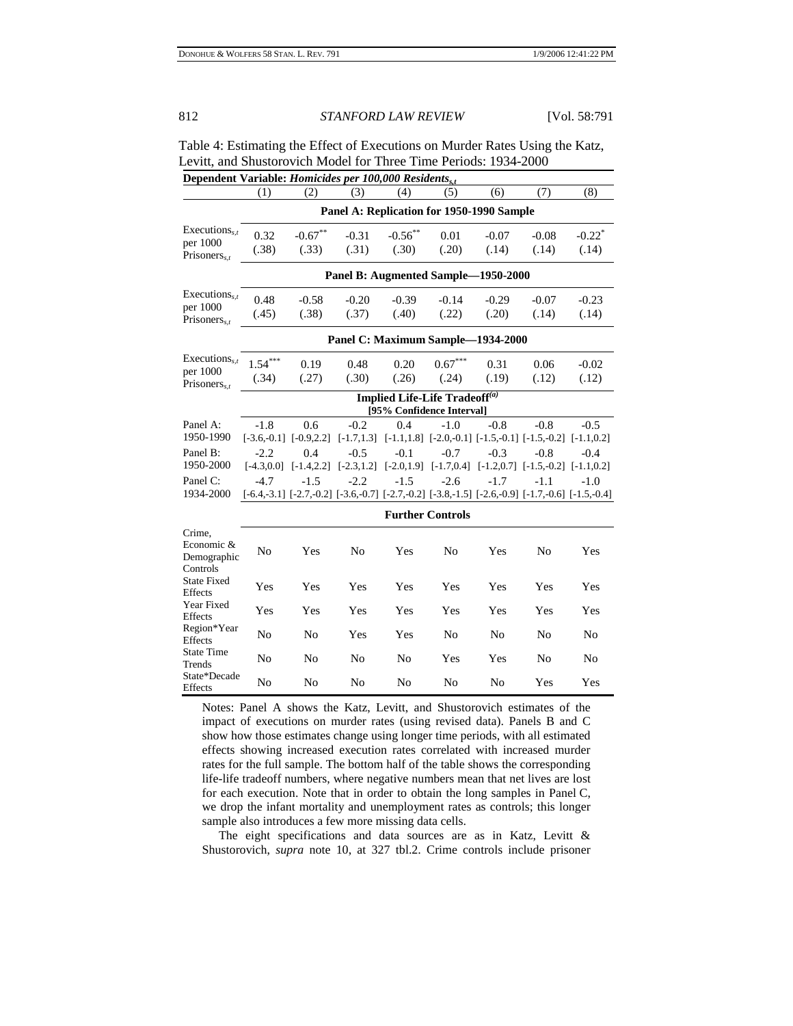| Dependent Verichle: Hemisides new 100,000 Desidents                          |
|------------------------------------------------------------------------------|
| Levitt, and Shustorovich Model for Three Time Periods: 1934-2000             |
| Table 4: Estimating the Effect of Executions on Murder Rates Using the Katz, |

| Dependent variable: <i>Homiciaes per 100,000 Residents<sub>s.t</sub></i> |                                                                        |                                    |                                           |                     |                         |                  |                                                                                                                                   |                               |
|--------------------------------------------------------------------------|------------------------------------------------------------------------|------------------------------------|-------------------------------------------|---------------------|-------------------------|------------------|-----------------------------------------------------------------------------------------------------------------------------------|-------------------------------|
|                                                                          | (1)                                                                    | (2)                                | (3)                                       | (4)                 | (5)                     | (6)              | (7)                                                                                                                               | (8)                           |
|                                                                          |                                                                        |                                    | Panel A: Replication for 1950-1990 Sample |                     |                         |                  |                                                                                                                                   |                               |
| Executions,<br>per 1000<br>Prisoners $_{s,t}$                            | 0.32<br>(.38)                                                          | $-0.67**$<br>(.33)                 | $-0.31$<br>(.31)                          | $-0.56$ **<br>(.30) | 0.01<br>(.20)           | $-0.07$<br>(.14) | $-0.08$<br>(.14)                                                                                                                  | $-0.22$ <sup>*</sup><br>(.14) |
|                                                                          |                                                                        |                                    | Panel B: Augmented Sample-1950-2000       |                     |                         |                  |                                                                                                                                   |                               |
| Executions <sub>s,t</sub><br>per 1000<br>Prisoners $_{s.t}$              | 0.48<br>(.45)                                                          | $-0.58$<br>(.38)                   | $-0.20$<br>(.37)                          | $-0.39$<br>(.40)    | $-0.14$<br>(.22)        | $-0.29$<br>(.20) | $-0.07$<br>(.14)                                                                                                                  | $-0.23$<br>(.14)              |
|                                                                          | Panel C: Maximum Sample-1934-2000                                      |                                    |                                           |                     |                         |                  |                                                                                                                                   |                               |
| Executions <sub>s,t</sub><br>per 1000<br>Prisoners,                      | $1.54***$<br>(.34)                                                     | 0.19<br>(.27)                      | 0.48<br>(.30)                             | 0.20<br>(.26)       | $0.67***$<br>(.24)      | 0.31<br>(.19)    | 0.06<br>(.12)                                                                                                                     | $-0.02$<br>(.12)              |
|                                                                          | Implied Life-Life Tradeoff <sup>(a)</sup><br>[95% Confidence Interval] |                                    |                                           |                     |                         |                  |                                                                                                                                   |                               |
| Panel A:<br>1950-1990                                                    | $-1.8$<br>$[-3.6,-0.1]$ $[-0.9,2.2]$                                   | 0.6                                | $-0.2$                                    | 0.4                 | $-1.0$                  | $-0.8$           | $-0.8$<br>$[-1.7, 1.3]$ $[-1.1, 1.8]$ $[-2.0, -0.1]$ $[-1.5, -0.1]$ $[-1.5, -0.2]$ $[-1.1, 0.2]$                                  | $-0.5$                        |
| Panel B:<br>1950-2000                                                    | $-2.2$                                                                 | 0.4<br>$[-4.3, 0.0]$ $[-1.4, 2.2]$ | $-0.5$                                    | $-0.1$              | $-0.7$                  | $-0.3$           | $-0.8$<br>$[-2.3, 1.2]$ $[-2.0, 1.9]$ $[-1.7, 0.4]$ $[-1.2, 0.7]$ $[-1.5, -0.2]$ $[-1.1, 0.2]$                                    | $-0.4$                        |
| Panel C:<br>1934-2000                                                    | $-4.7$                                                                 | $-1.5$                             | $-2.2$                                    | $-1.5$              | $-2.6$                  | $-1.7$           | $-1.1$<br>$[-6.4, -3.1]$ $[-2.7, -0.2]$ $[-3.6, -0.7]$ $[-2.7, -0.2]$ $[-3.8, -1.5]$ $[-2.6, -0.9]$ $[-1.7, -0.6]$ $[-1.5, -0.4]$ | $-1.0$                        |
|                                                                          |                                                                        |                                    |                                           |                     | <b>Further Controls</b> |                  |                                                                                                                                   |                               |
| Crime.<br>Economic &<br>Demographic<br>Controls                          | No                                                                     | Yes                                | N <sub>o</sub>                            | Yes                 | N <sub>o</sub>          | Yes              | N <sub>0</sub>                                                                                                                    | Yes                           |
| <b>State Fixed</b><br>Effects                                            | Yes                                                                    | Yes                                | Yes                                       | Yes                 | Yes                     | Yes              | Yes                                                                                                                               | Yes                           |
| Year Fixed<br>Effects                                                    | Yes                                                                    | Yes                                | Yes                                       | Yes                 | Yes                     | Yes              | Yes                                                                                                                               | Yes                           |
| Region*Year<br>Effects                                                   | N <sub>o</sub>                                                         | N <sub>0</sub>                     | Yes                                       | Yes                 | N <sub>0</sub>          | N <sub>0</sub>   | N <sub>0</sub>                                                                                                                    | No                            |
| <b>State Time</b><br>Trends                                              | No                                                                     | N <sub>0</sub>                     | N <sub>o</sub>                            | N <sub>o</sub>      | Yes                     | Yes              | N <sub>0</sub>                                                                                                                    | N <sub>o</sub>                |
| State*Decade<br>Effects                                                  | N <sub>o</sub>                                                         | N <sub>0</sub>                     | No                                        | No                  | N <sub>0</sub>          | No               | Yes                                                                                                                               | Yes                           |

Notes: Panel A shows the Katz, Levitt, and Shustorovich estimates of the impact of executions on murder rates (using revised data). Panels B and C show how those estimates change using longer time periods, with all estimated effects showing increased execution rates correlated with increased murder rates for the full sample. The bottom half of the table shows the corresponding life-life tradeoff numbers, where negative numbers mean that net lives are lost for each execution. Note that in order to obtain the long samples in Panel C, we drop the infant mortality and unemployment rates as controls; this longer sample also introduces a few more missing data cells.

 The eight specifications and data sources are as in Katz, Levitt & Shustorovich, *supra* note 10, at 327 tbl.2. Crime controls include prisoner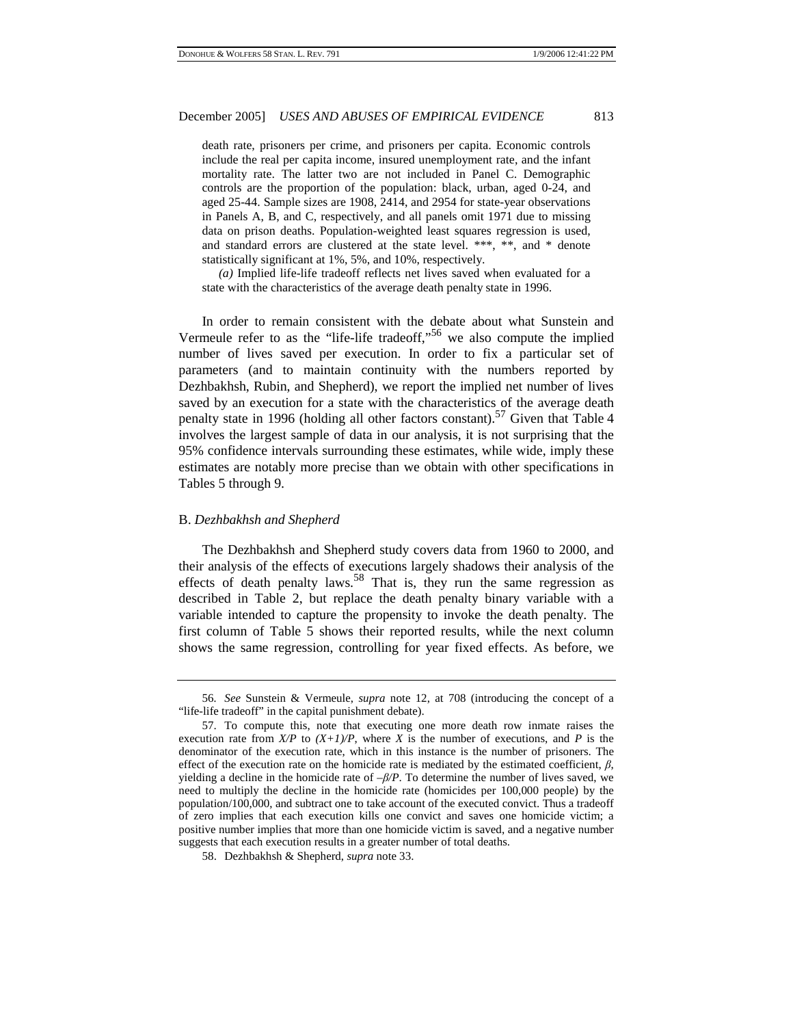death rate, prisoners per crime, and prisoners per capita. Economic controls include the real per capita income, insured unemployment rate, and the infant mortality rate. The latter two are not included in Panel C. Demographic controls are the proportion of the population: black, urban, aged 0-24, and aged 25-44. Sample sizes are 1908, 2414, and 2954 for state-year observations in Panels A, B, and C, respectively, and all panels omit 1971 due to missing data on prison deaths. Population-weighted least squares regression is used, and standard errors are clustered at the state level. \*\*\*, \*\*, and \* denote statistically significant at 1%, 5%, and 10%, respectively.

*(a)* Implied life-life tradeoff reflects net lives saved when evaluated for a state with the characteristics of the average death penalty state in 1996.

In order to remain consistent with the debate about what Sunstein and Vermeule refer to as the "life-life tradeoff,"<sup>56</sup> we also compute the implied number of lives saved per execution. In order to fix a particular set of parameters (and to maintain continuity with the numbers reported by Dezhbakhsh, Rubin, and Shepherd), we report the implied net number of lives saved by an execution for a state with the characteristics of the average death penalty state in 1996 (holding all other factors constant).<sup>57</sup> Given that Table 4 involves the largest sample of data in our analysis, it is not surprising that the 95% confidence intervals surrounding these estimates, while wide, imply these estimates are notably more precise than we obtain with other specifications in Tables 5 through 9.

#### B. *Dezhbakhsh and Shepherd*

The Dezhbakhsh and Shepherd study covers data from 1960 to 2000, and their analysis of the effects of executions largely shadows their analysis of the effects of death penalty laws.<sup>58</sup> That is, they run the same regression as described in Table 2, but replace the death penalty binary variable with a variable intended to capture the propensity to invoke the death penalty. The first column of Table 5 shows their reported results, while the next column shows the same regression, controlling for year fixed effects. As before, we

<sup>56</sup>*. See* Sunstein & Vermeule, *supra* note 12, at 708 (introducing the concept of a "life-life tradeoff" in the capital punishment debate).

<sup>57.</sup> To compute this, note that executing one more death row inmate raises the execution rate from  $X/P$  to  $(X+1)/P$ , where X is the number of executions, and P is the denominator of the execution rate, which in this instance is the number of prisoners. The effect of the execution rate on the homicide rate is mediated by the estimated coefficient,  $\beta$ , yielding a decline in the homicide rate of *–β/P*. To determine the number of lives saved, we need to multiply the decline in the homicide rate (homicides per 100,000 people) by the population/100,000, and subtract one to take account of the executed convict. Thus a tradeoff of zero implies that each execution kills one convict and saves one homicide victim; a positive number implies that more than one homicide victim is saved, and a negative number suggests that each execution results in a greater number of total deaths.

<sup>58.</sup> Dezhbakhsh & Shepherd, *supra* note 33.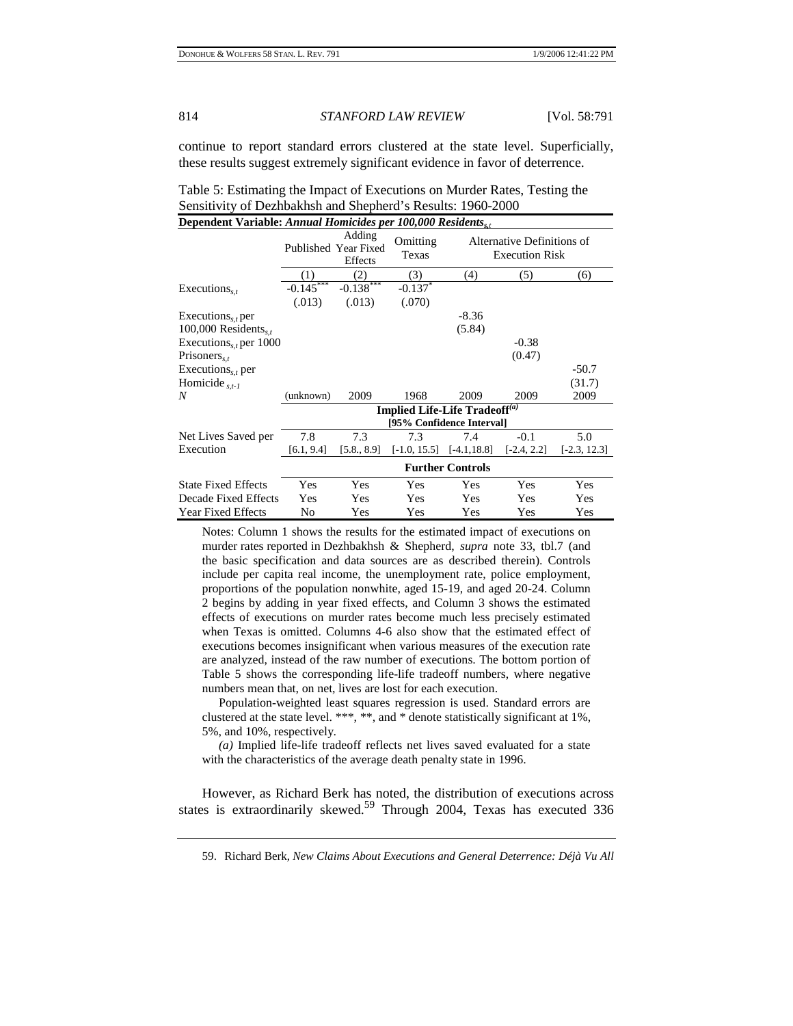continue to report standard errors clustered at the state level. Superficially, these results suggest extremely significant evidence in favor of deterrence.

Table 5: Estimating the Impact of Executions on Murder Rates, Testing the Sensitivity of Dezhbakhsh and Shepherd's Results: 1960-2000 **Dependent Variable:** *Annual Homicides per 100,000 Residentss,<sup>t</sup>*

| P                                  |                                           |             |                   |                                                     |               |                |  |  |
|------------------------------------|-------------------------------------------|-------------|-------------------|-----------------------------------------------------|---------------|----------------|--|--|
|                                    | Adding<br>Published Year Fixed<br>Effects |             | Omitting<br>Texas | Alternative Definitions of<br><b>Execution Risk</b> |               |                |  |  |
|                                    | (1)                                       | (2)         | (3)               | (4)                                                 | (5)           | (6)            |  |  |
| Executions, $\epsilon$             | $-0.145***$                               | $-0.138***$ | $-0.137$          |                                                     |               |                |  |  |
|                                    | (.013)                                    | (.013)      | (.070)            |                                                     |               |                |  |  |
| Executions <sub>s,t</sub> per      |                                           |             |                   | $-8.36$                                             |               |                |  |  |
| 100,000 Residents, $s,t$           |                                           |             |                   | (5.84)                                              |               |                |  |  |
| Executions <sub>s,t</sub> per 1000 |                                           |             |                   |                                                     | $-0.38$       |                |  |  |
| Prisoners <sub>s,t</sub>           |                                           |             |                   |                                                     | (0.47)        |                |  |  |
| Executions <sub>s,t</sub> per      |                                           |             |                   |                                                     |               | $-50.7$        |  |  |
| Homicide $_{s,t-1}$                |                                           |             |                   |                                                     |               | (31.7)         |  |  |
| N                                  | (unknown)                                 | 2009        | 1968              | 2009                                                | 2009          | 2009           |  |  |
|                                    |                                           |             |                   | Implied Life-Life Tradeoff <sup>(a)</sup>           |               |                |  |  |
|                                    |                                           |             |                   | [95% Confidence Interval]                           |               |                |  |  |
| Net Lives Saved per                | 7.8                                       | 7.3         | 7.3               | 7.4                                                 | $-0.1$        | 5.0            |  |  |
| Execution                          | [6.1, 9.4]                                | [5.8., 8.9] | $[-1.0, 15.5]$    | $[-4.1, 18.8]$                                      | $[-2.4, 2.2]$ | $[-2.3, 12.3]$ |  |  |
|                                    | <b>Further Controls</b>                   |             |                   |                                                     |               |                |  |  |
| <b>State Fixed Effects</b>         | Yes                                       | Yes         | Yes               | Yes                                                 | Yes           | Yes            |  |  |
| Decade Fixed Effects               | Yes                                       | Yes         | Yes               | Yes                                                 | Yes           | Yes            |  |  |
| <b>Year Fixed Effects</b>          | No                                        | Yes         | Yes               | Yes                                                 | Yes           | Yes            |  |  |

Notes: Column 1 shows the results for the estimated impact of executions on murder rates reported in Dezhbakhsh & Shepherd, *supra* note 33, tbl.7 (and the basic specification and data sources are as described therein). Controls include per capita real income, the unemployment rate, police employment, proportions of the population nonwhite, aged 15-19, and aged 20-24. Column 2 begins by adding in year fixed effects, and Column 3 shows the estimated effects of executions on murder rates become much less precisely estimated when Texas is omitted. Columns 4-6 also show that the estimated effect of executions becomes insignificant when various measures of the execution rate are analyzed, instead of the raw number of executions. The bottom portion of Table 5 shows the corresponding life-life tradeoff numbers, where negative numbers mean that, on net, lives are lost for each execution.

 Population-weighted least squares regression is used. Standard errors are clustered at the state level. \*\*\*, \*\*, and \* denote statistically significant at 1%, 5%, and 10%, respectively.

*(a)* Implied life-life tradeoff reflects net lives saved evaluated for a state with the characteristics of the average death penalty state in 1996.

However, as Richard Berk has noted, the distribution of executions across states is extraordinarily skewed.<sup>59</sup> Through 2004, Texas has executed 336

<sup>59.</sup> Richard Berk, *New Claims About Executions and General Deterrence: Déjà Vu All*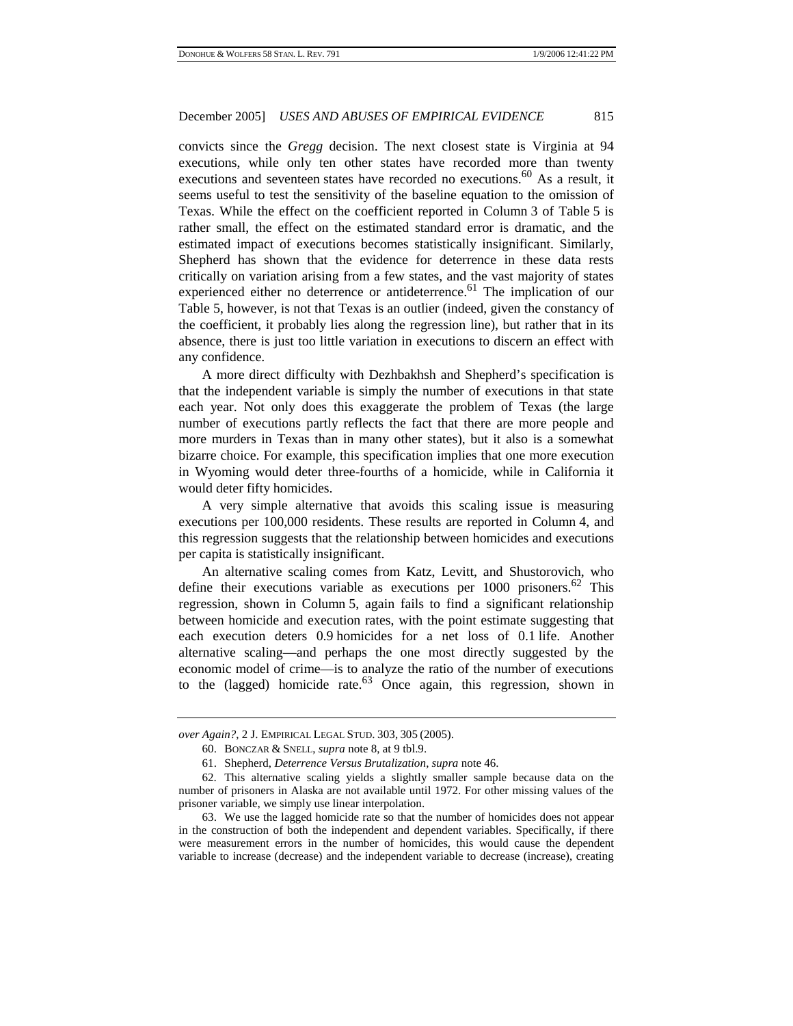convicts since the *Gregg* decision. The next closest state is Virginia at 94 executions, while only ten other states have recorded more than twenty executions and seventeen states have recorded no executions.<sup>60</sup> As a result, it seems useful to test the sensitivity of the baseline equation to the omission of Texas. While the effect on the coefficient reported in Column 3 of Table 5 is rather small, the effect on the estimated standard error is dramatic, and the estimated impact of executions becomes statistically insignificant. Similarly, Shepherd has shown that the evidence for deterrence in these data rests critically on variation arising from a few states, and the vast majority of states experienced either no deterrence or antideterrence.<sup>61</sup> The implication of our Table 5, however, is not that Texas is an outlier (indeed, given the constancy of the coefficient, it probably lies along the regression line), but rather that in its absence, there is just too little variation in executions to discern an effect with any confidence.

A more direct difficulty with Dezhbakhsh and Shepherd's specification is that the independent variable is simply the number of executions in that state each year. Not only does this exaggerate the problem of Texas (the large number of executions partly reflects the fact that there are more people and more murders in Texas than in many other states), but it also is a somewhat bizarre choice. For example, this specification implies that one more execution in Wyoming would deter three-fourths of a homicide, while in California it would deter fifty homicides.

A very simple alternative that avoids this scaling issue is measuring executions per 100,000 residents. These results are reported in Column 4, and this regression suggests that the relationship between homicides and executions per capita is statistically insignificant.

An alternative scaling comes from Katz, Levitt, and Shustorovich, who define their executions variable as executions per  $1000$  prisoners.<sup>62</sup> This regression, shown in Column 5, again fails to find a significant relationship between homicide and execution rates, with the point estimate suggesting that each execution deters 0.9 homicides for a net loss of 0.1 life. Another alternative scaling—and perhaps the one most directly suggested by the economic model of crime—is to analyze the ratio of the number of executions to the (lagged) homicide rate. $^{63}$  Once again, this regression, shown in

*over Again?*, 2 J. EMPIRICAL LEGAL STUD. 303, 305 (2005).

<sup>60.</sup> BONCZAR & SNELL, *supra* note 8, at 9 tbl.9.

<sup>61.</sup> Shepherd, *Deterrence Versus Brutalization*, *supra* note 46.

<sup>62.</sup> This alternative scaling yields a slightly smaller sample because data on the number of prisoners in Alaska are not available until 1972. For other missing values of the prisoner variable, we simply use linear interpolation.

<sup>63.</sup> We use the lagged homicide rate so that the number of homicides does not appear in the construction of both the independent and dependent variables. Specifically, if there were measurement errors in the number of homicides, this would cause the dependent variable to increase (decrease) and the independent variable to decrease (increase), creating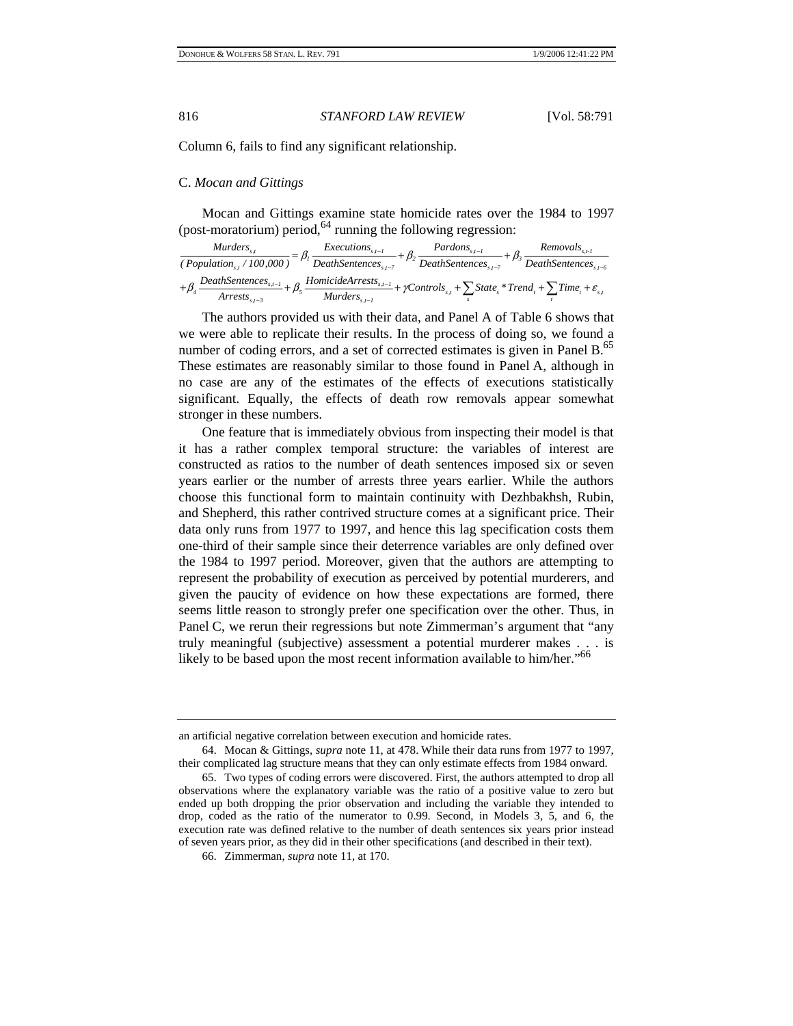Column 6, fails to find any significant relationship.

#### C. *Mocan and Gittings*

Mocan and Gittings examine state homicide rates over the 1984 to 1997 (post-moratorium) period,  $64$  running the following regression:

| Murders                                                                                                                                                                                   | <i>Executions</i> <sub><math>s,t-1</math></sub> + $\beta$ | $Pardons_{s,t-l}$                                                                                                                                                                                                                                          | $Removalss,t-1$ |
|-------------------------------------------------------------------------------------------------------------------------------------------------------------------------------------------|-----------------------------------------------------------|------------------------------------------------------------------------------------------------------------------------------------------------------------------------------------------------------------------------------------------------------------|-----------------|
| $\frac{1}{P}$ (Population <sub>ss</sub> /100,000) <sup>=</sup> $p_1$ $\frac{1}{DeathSentences_{s,t-7}} + p_2$ $\frac{1}{DeathSentences_{s,t-7}} + p_3$ $\frac{1}{DeathSentences_{s,t-6}}$ |                                                           |                                                                                                                                                                                                                                                            |                 |
| $Arrests_{s,t-3}$                                                                                                                                                                         | $Murders_{s,t-1}$                                         | $\beta$ DeathSentences <sub>s,<math>-1</math></sub> + $\beta$ . HomicideArrests <sub>s,<math>-1</math></sub> + $\gamma$ Controls <sub>s,I</sub> + $\sum$ State <sub>s</sub> * Trend <sub>t</sub> + $\sum$ Time <sub>t</sub> + $\varepsilon$ <sub>s,I</sub> |                 |

The authors provided us with their data, and Panel A of Table 6 shows that we were able to replicate their results. In the process of doing so, we found a number of coding errors, and a set of corrected estimates is given in Panel B.<sup>65</sup> These estimates are reasonably similar to those found in Panel A, although in no case are any of the estimates of the effects of executions statistically significant. Equally, the effects of death row removals appear somewhat stronger in these numbers.

One feature that is immediately obvious from inspecting their model is that it has a rather complex temporal structure: the variables of interest are constructed as ratios to the number of death sentences imposed six or seven years earlier or the number of arrests three years earlier. While the authors choose this functional form to maintain continuity with Dezhbakhsh, Rubin, and Shepherd, this rather contrived structure comes at a significant price. Their data only runs from 1977 to 1997, and hence this lag specification costs them one-third of their sample since their deterrence variables are only defined over the 1984 to 1997 period. Moreover, given that the authors are attempting to represent the probability of execution as perceived by potential murderers, and given the paucity of evidence on how these expectations are formed, there seems little reason to strongly prefer one specification over the other. Thus, in Panel C, we rerun their regressions but note Zimmerman's argument that "any truly meaningful (subjective) assessment a potential murderer makes . . . is likely to be based upon the most recent information available to him/her."<sup>66</sup>

an artificial negative correlation between execution and homicide rates.

<sup>64.</sup> Mocan & Gittings, *supra* note 11, at 478. While their data runs from 1977 to 1997, their complicated lag structure means that they can only estimate effects from 1984 onward.

<sup>65.</sup> Two types of coding errors were discovered. First, the authors attempted to drop all observations where the explanatory variable was the ratio of a positive value to zero but ended up both dropping the prior observation and including the variable they intended to drop, coded as the ratio of the numerator to 0.99. Second, in Models 3, 5, and 6, the execution rate was defined relative to the number of death sentences six years prior instead of seven years prior, as they did in their other specifications (and described in their text).

<sup>66.</sup> Zimmerman, *supra* note 11, at 170.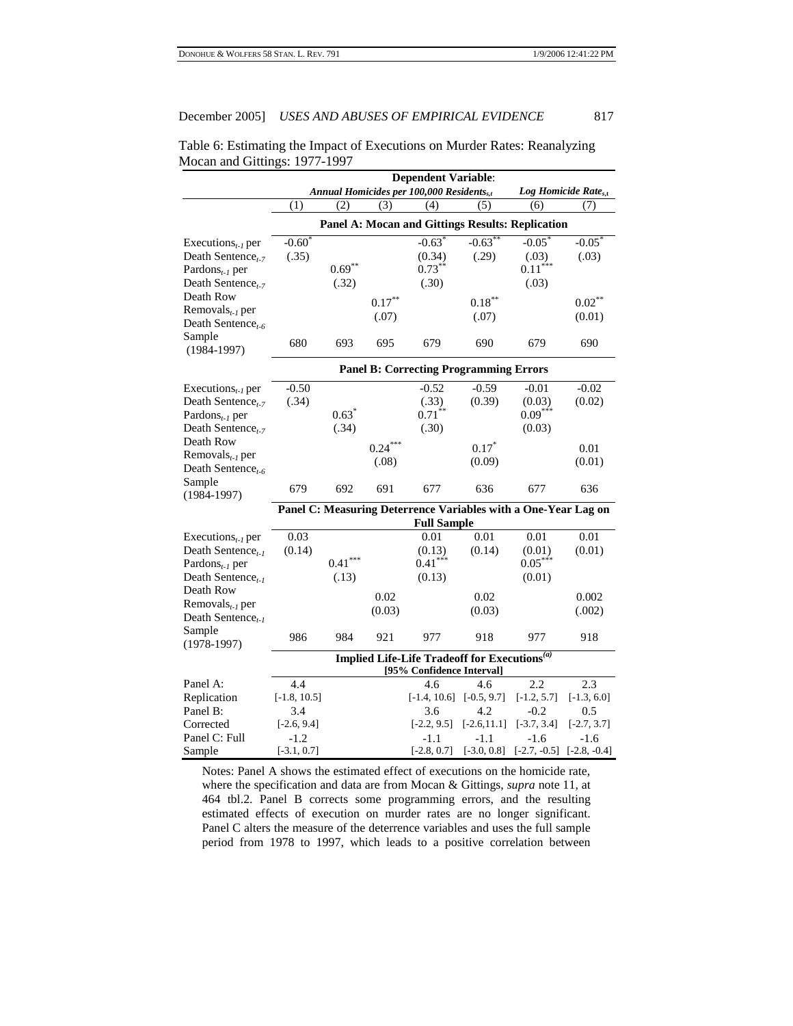| Table 6: Estimating the Impact of Executions on Murder Rates: Reanalyzing |  |
|---------------------------------------------------------------------------|--|
| Mocan and Gittings: 1977-1997                                             |  |

|                                            |                                               |           |           | <b>Dependent Variable:</b>                                     |                   |                       |                                  |
|--------------------------------------------|-----------------------------------------------|-----------|-----------|----------------------------------------------------------------|-------------------|-----------------------|----------------------------------|
|                                            |                                               |           |           | Annual Homicides per 100,000 Residents <sub>s.t</sub>          |                   |                       | Log Homicide Rate <sub>s.t</sub> |
|                                            | (1)                                           | (2)       | (3)       | (4)                                                            | (5)               | (6)                   | (7)                              |
|                                            |                                               |           |           | <b>Panel A: Mocan and Gittings Results: Replication</b>        |                   |                       |                                  |
| Executions <sub>t-1</sub> per              | $-0.60$                                       |           |           | $-0.63$                                                        | $-0.63$           | $-0.05$               | $-0.05$                          |
| Death Sentence <sub>t-7</sub>              | (.35)                                         |           |           | (0.34)                                                         | (.29)             | (.03)                 | (.03)                            |
| Pardons $_{t-1}$ per                       |                                               | $0.69***$ |           | $0.73***$                                                      |                   | $0.11$ <sup>***</sup> |                                  |
| Death Sentence <sub>t-7</sub>              |                                               | (.32)     |           | (.30)                                                          |                   | (.03)                 |                                  |
| Death Row                                  |                                               |           | $0.17***$ |                                                                | $0.18***$         |                       | $0.02***$                        |
| Removals $_{t-1}$ per                      |                                               |           | (.07)     |                                                                | (.07)             |                       | (0.01)                           |
| Death Sentence <sub>t-6</sub>              |                                               |           |           |                                                                |                   |                       |                                  |
| Sample<br>$(1984 - 1997)$                  | 680                                           | 693       | 695       | 679                                                            | 690               | 679                   | 690                              |
|                                            | <b>Panel B: Correcting Programming Errors</b> |           |           |                                                                |                   |                       |                                  |
| Executions <sub>t-1</sub> per              | $-0.50$                                       |           |           | $-0.52$                                                        | $-0.59$           | $-0.01$               | $-0.02$                          |
| Death Sentence <sub>t-7</sub>              | (.34)                                         |           |           | (.33)                                                          | (0.39)            | (0.03)                | (0.02)                           |
| Pardons <sub>t-1</sub> per                 |                                               | $0.63*$   |           | $0.71***$                                                      |                   | $0.09***$             |                                  |
| Death Sentence <sub>t-7</sub>              |                                               | (.34)     |           | (.30)                                                          |                   | (0.03)                |                                  |
| Death Row                                  |                                               |           | $0.24***$ |                                                                | $0.17*$           |                       | 0.01                             |
| Removals $_{t-1}$ per                      |                                               |           | (.08)     |                                                                | (0.09)            |                       | (0.01)                           |
| Death Sentence <sub>t-6</sub>              |                                               |           |           |                                                                |                   |                       |                                  |
| Sample<br>$(1984 - 1997)$                  | 679                                           | 692       | 691       | 677                                                            | 636               | 677                   | 636                              |
|                                            |                                               |           |           | Panel C: Measuring Deterrence Variables with a One-Year Lag on |                   |                       |                                  |
|                                            |                                               |           |           | <b>Full Sample</b>                                             |                   |                       |                                  |
| Executions <sub><math>t-1</math></sub> per | 0.03                                          |           |           | 0.01                                                           | $\overline{0.01}$ | 0.01                  | 0.01                             |
| Death Sentence,                            | (0.14)                                        |           |           | (0.13)                                                         | (0.14)            | (0.01)                | (0.01)                           |
| Pardons <sub>t-1</sub> per                 |                                               | $0.41***$ |           | $0.41***$                                                      |                   | $0.05***$             |                                  |
| Death Sentence,                            |                                               | (.13)     |           | (0.13)                                                         |                   | (0.01)                |                                  |
| Death Row                                  |                                               |           | 0.02      |                                                                | 0.02              |                       | 0.002                            |
| Removals $_{t-1}$ per                      |                                               |           | (0.03)    |                                                                | (0.03)            |                       | (.002)                           |
| Death Sentence <sub>t-1</sub>              |                                               |           |           |                                                                |                   |                       |                                  |
| Sample<br>$(1978-1997)$                    | 986                                           | 984       | 921       | 977                                                            | 918               | 977                   | 918                              |
|                                            |                                               |           |           | Implied Life-Life Tradeoff for Executions <sup>(a)</sup>       |                   |                       |                                  |
|                                            |                                               |           |           | [95% Confidence Interval]                                      |                   |                       |                                  |
| Panel A:                                   | 4.4                                           |           |           | 4.6                                                            | 4.6               | 2.2                   | 2.3                              |
| Replication                                | $[-1.8, 10.5]$                                |           |           | $[-1.4, 10.6]$                                                 | $[-0.5, 9.7]$     | $[-1.2, 5.7]$         | $[-1.3, 6.0]$                    |
| Panel B:                                   | 3.4                                           |           |           | 3.6                                                            | 4.2               | $-0.2$                | 0.5                              |
| Corrected                                  | $[-2.6, 9.4]$                                 |           |           | $[-2.2, 9.5]$                                                  | $[-2.6, 11.1]$    | $[-3.7, 3.4]$         | $[-2.7, 3.7]$                    |
| Panel C: Full                              | $-1.2$                                        |           |           | $-1.1$                                                         | -1.1              | $-1.6$                | $-1.6$                           |
| Sample                                     | $[-3.1, 0.7]$                                 |           |           | $[-2.8, 0.7]$                                                  | $[-3.0, 0.8]$     | $[-2.7, -0.5]$        | $[-2.8, -0.4]$                   |

Notes: Panel A shows the estimated effect of executions on the homicide rate, where the specification and data are from Mocan & Gittings, *supra* note 11, at 464 tbl.2. Panel B corrects some programming errors, and the resulting estimated effects of execution on murder rates are no longer significant. Panel C alters the measure of the deterrence variables and uses the full sample period from 1978 to 1997, which leads to a positive correlation between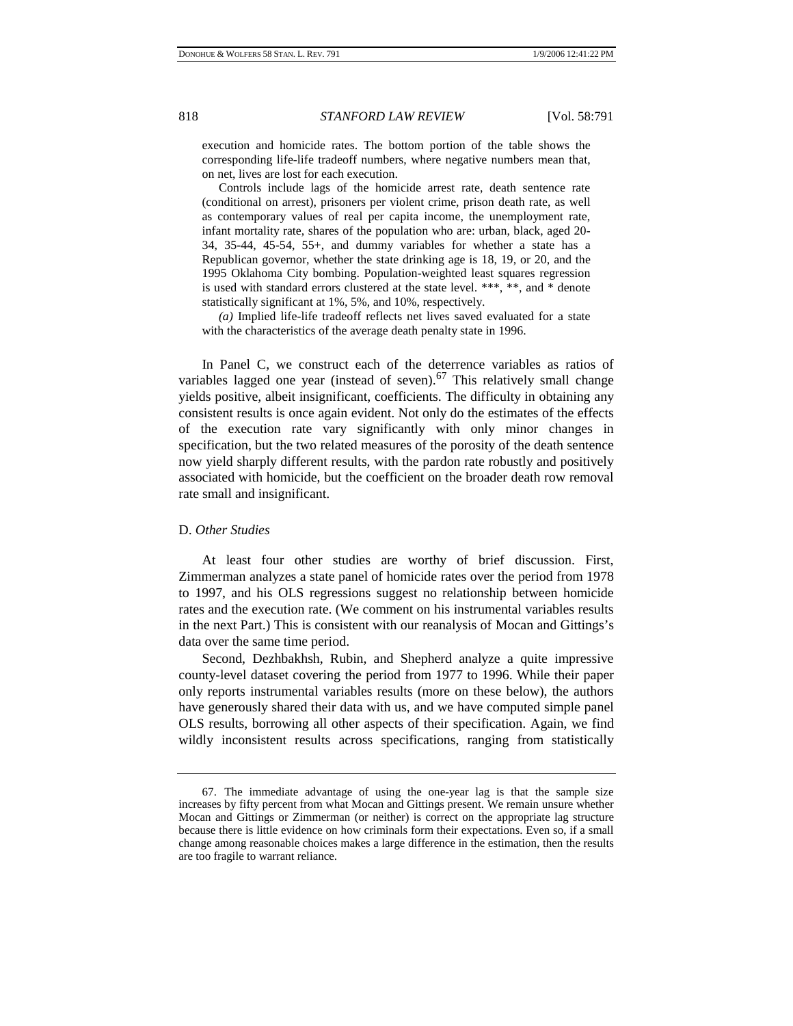execution and homicide rates. The bottom portion of the table shows the corresponding life-life tradeoff numbers, where negative numbers mean that, on net, lives are lost for each execution.

 Controls include lags of the homicide arrest rate, death sentence rate (conditional on arrest), prisoners per violent crime, prison death rate, as well as contemporary values of real per capita income, the unemployment rate, infant mortality rate, shares of the population who are: urban, black, aged 20- 34, 35-44, 45-54, 55+, and dummy variables for whether a state has a Republican governor, whether the state drinking age is 18, 19, or 20, and the 1995 Oklahoma City bombing. Population-weighted least squares regression is used with standard errors clustered at the state level. \*\*\*, \*\*, and \* denote statistically significant at 1%, 5%, and 10%, respectively.

 *(a)* Implied life-life tradeoff reflects net lives saved evaluated for a state with the characteristics of the average death penalty state in 1996.

In Panel C, we construct each of the deterrence variables as ratios of variables lagged one year (instead of seven). $^{67}$  This relatively small change yields positive, albeit insignificant, coefficients. The difficulty in obtaining any consistent results is once again evident. Not only do the estimates of the effects of the execution rate vary significantly with only minor changes in specification, but the two related measures of the porosity of the death sentence now yield sharply different results, with the pardon rate robustly and positively associated with homicide, but the coefficient on the broader death row removal rate small and insignificant.

#### D. *Other Studies*

At least four other studies are worthy of brief discussion. First, Zimmerman analyzes a state panel of homicide rates over the period from 1978 to 1997, and his OLS regressions suggest no relationship between homicide rates and the execution rate. (We comment on his instrumental variables results in the next Part.) This is consistent with our reanalysis of Mocan and Gittings's data over the same time period.

Second, Dezhbakhsh, Rubin, and Shepherd analyze a quite impressive county-level dataset covering the period from 1977 to 1996. While their paper only reports instrumental variables results (more on these below), the authors have generously shared their data with us, and we have computed simple panel OLS results, borrowing all other aspects of their specification. Again, we find wildly inconsistent results across specifications, ranging from statistically

<sup>67.</sup> The immediate advantage of using the one-year lag is that the sample size increases by fifty percent from what Mocan and Gittings present. We remain unsure whether Mocan and Gittings or Zimmerman (or neither) is correct on the appropriate lag structure because there is little evidence on how criminals form their expectations. Even so, if a small change among reasonable choices makes a large difference in the estimation, then the results are too fragile to warrant reliance.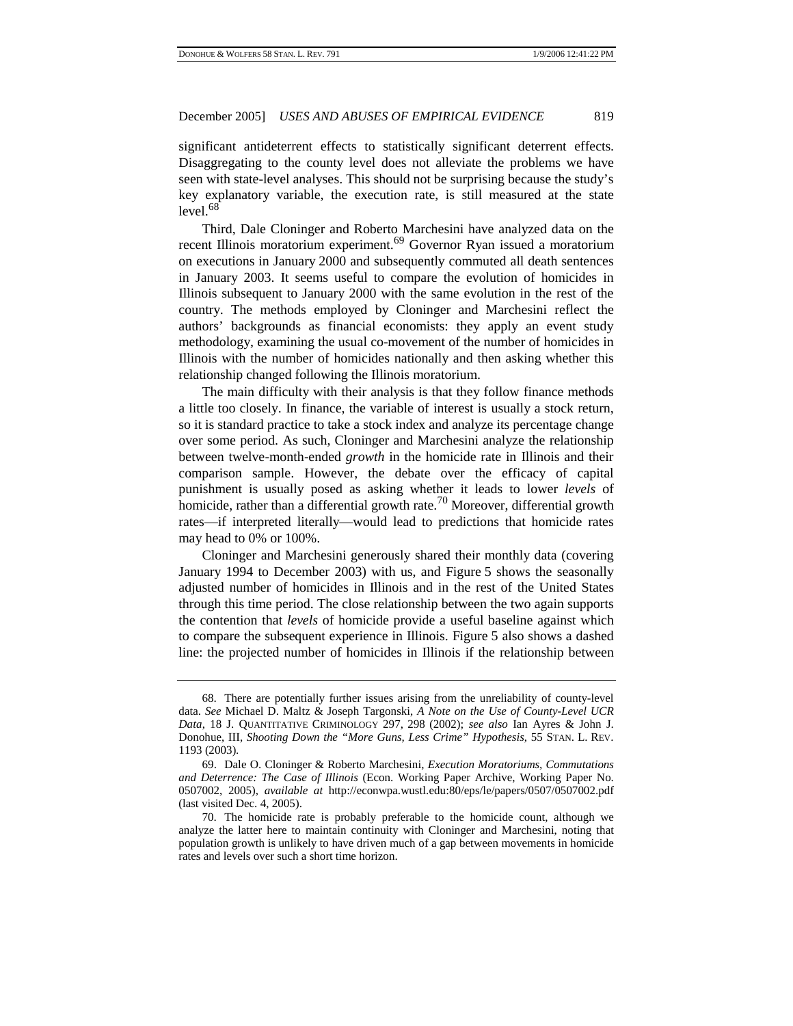significant antideterrent effects to statistically significant deterrent effects. Disaggregating to the county level does not alleviate the problems we have seen with state-level analyses. This should not be surprising because the study's key explanatory variable, the execution rate, is still measured at the state  $level.<sup>68</sup>$ 

Third, Dale Cloninger and Roberto Marchesini have analyzed data on the recent Illinois moratorium experiment.<sup>69</sup> Governor Ryan issued a moratorium on executions in January 2000 and subsequently commuted all death sentences in January 2003. It seems useful to compare the evolution of homicides in Illinois subsequent to January 2000 with the same evolution in the rest of the country. The methods employed by Cloninger and Marchesini reflect the authors' backgrounds as financial economists: they apply an event study methodology, examining the usual co-movement of the number of homicides in Illinois with the number of homicides nationally and then asking whether this relationship changed following the Illinois moratorium.

The main difficulty with their analysis is that they follow finance methods a little too closely. In finance, the variable of interest is usually a stock return, so it is standard practice to take a stock index and analyze its percentage change over some period. As such, Cloninger and Marchesini analyze the relationship between twelve-month-ended *growth* in the homicide rate in Illinois and their comparison sample. However, the debate over the efficacy of capital punishment is usually posed as asking whether it leads to lower *levels* of homicide, rather than a differential growth rate.<sup>70</sup> Moreover, differential growth rates—if interpreted literally—would lead to predictions that homicide rates may head to 0% or 100%.

Cloninger and Marchesini generously shared their monthly data (covering January 1994 to December 2003) with us, and Figure 5 shows the seasonally adjusted number of homicides in Illinois and in the rest of the United States through this time period. The close relationship between the two again supports the contention that *levels* of homicide provide a useful baseline against which to compare the subsequent experience in Illinois. Figure 5 also shows a dashed line: the projected number of homicides in Illinois if the relationship between

<sup>68.</sup> There are potentially further issues arising from the unreliability of county-level data. *See* Michael D. Maltz & Joseph Targonski, *A Note on the Use of County-Level UCR Data*, 18 J. QUANTITATIVE CRIMINOLOGY 297, 298 (2002); *see also* Ian Ayres & John J. Donohue, III, *Shooting Down the "More Guns, Less Crime" Hypothesis*, 55 STAN. L. REV. 1193 (2003).

<sup>69.</sup> Dale O. Cloninger & Roberto Marchesini, *Execution Moratoriums, Commutations and Deterrence: The Case of Illinois* (Econ. Working Paper Archive, Working Paper No. 0507002, 2005), *available at* http://econwpa.wustl.edu:80/eps/le/papers/0507/0507002.pdf (last visited Dec. 4, 2005).

<sup>70.</sup> The homicide rate is probably preferable to the homicide count, although we analyze the latter here to maintain continuity with Cloninger and Marchesini, noting that population growth is unlikely to have driven much of a gap between movements in homicide rates and levels over such a short time horizon.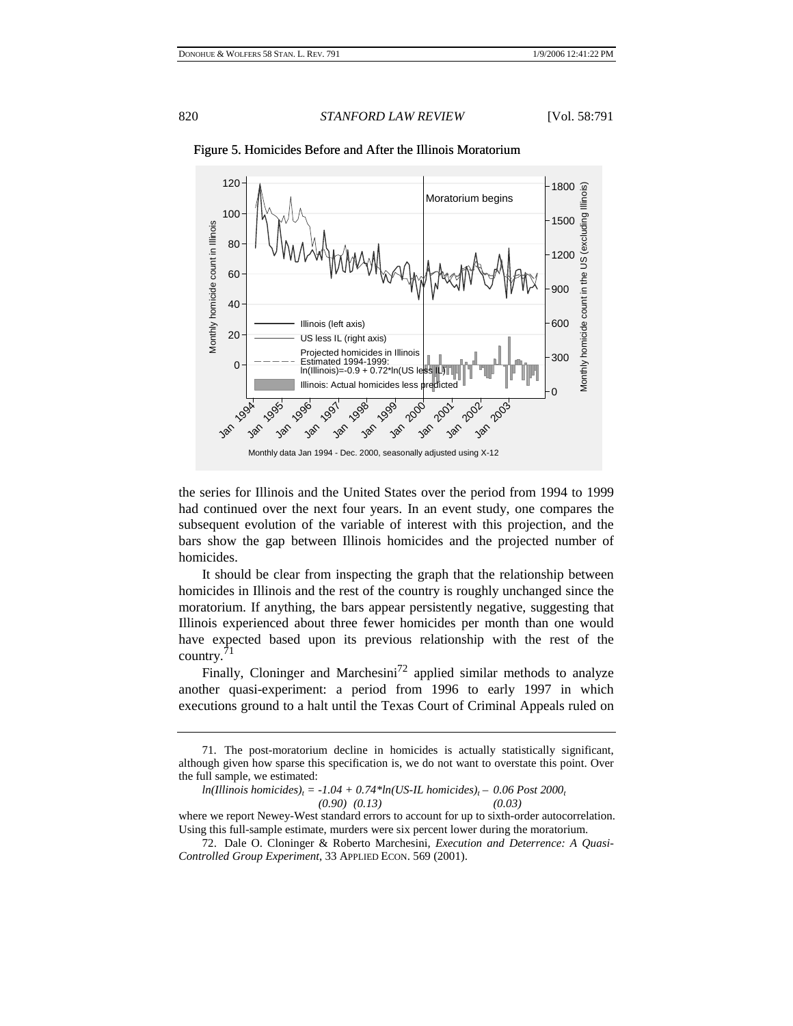

#### Figure 5. Homicides Before and After the Illinois Moratorium

the series for Illinois and the United States over the period from 1994 to 1999 had continued over the next four years. In an event study, one compares the subsequent evolution of the variable of interest with this projection, and the bars show the gap between Illinois homicides and the projected number of homicides.

It should be clear from inspecting the graph that the relationship between homicides in Illinois and the rest of the country is roughly unchanged since the moratorium. If anything, the bars appear persistently negative, suggesting that Illinois experienced about three fewer homicides per month than one would have expected based upon its previous relationship with the rest of the country.'

Finally, Cloninger and Marchesini<sup>72</sup> applied similar methods to analyze another quasi-experiment: a period from 1996 to early 1997 in which executions ground to a halt until the Texas Court of Criminal Appeals ruled on

<sup>71.</sup> The post-moratorium decline in homicides is actually statistically significant, although given how sparse this specification is, we do not want to overstate this point. Over the full sample, we estimated:

*ln(Illinois homicides)<sub>t</sub>* = -1.04 + 0.74\*ln(US-IL homicides)<sub>t</sub> – 0.06 Post 2000<sub>t</sub> (0.03) (0.13)  *(0.90) (0.13) (0.03)*

where we report Newey-West standard errors to account for up to sixth-order autocorrelation. Using this full-sample estimate, murders were six percent lower during the moratorium.

<sup>72.</sup> Dale O. Cloninger & Roberto Marchesini, *Execution and Deterrence: A Quasi-Controlled Group Experiment*, 33 APPLIED ECON. 569 (2001).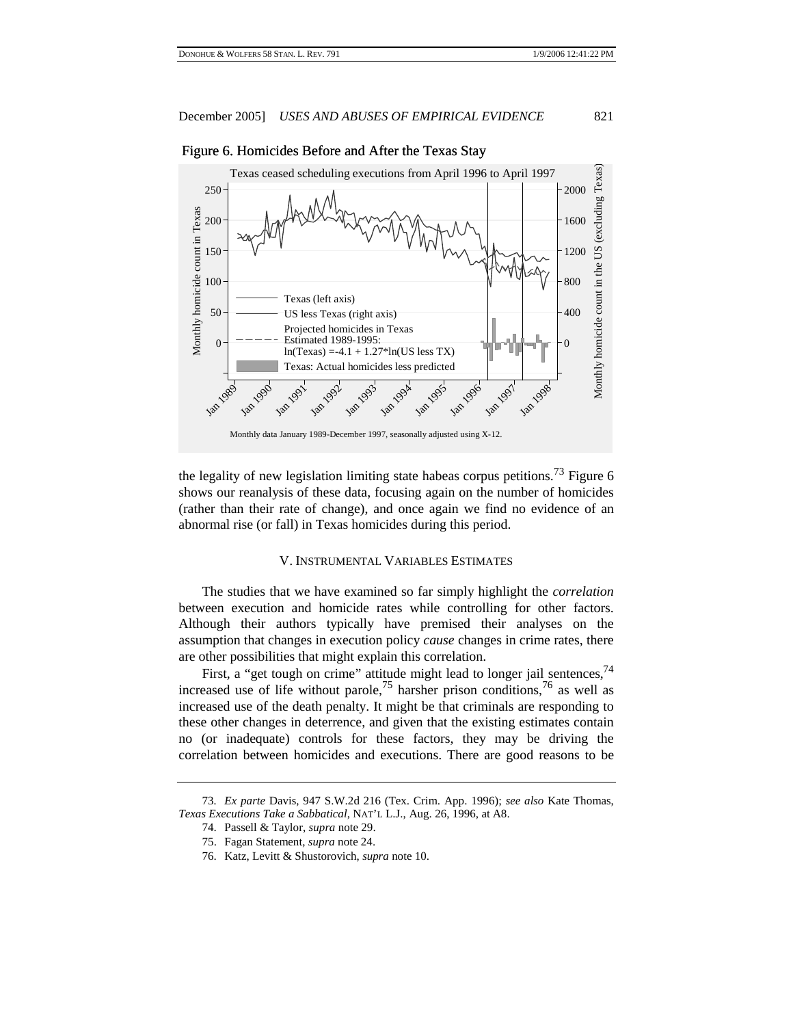

# Figure 6. Homicides Before and After the Texas Stay

the legality of new legislation limiting state habeas corpus petitions.<sup> $\frac{73}{5}$ </sup> Figure 6 shows our reanalysis of these data, focusing again on the number of homicides (rather than their rate of change), and once again we find no evidence of an abnormal rise (or fall) in Texas homicides during this period.

#### V. INSTRUMENTAL VARIABLES ESTIMATES

The studies that we have examined so far simply highlight the *correlation* between execution and homicide rates while controlling for other factors. Although their authors typically have premised their analyses on the assumption that changes in execution policy *cause* changes in crime rates, there are other possibilities that might explain this correlation.

First, a "get tough on crime" attitude might lead to longer jail sentences,  $^{74}$ increased use of life without parole,<sup>75</sup> harsher prison conditions,<sup>76</sup> as well as increased use of the death penalty. It might be that criminals are responding to these other changes in deterrence, and given that the existing estimates contain no (or inadequate) controls for these factors, they may be driving the correlation between homicides and executions. There are good reasons to be

<sup>73</sup>*. Ex parte* Davis, 947 S.W.2d 216 (Tex. Crim. App. 1996); *see also* Kate Thomas, *Texas Executions Take a Sabbatical*, NAT'L L.J., Aug. 26, 1996, at A8.

<sup>74.</sup> Passell & Taylor, *supra* note 29.

<sup>75.</sup> Fagan Statement, *supra* note 24.

<sup>76.</sup> Katz, Levitt & Shustorovich, *supra* note 10.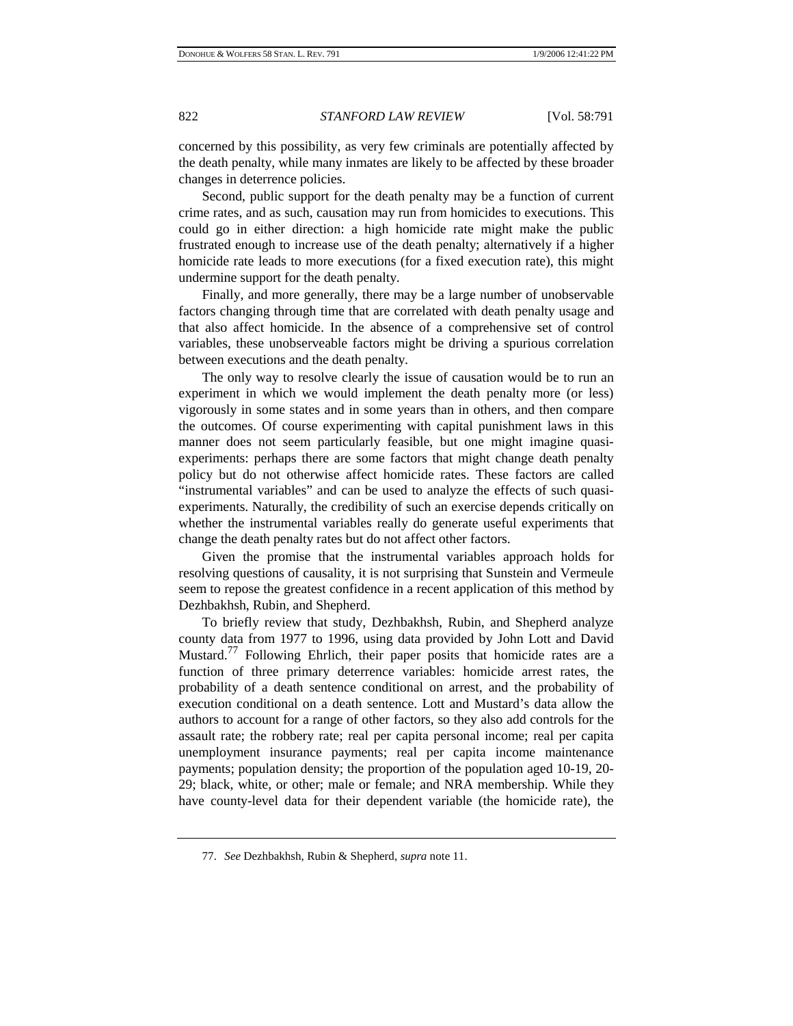concerned by this possibility, as very few criminals are potentially affected by the death penalty, while many inmates are likely to be affected by these broader changes in deterrence policies.

Second, public support for the death penalty may be a function of current crime rates, and as such, causation may run from homicides to executions. This could go in either direction: a high homicide rate might make the public frustrated enough to increase use of the death penalty; alternatively if a higher homicide rate leads to more executions (for a fixed execution rate), this might undermine support for the death penalty.

Finally, and more generally, there may be a large number of unobservable factors changing through time that are correlated with death penalty usage and that also affect homicide. In the absence of a comprehensive set of control variables, these unobserveable factors might be driving a spurious correlation between executions and the death penalty.

The only way to resolve clearly the issue of causation would be to run an experiment in which we would implement the death penalty more (or less) vigorously in some states and in some years than in others, and then compare the outcomes. Of course experimenting with capital punishment laws in this manner does not seem particularly feasible, but one might imagine quasiexperiments: perhaps there are some factors that might change death penalty policy but do not otherwise affect homicide rates. These factors are called "instrumental variables" and can be used to analyze the effects of such quasiexperiments. Naturally, the credibility of such an exercise depends critically on whether the instrumental variables really do generate useful experiments that change the death penalty rates but do not affect other factors.

Given the promise that the instrumental variables approach holds for resolving questions of causality, it is not surprising that Sunstein and Vermeule seem to repose the greatest confidence in a recent application of this method by Dezhbakhsh, Rubin, and Shepherd.

To briefly review that study, Dezhbakhsh, Rubin, and Shepherd analyze county data from 1977 to 1996, using data provided by John Lott and David Mustard.<sup>77</sup> Following Ehrlich, their paper posits that homicide rates are a function of three primary deterrence variables: homicide arrest rates, the probability of a death sentence conditional on arrest, and the probability of execution conditional on a death sentence. Lott and Mustard's data allow the authors to account for a range of other factors, so they also add controls for the assault rate; the robbery rate; real per capita personal income; real per capita unemployment insurance payments; real per capita income maintenance payments; population density; the proportion of the population aged 10-19, 20- 29; black, white, or other; male or female; and NRA membership. While they have county-level data for their dependent variable (the homicide rate), the

<sup>77.</sup> *See* Dezhbakhsh, Rubin & Shepherd, *supra* note 11.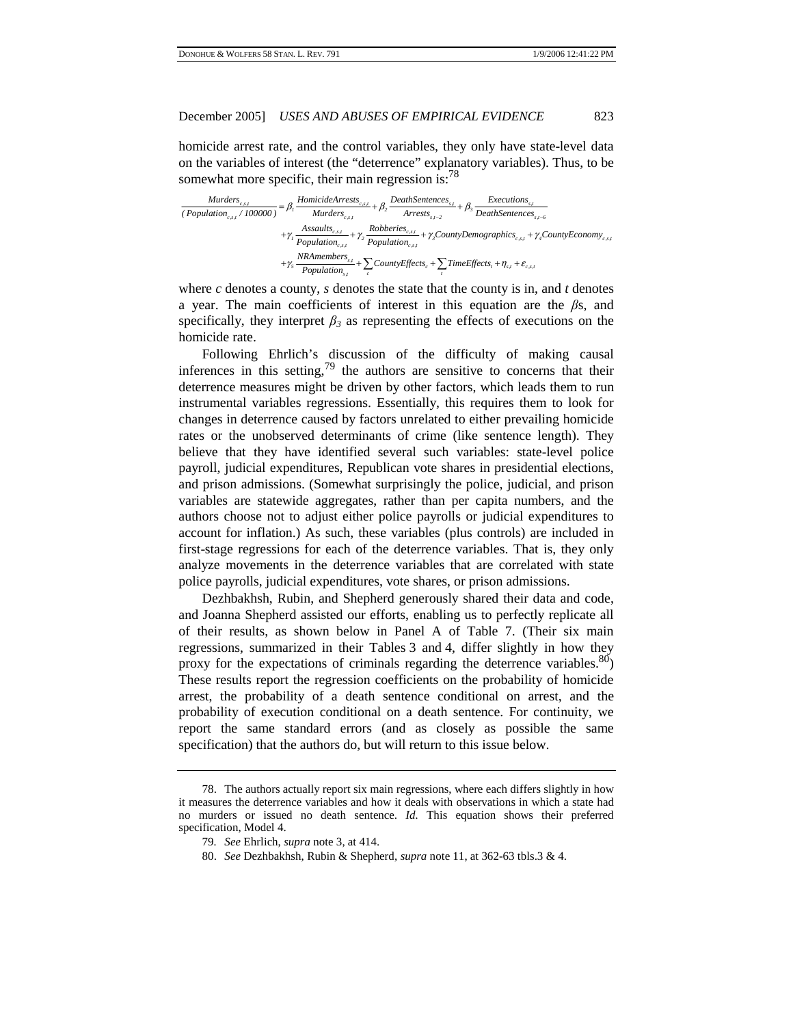homicide arrest rate, and the control variables, they only have state-level data on the variables of interest (the "deterrence" explanatory variables). Thus, to be somewhat more specific, their main regression is: $^{78}$ 

| Murders <sub>c,s,t</sub>               | HomicideArrests <sub>c,s,t</sub> | DeathSentences <sub>s,t</sub> | Executions <sub>s,t</sub>           |                            |                                  |                                                |                       |                                           |
|----------------------------------------|----------------------------------|-------------------------------|-------------------------------------|----------------------------|----------------------------------|------------------------------------------------|-----------------------|-------------------------------------------|
| (Population <sub>c,s,t</sub> / 100000) | =                                | $\beta_1$                     | Murders <sub>c,s,t</sub>            | Arrests <sub>s,t-2</sub>   | AreathSentences <sub>s,t-6</sub> |                                                |                       |                                           |
| $+\gamma_1$                            | Assaults <sub>c,s,t</sub>        | +                             | $\gamma_2$                          | Robberies <sub>c,s,t</sub> | +                                | $\gamma_3$ CountyDemographies <sub>c,s,t</sub> | +                     | $\gamma_4$ CountyEconomy <sub>c,s,t</sub> |
| $+\gamma_5$                            | MRmembers <sub>s,t</sub>         | +                             | $\sum_c$ CountyEffects <sub>c</sub> | +                          | TimeEffects <sub>t</sub>         | $\eta_{s,t}$                                   | $\varepsilon_{c,s,t}$ |                                           |

where  $c$  denotes a county,  $s$  denotes the state that the county is in, and  $t$  denotes a year. The main coefficients of interest in this equation are the *β*s, and specifically, they interpret  $\beta_3$  as representing the effects of executions on the homicide rate.

Following Ehrlich's discussion of the difficulty of making causal inferences in this setting,  $79$  the authors are sensitive to concerns that their deterrence measures might be driven by other factors, which leads them to run instrumental variables regressions. Essentially, this requires them to look for changes in deterrence caused by factors unrelated to either prevailing homicide rates or the unobserved determinants of crime (like sentence length). They believe that they have identified several such variables: state-level police payroll, judicial expenditures, Republican vote shares in presidential elections, and prison admissions. (Somewhat surprisingly the police, judicial, and prison variables are statewide aggregates, rather than per capita numbers, and the authors choose not to adjust either police payrolls or judicial expenditures to account for inflation.) As such, these variables (plus controls) are included in first-stage regressions for each of the deterrence variables. That is, they only analyze movements in the deterrence variables that are correlated with state police payrolls, judicial expenditures, vote shares, or prison admissions.

Dezhbakhsh, Rubin, and Shepherd generously shared their data and code, and Joanna Shepherd assisted our efforts, enabling us to perfectly replicate all of their results, as shown below in Panel A of Table 7. (Their six main regressions, summarized in their Tables 3 and 4, differ slightly in how they proxy for the expectations of criminals regarding the deterrence variables.  $80$ ) These results report the regression coefficients on the probability of homicide arrest, the probability of a death sentence conditional on arrest, and the probability of execution conditional on a death sentence. For continuity, we report the same standard errors (and as closely as possible the same specification) that the authors do, but will return to this issue below.

80. *See* Dezhbakhsh, Rubin & Shepherd, *supra* note 11, at 362-63 tbls.3 & 4.

<sup>78.</sup> The authors actually report six main regressions, where each differs slightly in how it measures the deterrence variables and how it deals with observations in which a state had no murders or issued no death sentence. *Id.* This equation shows their preferred specification, Model 4.

<sup>79</sup>*. See* Ehrlich, *supra* note 3, at 414.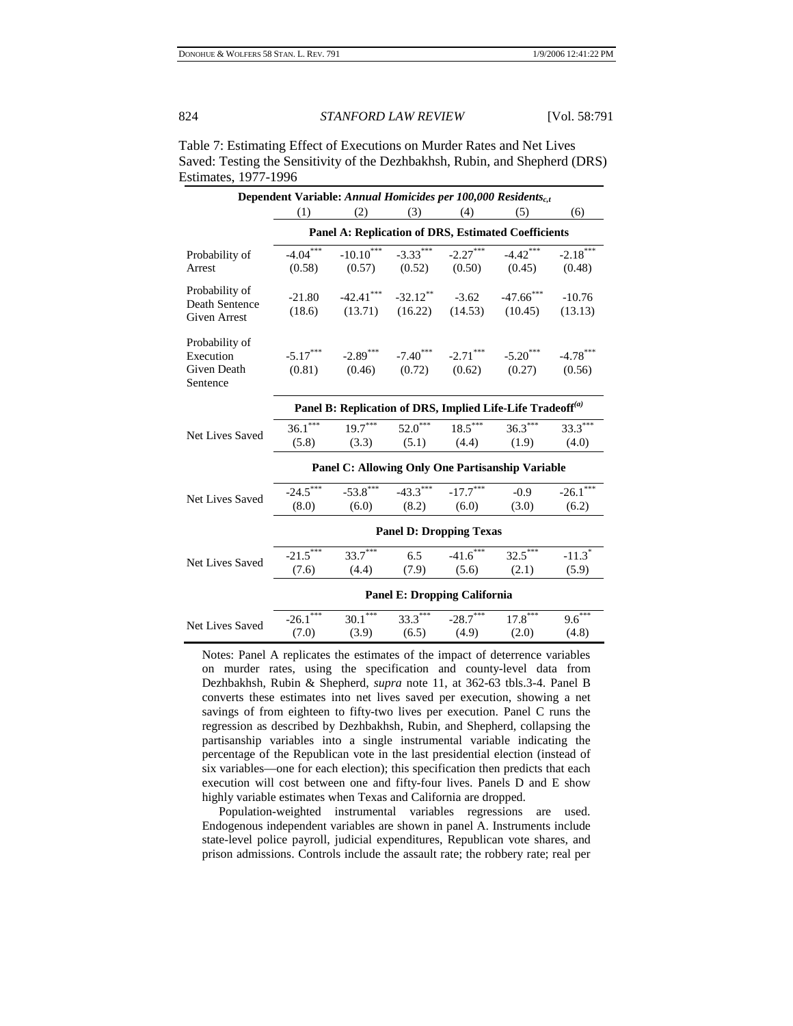| Dependent Variable: Annual Homicides per 100,000 Residents <sub>c.t</sub> |                                                                        |                                                  |                                                        |                      |                                                                                                                                 |                      |  |  |
|---------------------------------------------------------------------------|------------------------------------------------------------------------|--------------------------------------------------|--------------------------------------------------------|----------------------|---------------------------------------------------------------------------------------------------------------------------------|----------------------|--|--|
|                                                                           | (1)                                                                    | (2)                                              | (3)                                                    | (4)                  | (5)                                                                                                                             | (6)                  |  |  |
|                                                                           | <b>Panel A: Replication of DRS, Estimated Coefficients</b>             |                                                  |                                                        |                      |                                                                                                                                 |                      |  |  |
| Probability of<br>Arrest                                                  | $-4.04***$                                                             |                                                  |                                                        |                      | $-10.10^{***}$ $-3.33^{***}$ $-2.27^{***}$ $-4.42^{***}$ $-2.18^{***}$<br>$(0.58)$ $(0.57)$ $(0.52)$ $(0.50)$ $(0.45)$ $(0.48)$ |                      |  |  |
| Probability of<br>Death Sentence<br>Given Arrest                          | $-21.80$                                                               |                                                  |                                                        |                      | $-42.41***$ $-32.12***$ $-3.62$ $-47.66***$<br>$(18.6)$ $(13.71)$ $(16.22)$ $(14.53)$ $(10.45)$ $(13.13)$                       | $-10.76$             |  |  |
| Probability of<br>Execution<br>Given Death<br>Sentence                    |                                                                        |                                                  |                                                        |                      | $-5.17***$ $-2.89***$ $-7.40***$ $-2.71***$ $-5.20***$ $-4.78***$<br>$(0.81)$ $(0.46)$ $(0.72)$ $(0.62)$ $(0.27)$ $(0.56)$      |                      |  |  |
|                                                                           | Panel B: Replication of DRS, Implied Life-Life Tradeoff <sup>(a)</sup> |                                                  |                                                        |                      |                                                                                                                                 |                      |  |  |
| Net Lives Saved                                                           | $36.1***$<br>(5.8)                                                     |                                                  |                                                        |                      | $19.7***$ $52.0***$ $18.5***$ $36.3***$<br>$(3.3)$ $(5.1)$ $(4.4)$ $(1.9)$                                                      | $33.3***$<br>(4.0)   |  |  |
|                                                                           |                                                                        | Panel C: Allowing Only One Partisanship Variable |                                                        |                      |                                                                                                                                 |                      |  |  |
| Net Lives Saved                                                           | $-24.5***$<br>(8.0)                                                    | (6.0)                                            | $-53.8$ *** $-43.3$ *** $-17.7$ ***<br>$(8.2)$ $(6.0)$ |                      | $-0.9$<br>(3.0)                                                                                                                 | $-26.1$ ***<br>(6.2) |  |  |
|                                                                           | <b>Panel D: Dropping Texas</b>                                         |                                                  |                                                        |                      |                                                                                                                                 |                      |  |  |
| Net Lives Saved                                                           | $-21.5$<br>(7.6)                                                       | $33.7***$<br>(4.4)                               | 6.5<br>(7.9)                                           | $-41.6$ ***<br>(5.6) | $32.5***$<br>(2.1)                                                                                                              | $-11.3*$<br>(5.9)    |  |  |
|                                                                           | <b>Panel E: Dropping California</b>                                    |                                                  |                                                        |                      |                                                                                                                                 |                      |  |  |
| Net Lives Saved                                                           | $-26.1$ ***<br>(7.0)                                                   | $30.1***$<br>(3.9)                               | $(6.5)$ $(4.9)$                                        | $33.3***$ $-28.7***$ | $17.8***$<br>(2.0)                                                                                                              | $9.6***$<br>(4.8)    |  |  |

Table 7: Estimating Effect of Executions on Murder Rates and Net Lives Saved: Testing the Sensitivity of the Dezhbakhsh, Rubin, and Shepherd (DRS) Estimates, 1977-1996

Notes: Panel A replicates the estimates of the impact of deterrence variables on murder rates, using the specification and county-level data from Dezhbakhsh, Rubin & Shepherd, *supra* note 11, at 362-63 tbls.3-4. Panel B converts these estimates into net lives saved per execution, showing a net savings of from eighteen to fifty-two lives per execution. Panel C runs the regression as described by Dezhbakhsh, Rubin, and Shepherd, collapsing the partisanship variables into a single instrumental variable indicating the percentage of the Republican vote in the last presidential election (instead of six variables—one for each election); this specification then predicts that each execution will cost between one and fifty-four lives. Panels D and E show highly variable estimates when Texas and California are dropped.

 Population-weighted instrumental variables regressions are used. Endogenous independent variables are shown in panel A. Instruments include state-level police payroll, judicial expenditures, Republican vote shares, and prison admissions. Controls include the assault rate; the robbery rate; real per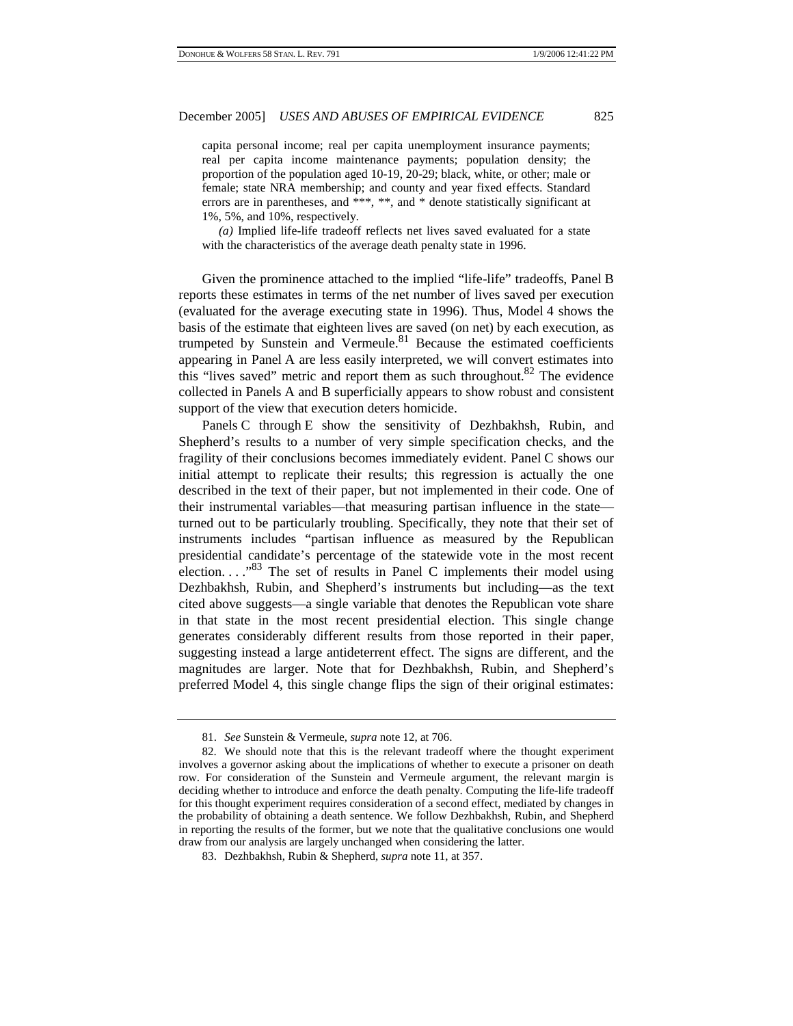capita personal income; real per capita unemployment insurance payments; real per capita income maintenance payments; population density; the proportion of the population aged 10-19, 20-29; black, white, or other; male or female; state NRA membership; and county and year fixed effects. Standard errors are in parentheses, and \*\*\*, \*\*, and \* denote statistically significant at 1%, 5%, and 10%, respectively.

*(a)* Implied life-life tradeoff reflects net lives saved evaluated for a state with the characteristics of the average death penalty state in 1996.

Given the prominence attached to the implied "life-life" tradeoffs, Panel B reports these estimates in terms of the net number of lives saved per execution (evaluated for the average executing state in 1996). Thus, Model 4 shows the basis of the estimate that eighteen lives are saved (on net) by each execution, as trumpeted by Sunstein and Vermeule.<sup>81</sup> Because the estimated coefficients appearing in Panel A are less easily interpreted, we will convert estimates into this "lives saved" metric and report them as such throughout. $82$  The evidence collected in Panels A and B superficially appears to show robust and consistent support of the view that execution deters homicide.

Panels C through E show the sensitivity of Dezhbakhsh, Rubin, and Shepherd's results to a number of very simple specification checks, and the fragility of their conclusions becomes immediately evident. Panel C shows our initial attempt to replicate their results; this regression is actually the one described in the text of their paper, but not implemented in their code. One of their instrumental variables—that measuring partisan influence in the state turned out to be particularly troubling. Specifically, they note that their set of instruments includes "partisan influence as measured by the Republican presidential candidate's percentage of the statewide vote in the most recent election.  $\ldots$ <sup>83</sup> The set of results in Panel C implements their model using Dezhbakhsh, Rubin, and Shepherd's instruments but including—as the text cited above suggests—a single variable that denotes the Republican vote share in that state in the most recent presidential election. This single change generates considerably different results from those reported in their paper, suggesting instead a large antideterrent effect. The signs are different, and the magnitudes are larger. Note that for Dezhbakhsh, Rubin, and Shepherd's preferred Model 4, this single change flips the sign of their original estimates:

<sup>81.</sup> *See* Sunstein & Vermeule, *supra* note 12, at 706.

<sup>82.</sup> We should note that this is the relevant tradeoff where the thought experiment involves a governor asking about the implications of whether to execute a prisoner on death row. For consideration of the Sunstein and Vermeule argument, the relevant margin is deciding whether to introduce and enforce the death penalty. Computing the life-life tradeoff for this thought experiment requires consideration of a second effect, mediated by changes in the probability of obtaining a death sentence. We follow Dezhbakhsh, Rubin, and Shepherd in reporting the results of the former, but we note that the qualitative conclusions one would draw from our analysis are largely unchanged when considering the latter.

<sup>83.</sup> Dezhbakhsh, Rubin & Shepherd, *supra* note 11, at 357.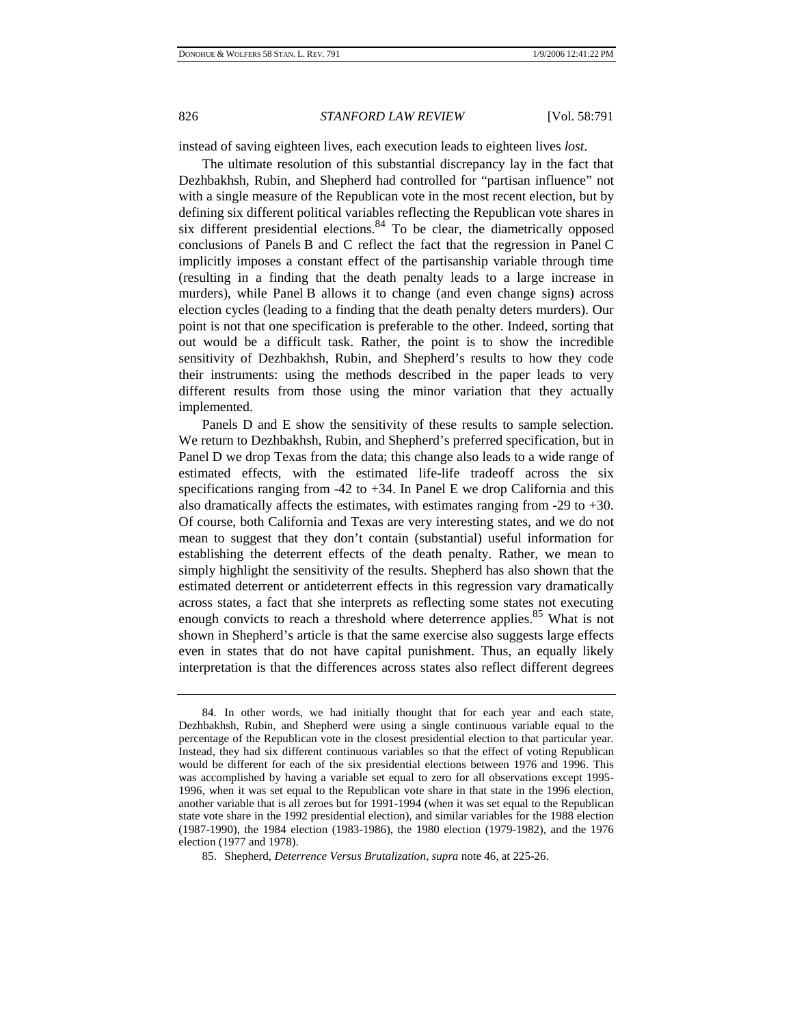instead of saving eighteen lives, each execution leads to eighteen lives *lost*.

The ultimate resolution of this substantial discrepancy lay in the fact that Dezhbakhsh, Rubin, and Shepherd had controlled for "partisan influence" not with a single measure of the Republican vote in the most recent election, but by defining six different political variables reflecting the Republican vote shares in six different presidential elections.<sup>84</sup> To be clear, the diametrically opposed conclusions of Panels B and C reflect the fact that the regression in Panel C implicitly imposes a constant effect of the partisanship variable through time (resulting in a finding that the death penalty leads to a large increase in murders), while Panel B allows it to change (and even change signs) across election cycles (leading to a finding that the death penalty deters murders). Our point is not that one specification is preferable to the other. Indeed, sorting that out would be a difficult task. Rather, the point is to show the incredible sensitivity of Dezhbakhsh, Rubin, and Shepherd's results to how they code their instruments: using the methods described in the paper leads to very different results from those using the minor variation that they actually implemented.

Panels D and E show the sensitivity of these results to sample selection. We return to Dezhbakhsh, Rubin, and Shepherd's preferred specification, but in Panel D we drop Texas from the data; this change also leads to a wide range of estimated effects, with the estimated life-life tradeoff across the six specifications ranging from  $-42$  to  $+34$ . In Panel E we drop California and this also dramatically affects the estimates, with estimates ranging from -29 to +30. Of course, both California and Texas are very interesting states, and we do not mean to suggest that they don't contain (substantial) useful information for establishing the deterrent effects of the death penalty. Rather, we mean to simply highlight the sensitivity of the results. Shepherd has also shown that the estimated deterrent or antideterrent effects in this regression vary dramatically across states, a fact that she interprets as reflecting some states not executing enough convicts to reach a threshold where deterrence applies.<sup>85</sup> What is not shown in Shepherd's article is that the same exercise also suggests large effects even in states that do not have capital punishment. Thus, an equally likely interpretation is that the differences across states also reflect different degrees

<sup>84.</sup> In other words, we had initially thought that for each year and each state, Dezhbakhsh, Rubin, and Shepherd were using a single continuous variable equal to the percentage of the Republican vote in the closest presidential election to that particular year. Instead, they had six different continuous variables so that the effect of voting Republican would be different for each of the six presidential elections between 1976 and 1996. This was accomplished by having a variable set equal to zero for all observations except 1995- 1996, when it was set equal to the Republican vote share in that state in the 1996 election, another variable that is all zeroes but for 1991-1994 (when it was set equal to the Republican state vote share in the 1992 presidential election), and similar variables for the 1988 election (1987-1990), the 1984 election (1983-1986), the 1980 election (1979-1982), and the 1976 election (1977 and 1978).

<sup>85.</sup> Shepherd, *Deterrence Versus Brutalization*, *supra* note 46, at 225-26.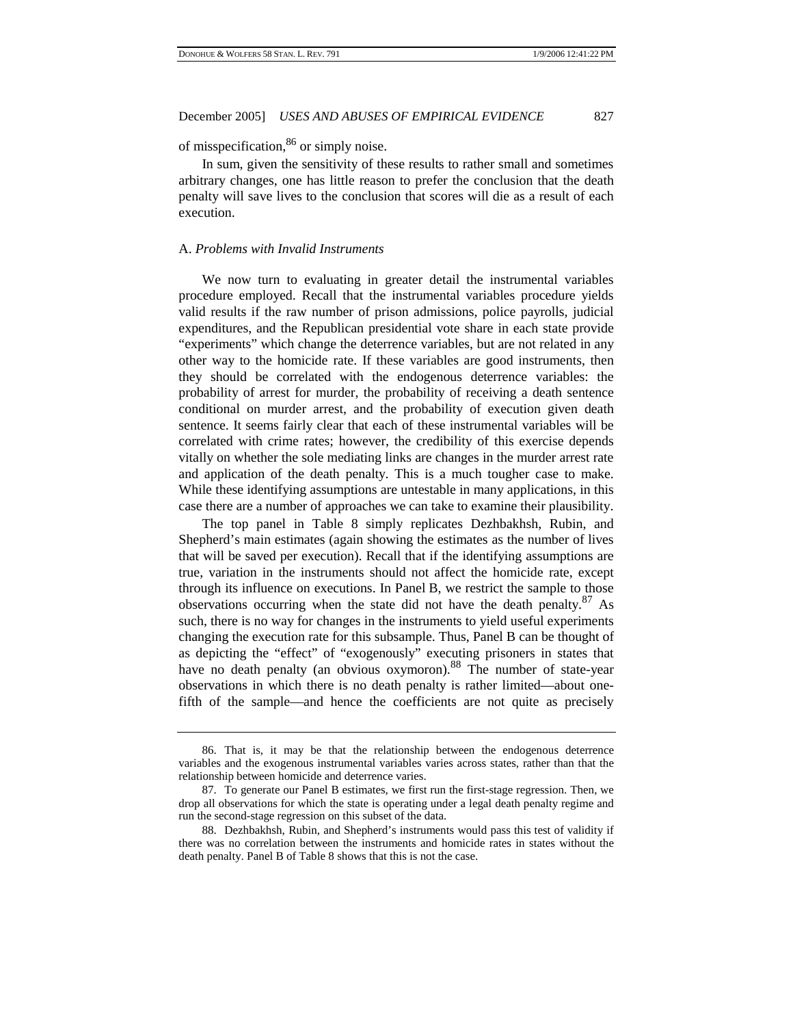of misspecification,86 or simply noise.

In sum, given the sensitivity of these results to rather small and sometimes arbitrary changes, one has little reason to prefer the conclusion that the death penalty will save lives to the conclusion that scores will die as a result of each execution.

#### A. *Problems with Invalid Instruments*

We now turn to evaluating in greater detail the instrumental variables procedure employed. Recall that the instrumental variables procedure yields valid results if the raw number of prison admissions, police payrolls, judicial expenditures, and the Republican presidential vote share in each state provide "experiments" which change the deterrence variables, but are not related in any other way to the homicide rate. If these variables are good instruments, then they should be correlated with the endogenous deterrence variables: the probability of arrest for murder, the probability of receiving a death sentence conditional on murder arrest, and the probability of execution given death sentence. It seems fairly clear that each of these instrumental variables will be correlated with crime rates; however, the credibility of this exercise depends vitally on whether the sole mediating links are changes in the murder arrest rate and application of the death penalty. This is a much tougher case to make. While these identifying assumptions are untestable in many applications, in this case there are a number of approaches we can take to examine their plausibility.

The top panel in Table 8 simply replicates Dezhbakhsh, Rubin, and Shepherd's main estimates (again showing the estimates as the number of lives that will be saved per execution). Recall that if the identifying assumptions are true, variation in the instruments should not affect the homicide rate, except through its influence on executions. In Panel B, we restrict the sample to those observations occurring when the state did not have the death penalty. $87$  As such, there is no way for changes in the instruments to yield useful experiments changing the execution rate for this subsample. Thus, Panel B can be thought of as depicting the "effect" of "exogenously" executing prisoners in states that have no death penalty (an obvious oxymoron).<sup>88</sup> The number of state-year observations in which there is no death penalty is rather limited—about onefifth of the sample—and hence the coefficients are not quite as precisely

<sup>86.</sup> That is, it may be that the relationship between the endogenous deterrence variables and the exogenous instrumental variables varies across states, rather than that the relationship between homicide and deterrence varies.

<sup>87.</sup> To generate our Panel B estimates, we first run the first-stage regression. Then, we drop all observations for which the state is operating under a legal death penalty regime and run the second-stage regression on this subset of the data.

<sup>88.</sup> Dezhbakhsh, Rubin, and Shepherd's instruments would pass this test of validity if there was no correlation between the instruments and homicide rates in states without the death penalty. Panel B of Table 8 shows that this is not the case.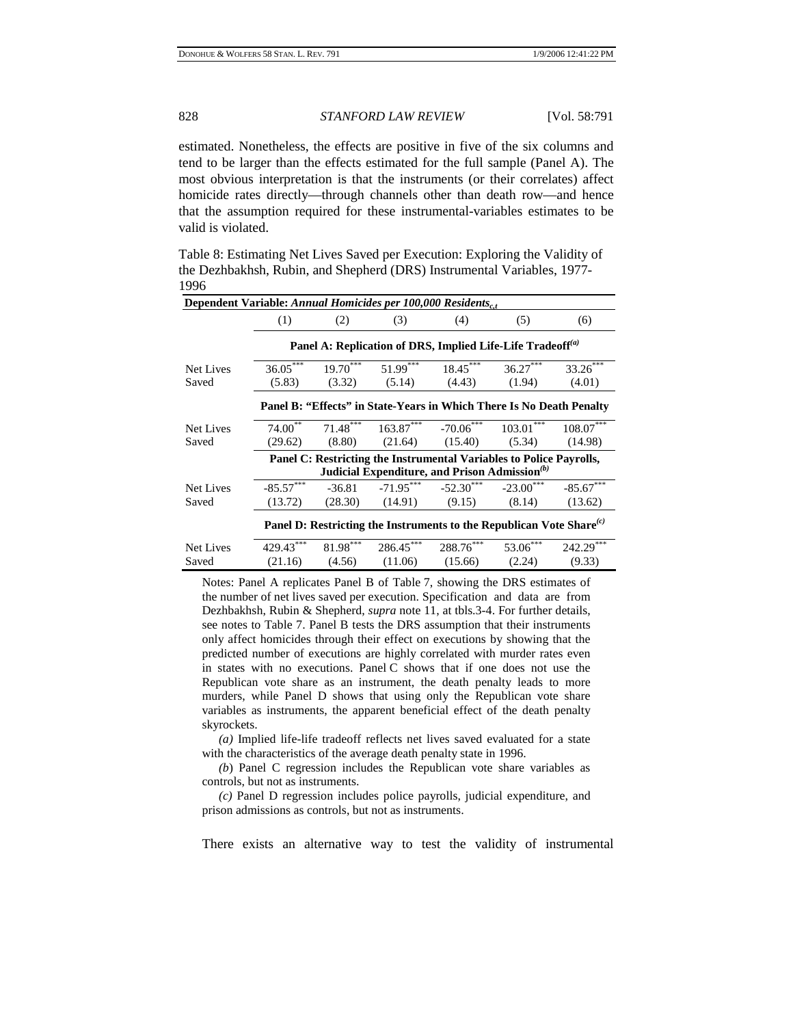estimated. Nonetheless, the effects are positive in five of the six columns and tend to be larger than the effects estimated for the full sample (Panel A). The most obvious interpretation is that the instruments (or their correlates) affect homicide rates directly—through channels other than death row—and hence that the assumption required for these instrumental-variables estimates to be valid is violated.

Table 8: Estimating Net Lives Saved per Execution: Exploring the Validity of the Dezhbakhsh, Rubin, and Shepherd (DRS) Instrumental Variables, 1977- 1996

| Dependent Variable: Annual Homicides per 100,000 Residents <sub>c.t</sub>  |                                                                        |                                                           |     |                                                                               |     |              |  |  |  |
|----------------------------------------------------------------------------|------------------------------------------------------------------------|-----------------------------------------------------------|-----|-------------------------------------------------------------------------------|-----|--------------|--|--|--|
|                                                                            | (1)                                                                    | (2)                                                       | (3) | (4)                                                                           | (5) | (6)          |  |  |  |
|                                                                            | Panel A: Replication of DRS, Implied Life-Life Tradeoff <sup>(a)</sup> |                                                           |     |                                                                               |     |              |  |  |  |
| Net Lives                                                                  |                                                                        |                                                           |     | $36.05***$ $19.70***$ $51.99***$ $18.45***$ $36.27***$                        |     | $33.26$ ***  |  |  |  |
| Saved                                                                      |                                                                        |                                                           |     | $(5.83)$ $(3.32)$ $(5.14)$ $(4.43)$ $(1.94)$                                  |     | (4.01)       |  |  |  |
| Panel B: "Effects" in State-Years in Which There Is No Death Penalty       |                                                                        |                                                           |     |                                                                               |     |              |  |  |  |
| Net Lives                                                                  | $74.00^{**}$                                                           |                                                           |     | $71.48***$ $163.87***$ $-70.06***$ $103.01***$                                |     | $108.07***$  |  |  |  |
| Saved                                                                      |                                                                        |                                                           |     | $(29.62)$ $(8.80)$ $(21.64)$ $(15.40)$ $(5.34)$ $(14.98)$                     |     |              |  |  |  |
| Panel C: Restricting the Instrumental Variables to Police Payrolls,        |                                                                        |                                                           |     |                                                                               |     |              |  |  |  |
|                                                                            |                                                                        | Judicial Expenditure, and Prison Admission <sup>(b)</sup> |     |                                                                               |     |              |  |  |  |
| Net Lives                                                                  | $-85.57***$                                                            |                                                           |     | $-36.81$ $-71.95***$ $-52.30***$ $-23.00***$ $-85.67***$                      |     |              |  |  |  |
| Saved                                                                      | (13.72)                                                                |                                                           |     | $(28.30)$ $(14.91)$ $(9.15)$ $(8.14)$                                         |     | (13.62)      |  |  |  |
| Panel D: Restricting the Instruments to the Republican Vote Share $^{(c)}$ |                                                                        |                                                           |     |                                                                               |     |              |  |  |  |
| Net Lives                                                                  | 429.43                                                                 |                                                           |     | $81.98***$ 286.45 <sup>*****</sup> 288.76 <sup>***</sup> 53.06 <sup>***</sup> |     | $242.29$ *** |  |  |  |
| Saved                                                                      | (21.16)                                                                |                                                           |     | $(4.56)$ $(11.06)$ $(15.66)$ $(2.24)$                                         |     | (9.33)       |  |  |  |

Notes: Panel A replicates Panel B of Table 7, showing the DRS estimates of the number of net lives saved per execution. Specification and data are from Dezhbakhsh, Rubin & Shepherd, *supra* note 11, at tbls.3-4. For further details, see notes to Table 7. Panel B tests the DRS assumption that their instruments only affect homicides through their effect on executions by showing that the predicted number of executions are highly correlated with murder rates even in states with no executions. Panel C shows that if one does not use the Republican vote share as an instrument, the death penalty leads to more murders, while Panel D shows that using only the Republican vote share variables as instruments, the apparent beneficial effect of the death penalty skyrockets.

*(a)* Implied life-life tradeoff reflects net lives saved evaluated for a state with the characteristics of the average death penalty state in 1996.

 *(b*) Panel C regression includes the Republican vote share variables as controls, but not as instruments.

*(c)* Panel D regression includes police payrolls, judicial expenditure, and prison admissions as controls, but not as instruments.

There exists an alternative way to test the validity of instrumental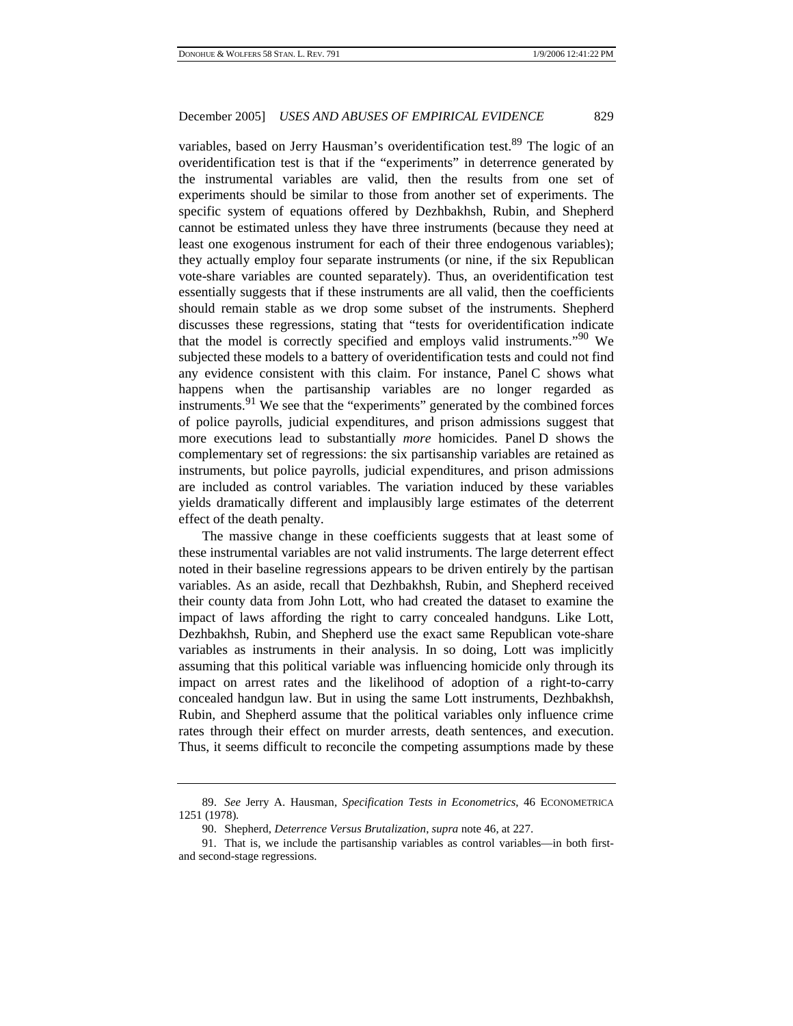variables, based on Jerry Hausman's overidentification test.<sup>89</sup> The logic of an overidentification test is that if the "experiments" in deterrence generated by the instrumental variables are valid, then the results from one set of experiments should be similar to those from another set of experiments. The specific system of equations offered by Dezhbakhsh, Rubin, and Shepherd cannot be estimated unless they have three instruments (because they need at least one exogenous instrument for each of their three endogenous variables); they actually employ four separate instruments (or nine, if the six Republican vote-share variables are counted separately). Thus, an overidentification test essentially suggests that if these instruments are all valid, then the coefficients should remain stable as we drop some subset of the instruments. Shepherd discusses these regressions, stating that "tests for overidentification indicate that the model is correctly specified and employs valid instruments.<sup>"90</sup> We subjected these models to a battery of overidentification tests and could not find any evidence consistent with this claim. For instance, Panel C shows what happens when the partisanship variables are no longer regarded as instruments.<sup>91</sup> We see that the "experiments" generated by the combined forces of police payrolls, judicial expenditures, and prison admissions suggest that more executions lead to substantially *more* homicides. Panel D shows the complementary set of regressions: the six partisanship variables are retained as instruments, but police payrolls, judicial expenditures, and prison admissions are included as control variables. The variation induced by these variables yields dramatically different and implausibly large estimates of the deterrent effect of the death penalty.

The massive change in these coefficients suggests that at least some of these instrumental variables are not valid instruments. The large deterrent effect noted in their baseline regressions appears to be driven entirely by the partisan variables. As an aside, recall that Dezhbakhsh, Rubin, and Shepherd received their county data from John Lott, who had created the dataset to examine the impact of laws affording the right to carry concealed handguns. Like Lott, Dezhbakhsh, Rubin, and Shepherd use the exact same Republican vote-share variables as instruments in their analysis. In so doing, Lott was implicitly assuming that this political variable was influencing homicide only through its impact on arrest rates and the likelihood of adoption of a right-to-carry concealed handgun law. But in using the same Lott instruments, Dezhbakhsh, Rubin, and Shepherd assume that the political variables only influence crime rates through their effect on murder arrests, death sentences, and execution. Thus, it seems difficult to reconcile the competing assumptions made by these

<sup>89.</sup> *See* Jerry A. Hausman, *Specification Tests in Econometrics*, 46 ECONOMETRICA 1251 (1978).

<sup>90.</sup> Shepherd, *Deterrence Versus Brutalization*, *supra* note 46, at 227.

<sup>91.</sup> That is, we include the partisanship variables as control variables—in both firstand second-stage regressions.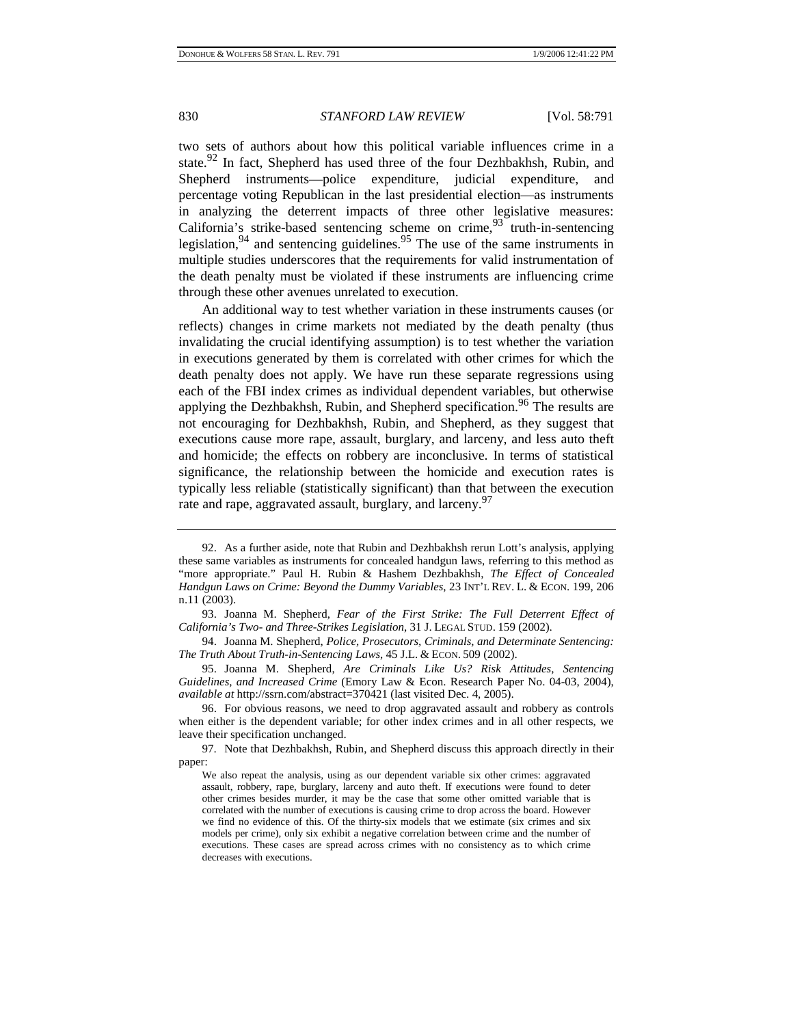two sets of authors about how this political variable influences crime in a state.<sup>92</sup> In fact, Shepherd has used three of the four Dezhbakhsh, Rubin, and Shepherd instruments—police expenditure, judicial expenditure, and percentage voting Republican in the last presidential election—as instruments in analyzing the deterrent impacts of three other legislative measures: California's strike-based sentencing scheme on crime,  $93^{\circ}$  truth-in-sentencing legislation,  $94$  and sentencing guidelines.  $95$  The use of the same instruments in multiple studies underscores that the requirements for valid instrumentation of the death penalty must be violated if these instruments are influencing crime through these other avenues unrelated to execution.

An additional way to test whether variation in these instruments causes (or reflects) changes in crime markets not mediated by the death penalty (thus invalidating the crucial identifying assumption) is to test whether the variation in executions generated by them is correlated with other crimes for which the death penalty does not apply. We have run these separate regressions using each of the FBI index crimes as individual dependent variables, but otherwise applying the Dezhbakhsh, Rubin, and Shepherd specification.<sup>96</sup> The results are not encouraging for Dezhbakhsh, Rubin, and Shepherd, as they suggest that executions cause more rape, assault, burglary, and larceny, and less auto theft and homicide; the effects on robbery are inconclusive. In terms of statistical significance, the relationship between the homicide and execution rates is typically less reliable (statistically significant) than that between the execution rate and rape, aggravated assault, burglary, and larceny.<sup>97</sup>

95. Joanna M. Shepherd, *Are Criminals Like Us? Risk Attitudes, Sentencing Guidelines, and Increased Crime* (Emory Law & Econ. Research Paper No. 04-03, 2004), *available at* http://ssrn.com/abstract=370421 (last visited Dec. 4, 2005).

96. For obvious reasons, we need to drop aggravated assault and robbery as controls when either is the dependent variable; for other index crimes and in all other respects, we leave their specification unchanged.

<sup>92.</sup> As a further aside, note that Rubin and Dezhbakhsh rerun Lott's analysis, applying these same variables as instruments for concealed handgun laws, referring to this method as "more appropriate." Paul H. Rubin & Hashem Dezhbakhsh, *The Effect of Concealed Handgun Laws on Crime: Beyond the Dummy Variables*, 23 INT'L REV. L. & ECON. 199, 206 n.11 (2003).

<sup>93.</sup> Joanna M. Shepherd, *Fear of the First Strike: The Full Deterrent Effect of California's Two- and Three-Strikes Legislation*, 31 J. LEGAL STUD. 159 (2002).

<sup>94.</sup> Joanna M. Shepherd, *Police, Prosecutors, Criminals, and Determinate Sentencing: The Truth About Truth-in-Sentencing Laws*, 45 J.L. & ECON. 509 (2002).

<sup>97.</sup> Note that Dezhbakhsh, Rubin, and Shepherd discuss this approach directly in their paper:

We also repeat the analysis, using as our dependent variable six other crimes: aggravated assault, robbery, rape, burglary, larceny and auto theft. If executions were found to deter other crimes besides murder, it may be the case that some other omitted variable that is correlated with the number of executions is causing crime to drop across the board. However we find no evidence of this. Of the thirty-six models that we estimate (six crimes and six models per crime), only six exhibit a negative correlation between crime and the number of executions. These cases are spread across crimes with no consistency as to which crime decreases with executions.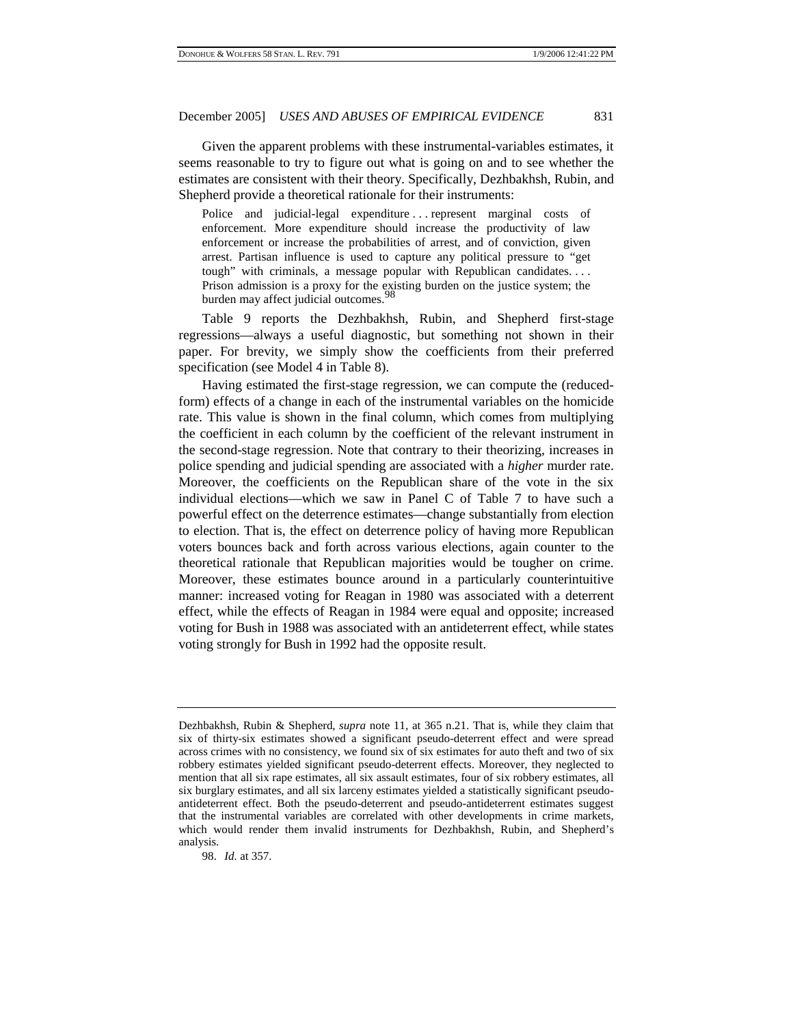Given the apparent problems with these instrumental-variables estimates, it seems reasonable to try to figure out what is going on and to see whether the estimates are consistent with their theory. Specifically, Dezhbakhsh, Rubin, and Shepherd provide a theoretical rationale for their instruments:

Police and judicial-legal expenditure . . . represent marginal costs of enforcement. More expenditure should increase the productivity of law enforcement or increase the probabilities of arrest, and of conviction, given arrest. Partisan influence is used to capture any political pressure to "get tough" with criminals, a message popular with Republican candidates. . . . Prison admission is a proxy for the existing burden on the justice system; the burden may affect judicial outcomes.

Table 9 reports the Dezhbakhsh, Rubin, and Shepherd first-stage regressions—always a useful diagnostic, but something not shown in their paper. For brevity, we simply show the coefficients from their preferred specification (see Model 4 in Table 8).

Having estimated the first-stage regression, we can compute the (reducedform) effects of a change in each of the instrumental variables on the homicide rate. This value is shown in the final column, which comes from multiplying the coefficient in each column by the coefficient of the relevant instrument in the second-stage regression. Note that contrary to their theorizing, increases in police spending and judicial spending are associated with a *higher* murder rate. Moreover, the coefficients on the Republican share of the vote in the six individual elections—which we saw in Panel C of Table 7 to have such a powerful effect on the deterrence estimates—change substantially from election to election. That is, the effect on deterrence policy of having more Republican voters bounces back and forth across various elections, again counter to the theoretical rationale that Republican majorities would be tougher on crime. Moreover, these estimates bounce around in a particularly counterintuitive manner: increased voting for Reagan in 1980 was associated with a deterrent effect, while the effects of Reagan in 1984 were equal and opposite; increased voting for Bush in 1988 was associated with an antideterrent effect, while states voting strongly for Bush in 1992 had the opposite result.

Dezhbakhsh, Rubin & Shepherd, *supra* note 11, at 365 n.21. That is, while they claim that six of thirty-six estimates showed a significant pseudo-deterrent effect and were spread across crimes with no consistency, we found six of six estimates for auto theft and two of six robbery estimates yielded significant pseudo-deterrent effects. Moreover, they neglected to mention that all six rape estimates, all six assault estimates, four of six robbery estimates, all six burglary estimates, and all six larceny estimates yielded a statistically significant pseudoantideterrent effect. Both the pseudo-deterrent and pseudo-antideterrent estimates suggest that the instrumental variables are correlated with other developments in crime markets, which would render them invalid instruments for Dezhbakhsh, Rubin, and Shepherd's analysis.

<sup>98.</sup> *Id.* at 357.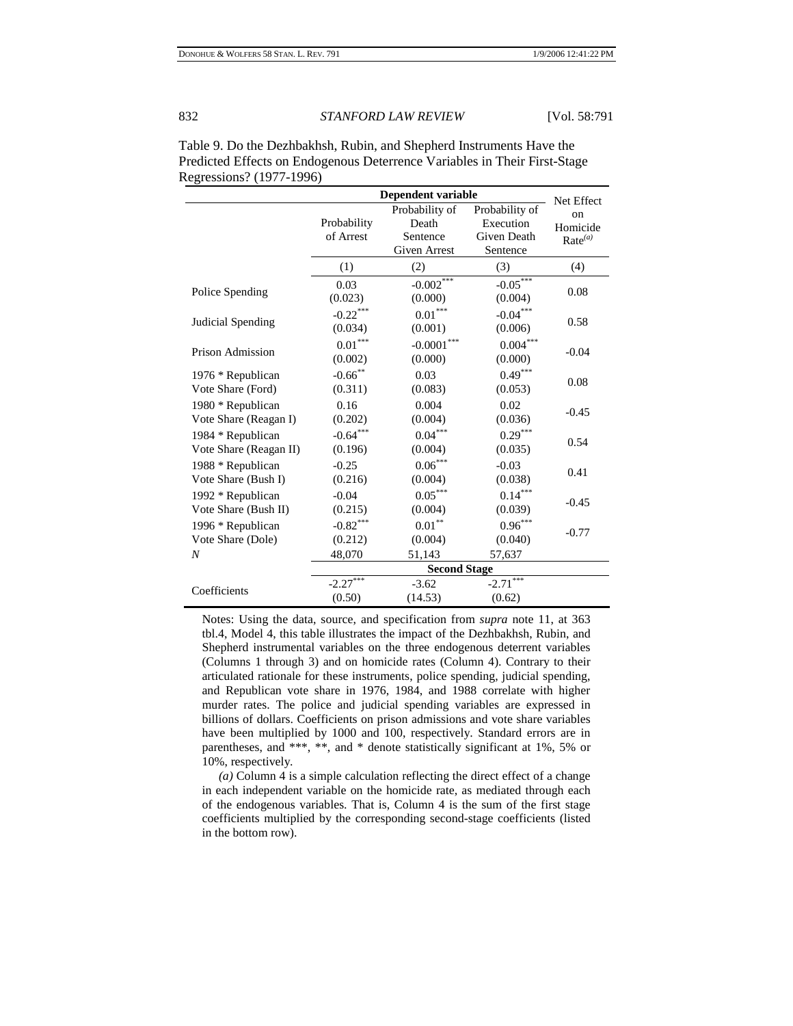|                         | <b>Dependent variable</b> | Net Effect            |                |                     |  |  |
|-------------------------|---------------------------|-----------------------|----------------|---------------------|--|--|
|                         |                           | Probability of        | Probability of | on                  |  |  |
|                         | Probability               | Death                 | Execution      | Homicide            |  |  |
|                         | of Arrest                 | Sentence              | Given Death    | Rate <sup>(a)</sup> |  |  |
|                         |                           | Given Arrest          | Sentence       |                     |  |  |
|                         | (1)                       | (2)                   | (3)            | (4)                 |  |  |
|                         | 0.03                      | $-0.002$ ***          | $-0.05***$     | 0.08                |  |  |
| Police Spending         | (0.023)                   | (0.000)               | (0.004)        |                     |  |  |
|                         | $-0.22$ ***               | $0.01^{\ast\ast\ast}$ | $-0.04***$     |                     |  |  |
| Judicial Spending       | (0.034)                   | (0.001)               | (0.006)        | 0.58                |  |  |
|                         | $0.01^{\ast\ast\ast}$     | $-0.0001***$          | $0.004***$     |                     |  |  |
| <b>Prison Admission</b> | (0.002)                   | (0.000)               | (0.000)        | $-0.04$             |  |  |
| 1976 * Republican       | $-0.66$ **                | 0.03                  | $0.49***$      | 0.08                |  |  |
| Vote Share (Ford)       | (0.311)                   | (0.083)               | (0.053)        |                     |  |  |
| 1980 * Republican       | 0.16                      | 0.004                 | 0.02           |                     |  |  |
| Vote Share (Reagan I)   | (0.202)                   | (0.004)               | (0.036)        | $-0.45$             |  |  |
| 1984 * Republican       | $-0.64***$                | $0.04***$             | $0.29***$      | 0.54                |  |  |
| Vote Share (Reagan II)  | (0.196)                   | (0.004)               | (0.035)        |                     |  |  |
| 1988 * Republican       | $-0.25$                   | $0.06\sp{*}^{***}$    | $-0.03$        | 0.41                |  |  |
| Vote Share (Bush I)     | (0.216)                   | (0.004)               | (0.038)        |                     |  |  |
| 1992 * Republican       | $-0.04$                   | $0.05***$             | $0.14***$      | $-0.45$             |  |  |
| Vote Share (Bush II)    | (0.215)                   | (0.004)               | (0.039)        |                     |  |  |
| 1996 * Republican       | $-0.82***$                | $0.01^{\ast\ast}$     | $0.96***$      |                     |  |  |
| Vote Share (Dole)       | (0.212)                   | (0.004)               | (0.040)        | $-0.77$             |  |  |
| N                       | 48,070                    | 51,143                | 57,637         |                     |  |  |
|                         | <b>Second Stage</b>       |                       |                |                     |  |  |
| Coefficients            | $-2.27$                   | $-3.62$               | ***<br>$-2.71$ |                     |  |  |
|                         | (0.50)                    | (14.53)               | (0.62)         |                     |  |  |

Table 9. Do the Dezhbakhsh, Rubin, and Shepherd Instruments Have the Predicted Effects on Endogenous Deterrence Variables in Their First-Stage Regressions? (1977-1996)

Notes: Using the data, source, and specification from *supra* note 11, at 363 tbl.4, Model 4, this table illustrates the impact of the Dezhbakhsh, Rubin, and Shepherd instrumental variables on the three endogenous deterrent variables (Columns 1 through 3) and on homicide rates (Column 4). Contrary to their articulated rationale for these instruments, police spending, judicial spending, and Republican vote share in 1976, 1984, and 1988 correlate with higher murder rates. The police and judicial spending variables are expressed in billions of dollars. Coefficients on prison admissions and vote share variables have been multiplied by 1000 and 100, respectively. Standard errors are in parentheses, and \*\*\*, \*\*, and \* denote statistically significant at 1%, 5% or 10%, respectively.

*(a)* Column 4 is a simple calculation reflecting the direct effect of a change in each independent variable on the homicide rate, as mediated through each of the endogenous variables. That is, Column 4 is the sum of the first stage coefficients multiplied by the corresponding second-stage coefficients (listed in the bottom row).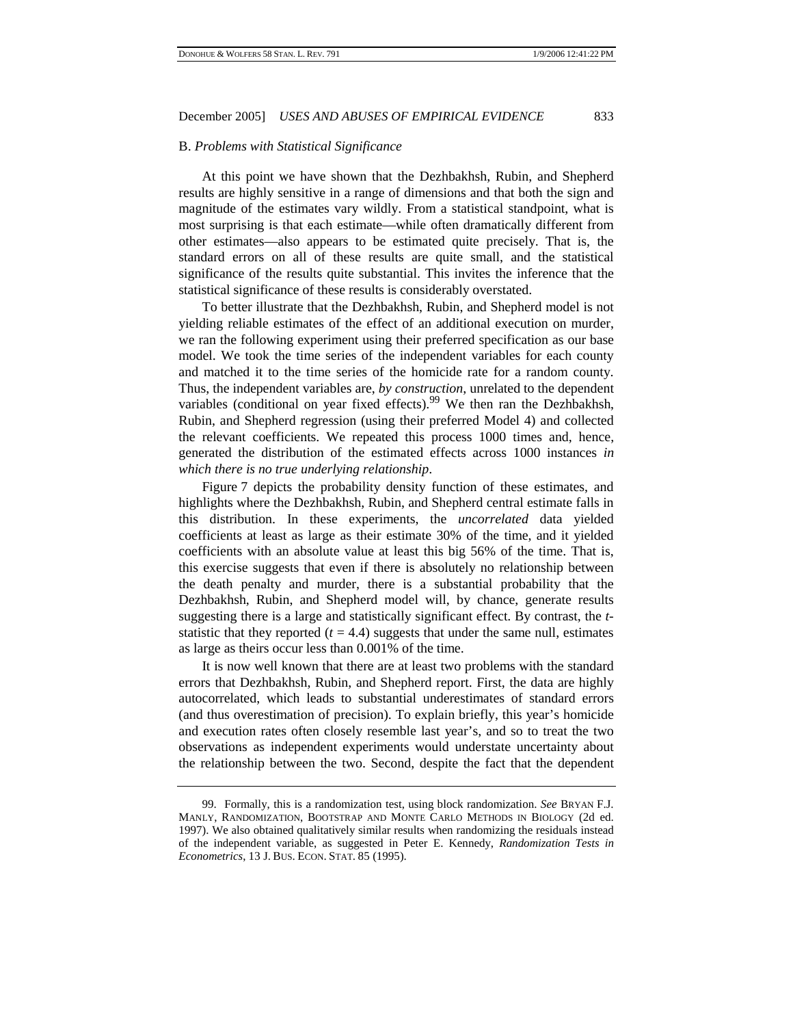#### B. *Problems with Statistical Significance*

At this point we have shown that the Dezhbakhsh, Rubin, and Shepherd results are highly sensitive in a range of dimensions and that both the sign and magnitude of the estimates vary wildly. From a statistical standpoint, what is most surprising is that each estimate—while often dramatically different from other estimates—also appears to be estimated quite precisely. That is, the standard errors on all of these results are quite small, and the statistical significance of the results quite substantial. This invites the inference that the statistical significance of these results is considerably overstated.

To better illustrate that the Dezhbakhsh, Rubin, and Shepherd model is not yielding reliable estimates of the effect of an additional execution on murder, we ran the following experiment using their preferred specification as our base model. We took the time series of the independent variables for each county and matched it to the time series of the homicide rate for a random county. Thus, the independent variables are, *by construction*, unrelated to the dependent variables (conditional on year fixed effects).<sup>99</sup> We then ran the Dezhbakhsh, Rubin, and Shepherd regression (using their preferred Model 4) and collected the relevant coefficients. We repeated this process 1000 times and, hence, generated the distribution of the estimated effects across 1000 instances *in which there is no true underlying relationship*.

Figure 7 depicts the probability density function of these estimates, and highlights where the Dezhbakhsh, Rubin, and Shepherd central estimate falls in this distribution. In these experiments, the *uncorrelated* data yielded coefficients at least as large as their estimate 30% of the time, and it yielded coefficients with an absolute value at least this big 56% of the time. That is, this exercise suggests that even if there is absolutely no relationship between the death penalty and murder, there is a substantial probability that the Dezhbakhsh, Rubin, and Shepherd model will, by chance, generate results suggesting there is a large and statistically significant effect. By contrast, the *t*statistic that they reported  $(t = 4.4)$  suggests that under the same null, estimates as large as theirs occur less than 0.001% of the time.

It is now well known that there are at least two problems with the standard errors that Dezhbakhsh, Rubin, and Shepherd report. First, the data are highly autocorrelated, which leads to substantial underestimates of standard errors (and thus overestimation of precision). To explain briefly, this year's homicide and execution rates often closely resemble last year's, and so to treat the two observations as independent experiments would understate uncertainty about the relationship between the two. Second, despite the fact that the dependent

<sup>99.</sup> Formally, this is a randomization test, using block randomization. *See* BRYAN F.J. MANLY, RANDOMIZATION, BOOTSTRAP AND MONTE CARLO METHODS IN BIOLOGY (2d ed. 1997). We also obtained qualitatively similar results when randomizing the residuals instead of the independent variable, as suggested in Peter E. Kennedy, *Randomization Tests in Econometrics*, 13 J. BUS. ECON. STAT. 85 (1995).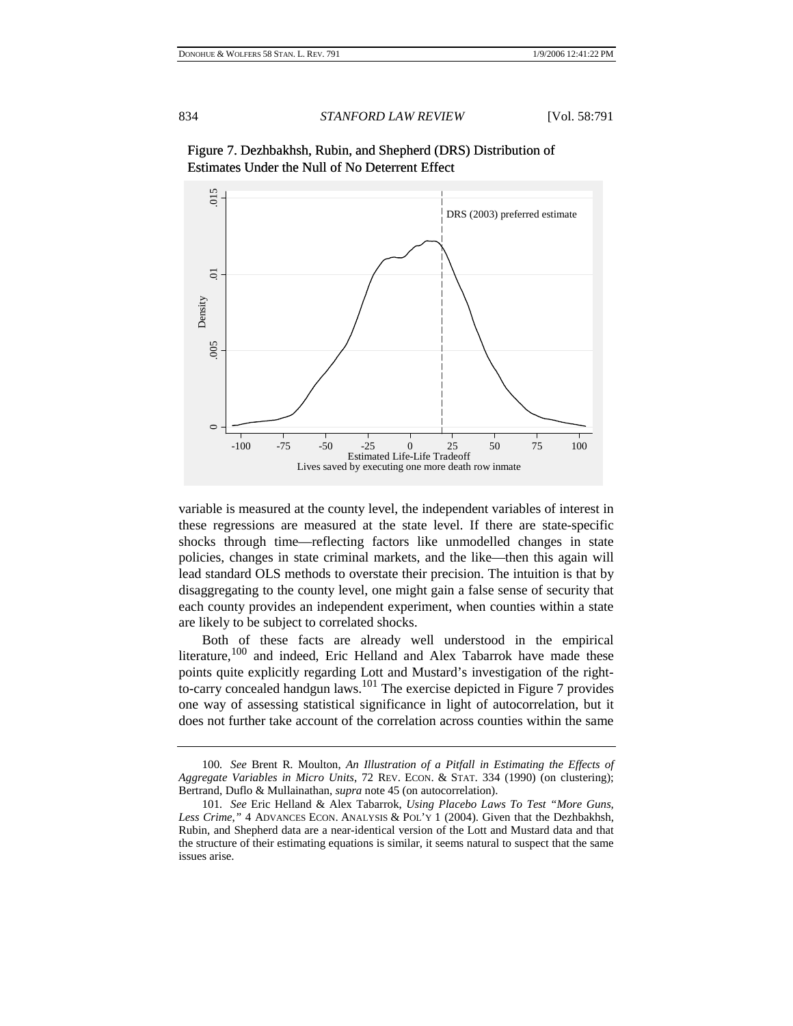

Figure 7. Dezhbakhsh, Rubin, and Shepherd (DRS) Distribution of Estimates Under the Null of No Deterrent Effect

variable is measured at the county level, the independent variables of interest in these regressions are measured at the state level. If there are state-specific shocks through time—reflecting factors like unmodelled changes in state policies, changes in state criminal markets, and the like—then this again will lead standard OLS methods to overstate their precision. The intuition is that by disaggregating to the county level, one might gain a false sense of security that each county provides an independent experiment, when counties within a state are likely to be subject to correlated shocks.

Both of these facts are already well understood in the empirical literature,<sup>100</sup> and indeed, Eric Helland and Alex Tabarrok have made these points quite explicitly regarding Lott and Mustard's investigation of the rightto-carry concealed handgun laws.<sup>101</sup> The exercise depicted in Figure 7 provides one way of assessing statistical significance in light of autocorrelation, but it does not further take account of the correlation across counties within the same

<sup>100</sup>*. See* Brent R. Moulton, *An Illustration of a Pitfall in Estimating the Effects of Aggregate Variables in Micro Units*, 72 REV. ECON. & STAT. 334 (1990) (on clustering); Bertrand, Duflo & Mullainathan, *supra* note 45 (on autocorrelation).

<sup>101</sup>*. See* Eric Helland & Alex Tabarrok, *Using Placebo Laws To Test "More Guns, Less Crime*,*"* 4 ADVANCES ECON. ANALYSIS & POL'Y 1 (2004). Given that the Dezhbakhsh, Rubin, and Shepherd data are a near-identical version of the Lott and Mustard data and that the structure of their estimating equations is similar, it seems natural to suspect that the same issues arise.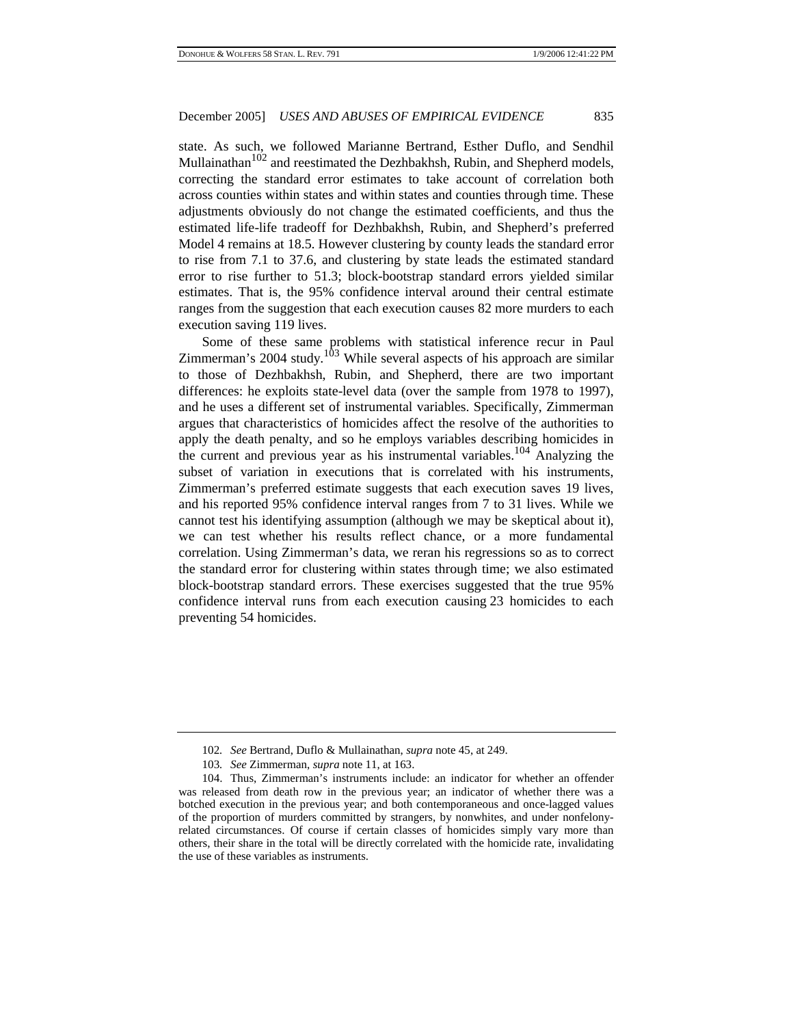state. As such, we followed Marianne Bertrand, Esther Duflo, and Sendhil Mullainathan<sup>102</sup> and reestimated the Dezhbakhsh, Rubin, and Shepherd models, correcting the standard error estimates to take account of correlation both across counties within states and within states and counties through time. These adjustments obviously do not change the estimated coefficients, and thus the estimated life-life tradeoff for Dezhbakhsh, Rubin, and Shepherd's preferred Model 4 remains at 18.5. However clustering by county leads the standard error to rise from 7.1 to 37.6, and clustering by state leads the estimated standard error to rise further to 51.3; block-bootstrap standard errors yielded similar estimates. That is, the 95% confidence interval around their central estimate ranges from the suggestion that each execution causes 82 more murders to each execution saving 119 lives.

Some of these same problems with statistical inference recur in Paul Zimmerman's 2004 study.<sup>103</sup> While several aspects of his approach are similar to those of Dezhbakhsh, Rubin, and Shepherd, there are two important differences: he exploits state-level data (over the sample from 1978 to 1997), and he uses a different set of instrumental variables. Specifically, Zimmerman argues that characteristics of homicides affect the resolve of the authorities to apply the death penalty, and so he employs variables describing homicides in the current and previous year as his instrumental variables.<sup>104</sup> Analyzing the subset of variation in executions that is correlated with his instruments, Zimmerman's preferred estimate suggests that each execution saves 19 lives, and his reported 95% confidence interval ranges from 7 to 31 lives. While we cannot test his identifying assumption (although we may be skeptical about it), we can test whether his results reflect chance, or a more fundamental correlation. Using Zimmerman's data, we reran his regressions so as to correct the standard error for clustering within states through time; we also estimated block-bootstrap standard errors. These exercises suggested that the true 95% confidence interval runs from each execution causing 23 homicides to each preventing 54 homicides.

<sup>102</sup>*. See* Bertrand, Duflo & Mullainathan, *supra* note 45, at 249.

<sup>103</sup>*. See* Zimmerman, *supra* note 11, at 163.

<sup>104.</sup> Thus, Zimmerman's instruments include: an indicator for whether an offender was released from death row in the previous year; an indicator of whether there was a botched execution in the previous year; and both contemporaneous and once-lagged values of the proportion of murders committed by strangers, by nonwhites, and under nonfelonyrelated circumstances. Of course if certain classes of homicides simply vary more than others, their share in the total will be directly correlated with the homicide rate, invalidating the use of these variables as instruments.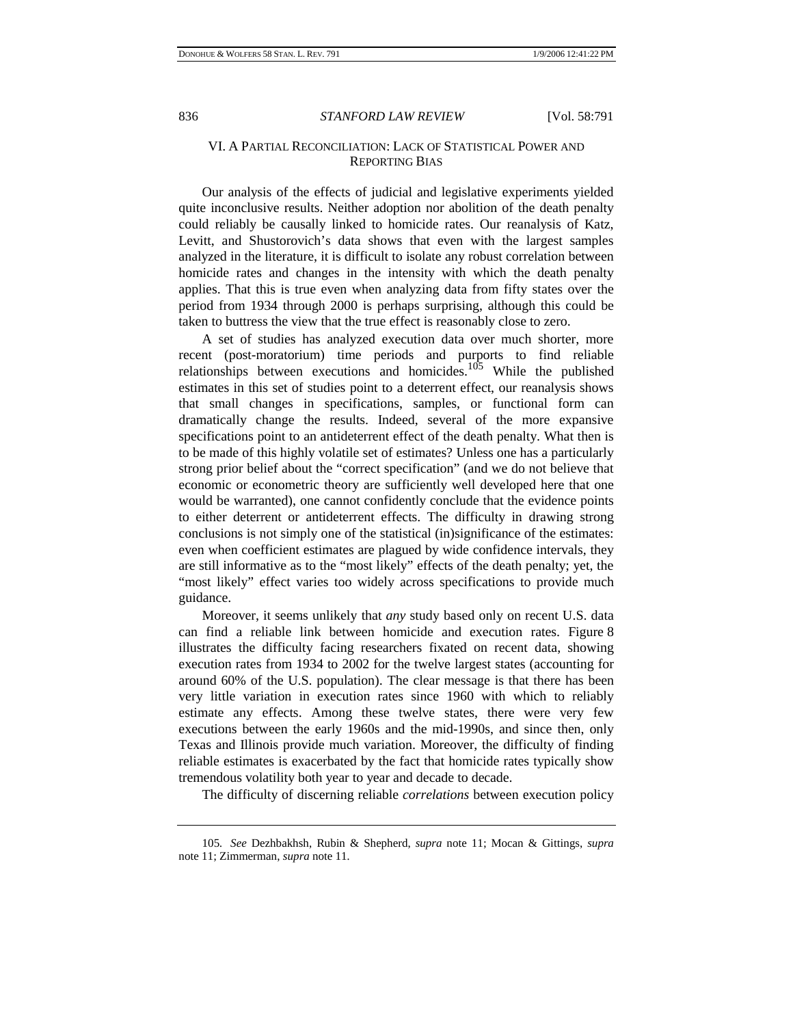### VI. A PARTIAL RECONCILIATION: LACK OF STATISTICAL POWER AND REPORTING BIAS

Our analysis of the effects of judicial and legislative experiments yielded quite inconclusive results. Neither adoption nor abolition of the death penalty could reliably be causally linked to homicide rates. Our reanalysis of Katz, Levitt, and Shustorovich's data shows that even with the largest samples analyzed in the literature, it is difficult to isolate any robust correlation between homicide rates and changes in the intensity with which the death penalty applies. That this is true even when analyzing data from fifty states over the period from 1934 through 2000 is perhaps surprising, although this could be taken to buttress the view that the true effect is reasonably close to zero.

A set of studies has analyzed execution data over much shorter, more recent (post-moratorium) time periods and purports to find reliable relationships between executions and homicides.<sup>105</sup> While the published estimates in this set of studies point to a deterrent effect, our reanalysis shows that small changes in specifications, samples, or functional form can dramatically change the results. Indeed, several of the more expansive specifications point to an antideterrent effect of the death penalty. What then is to be made of this highly volatile set of estimates? Unless one has a particularly strong prior belief about the "correct specification" (and we do not believe that economic or econometric theory are sufficiently well developed here that one would be warranted), one cannot confidently conclude that the evidence points to either deterrent or antideterrent effects. The difficulty in drawing strong conclusions is not simply one of the statistical (in)significance of the estimates: even when coefficient estimates are plagued by wide confidence intervals, they are still informative as to the "most likely" effects of the death penalty; yet, the "most likely" effect varies too widely across specifications to provide much guidance.

Moreover, it seems unlikely that *any* study based only on recent U.S. data can find a reliable link between homicide and execution rates. Figure 8 illustrates the difficulty facing researchers fixated on recent data, showing execution rates from 1934 to 2002 for the twelve largest states (accounting for around 60% of the U.S. population). The clear message is that there has been very little variation in execution rates since 1960 with which to reliably estimate any effects. Among these twelve states, there were very few executions between the early 1960s and the mid-1990s, and since then, only Texas and Illinois provide much variation. Moreover, the difficulty of finding reliable estimates is exacerbated by the fact that homicide rates typically show tremendous volatility both year to year and decade to decade.

The difficulty of discerning reliable *correlations* between execution policy

<sup>105</sup>*. See* Dezhbakhsh, Rubin & Shepherd, *supra* note 11; Mocan & Gittings, *supra*  note 11; Zimmerman, *supra* note 11*.*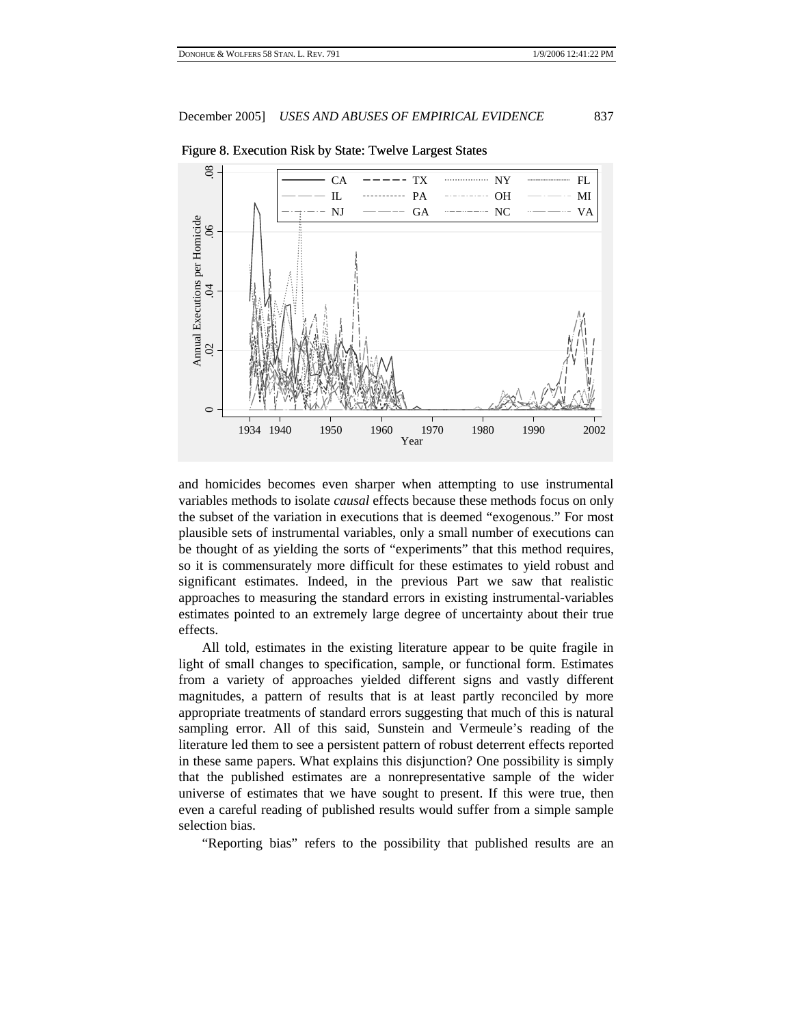

Figure 8. Execution Risk by State: Twelve Largest States

and homicides becomes even sharper when attempting to use instrumental variables methods to isolate *causal* effects because these methods focus on only the subset of the variation in executions that is deemed "exogenous." For most plausible sets of instrumental variables, only a small number of executions can be thought of as yielding the sorts of "experiments" that this method requires, so it is commensurately more difficult for these estimates to yield robust and significant estimates. Indeed, in the previous Part we saw that realistic approaches to measuring the standard errors in existing instrumental-variables estimates pointed to an extremely large degree of uncertainty about their true effects.

All told, estimates in the existing literature appear to be quite fragile in light of small changes to specification, sample, or functional form. Estimates from a variety of approaches yielded different signs and vastly different magnitudes, a pattern of results that is at least partly reconciled by more appropriate treatments of standard errors suggesting that much of this is natural sampling error. All of this said, Sunstein and Vermeule's reading of the literature led them to see a persistent pattern of robust deterrent effects reported in these same papers. What explains this disjunction? One possibility is simply that the published estimates are a nonrepresentative sample of the wider universe of estimates that we have sought to present. If this were true, then even a careful reading of published results would suffer from a simple sample selection bias.

"Reporting bias" refers to the possibility that published results are an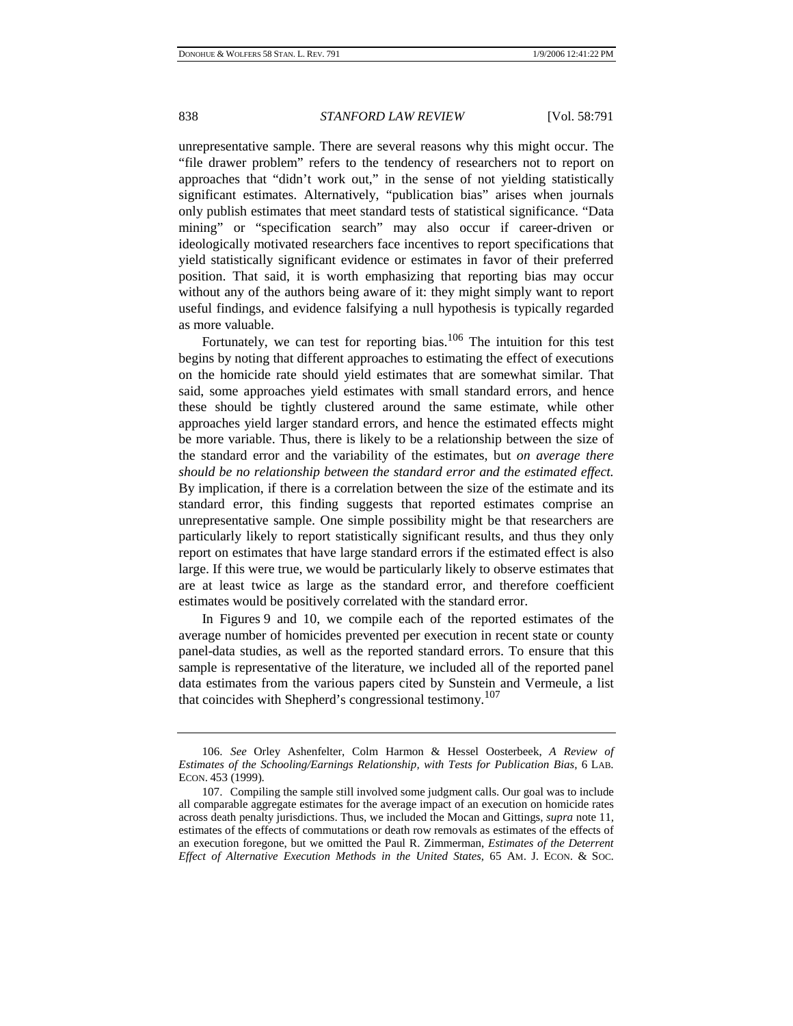unrepresentative sample. There are several reasons why this might occur. The "file drawer problem" refers to the tendency of researchers not to report on approaches that "didn't work out," in the sense of not yielding statistically significant estimates. Alternatively, "publication bias" arises when journals only publish estimates that meet standard tests of statistical significance. "Data mining" or "specification search" may also occur if career-driven or ideologically motivated researchers face incentives to report specifications that yield statistically significant evidence or estimates in favor of their preferred position. That said, it is worth emphasizing that reporting bias may occur without any of the authors being aware of it: they might simply want to report useful findings, and evidence falsifying a null hypothesis is typically regarded as more valuable.

Fortunately, we can test for reporting bias.<sup>106</sup> The intuition for this test begins by noting that different approaches to estimating the effect of executions on the homicide rate should yield estimates that are somewhat similar. That said, some approaches yield estimates with small standard errors, and hence these should be tightly clustered around the same estimate, while other approaches yield larger standard errors, and hence the estimated effects might be more variable. Thus, there is likely to be a relationship between the size of the standard error and the variability of the estimates, but *on average there should be no relationship between the standard error and the estimated effect.* By implication, if there is a correlation between the size of the estimate and its standard error, this finding suggests that reported estimates comprise an unrepresentative sample. One simple possibility might be that researchers are particularly likely to report statistically significant results, and thus they only report on estimates that have large standard errors if the estimated effect is also large. If this were true, we would be particularly likely to observe estimates that are at least twice as large as the standard error, and therefore coefficient estimates would be positively correlated with the standard error.

In Figures 9 and 10, we compile each of the reported estimates of the average number of homicides prevented per execution in recent state or county panel-data studies, as well as the reported standard errors. To ensure that this sample is representative of the literature, we included all of the reported panel data estimates from the various papers cited by Sunstein and Vermeule, a list that coincides with Shepherd's congressional testimony.<sup>107</sup>

<sup>106.</sup> *See* Orley Ashenfelter, Colm Harmon & Hessel Oosterbeek, *A Review of Estimates of the Schooling/Earnings Relationship, with Tests for Publication Bias*, 6 LAB. ECON. 453 (1999).

<sup>107.</sup> Compiling the sample still involved some judgment calls. Our goal was to include all comparable aggregate estimates for the average impact of an execution on homicide rates across death penalty jurisdictions. Thus, we included the Mocan and Gittings, *supra* note 11, estimates of the effects of commutations or death row removals as estimates of the effects of an execution foregone, but we omitted the Paul R. Zimmerman, *Estimates of the Deterrent Effect of Alternative Execution Methods in the United States*, 65 AM. J. ECON. & SOC.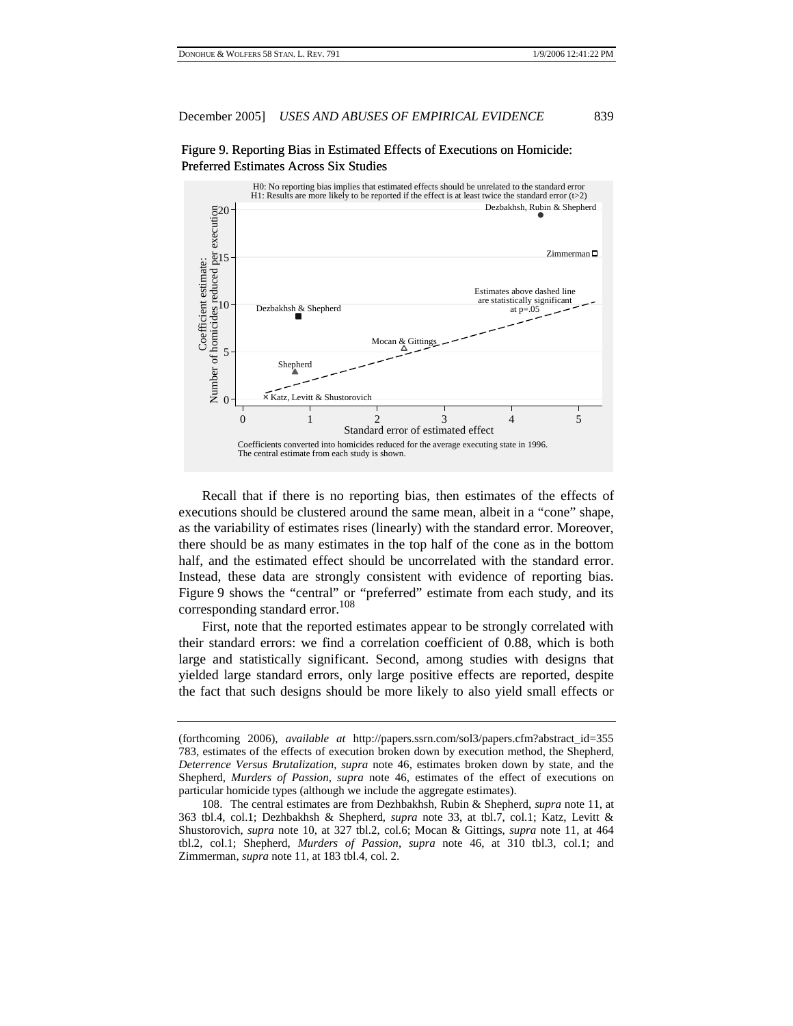



Recall that if there is no reporting bias, then estimates of the effects of executions should be clustered around the same mean, albeit in a "cone" shape, as the variability of estimates rises (linearly) with the standard error. Moreover, there should be as many estimates in the top half of the cone as in the bottom half, and the estimated effect should be uncorrelated with the standard error. Instead, these data are strongly consistent with evidence of reporting bias. Figure 9 shows the "central" or "preferred" estimate from each study, and its corresponding standard error.<sup>108</sup>

First, note that the reported estimates appear to be strongly correlated with their standard errors: we find a correlation coefficient of 0.88, which is both large and statistically significant. Second, among studies with designs that yielded large standard errors, only large positive effects are reported, despite the fact that such designs should be more likely to also yield small effects or

<sup>(</sup>forthcoming 2006), *available at* http://papers.ssrn.com/sol3/papers.cfm?abstract\_id=355 783, estimates of the effects of execution broken down by execution method, the Shepherd, *Deterrence Versus Brutalization*, *supra* note 46, estimates broken down by state, and the Shepherd, *Murders of Passion*, *supra* note 46, estimates of the effect of executions on particular homicide types (although we include the aggregate estimates).

<sup>108.</sup> The central estimates are from Dezhbakhsh, Rubin & Shepherd, *supra* note 11, at 363 tbl.4, col.1; Dezhbakhsh & Shepherd, *supra* note 33, at tbl.7, col.1; Katz, Levitt & Shustorovich, *supra* note 10, at 327 tbl.2, col.6; Mocan & Gittings, *supra* note 11, at 464 tbl.2, col.1; Shepherd, *Murders of Passion*, *supra* note 46, at 310 tbl.3, col.1; and Zimmerman, *supra* note 11, at 183 tbl.4, col. 2.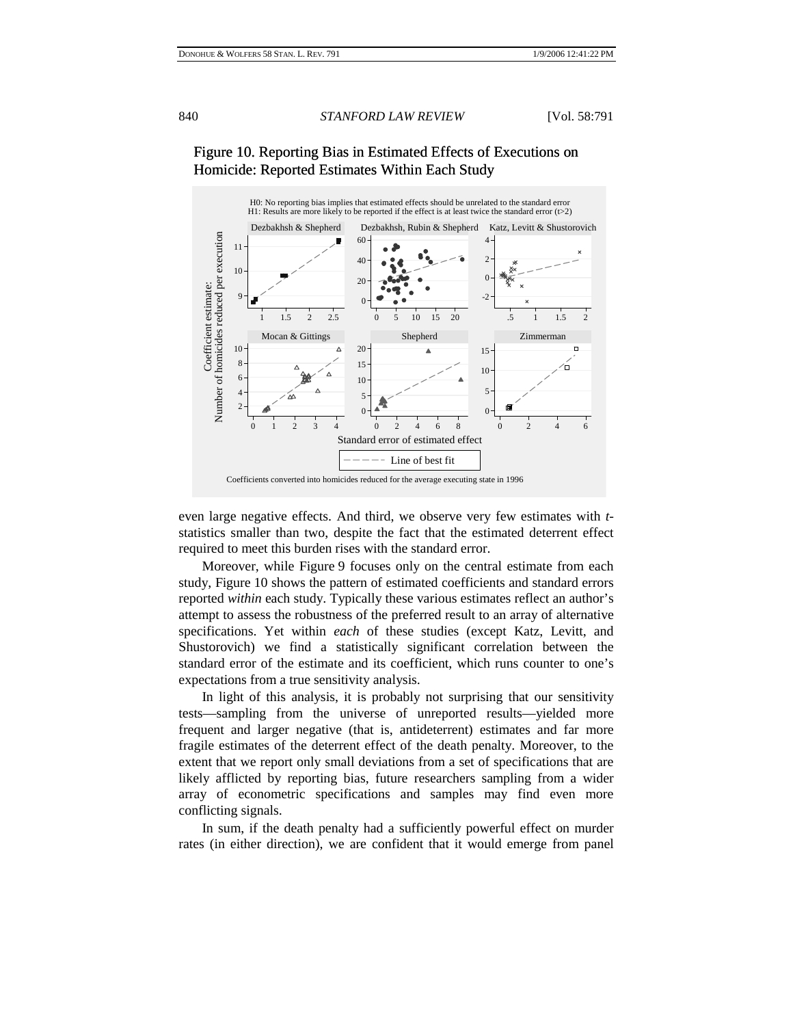

# Figure 10. Reporting Bias in Estimated Effects of Executions on Homicide: Reported Estimates Within Each Study

even large negative effects. And third, we observe very few estimates with *t*statistics smaller than two, despite the fact that the estimated deterrent effect required to meet this burden rises with the standard error.

Moreover, while Figure 9 focuses only on the central estimate from each study, Figure 10 shows the pattern of estimated coefficients and standard errors reported *within* each study. Typically these various estimates reflect an author's attempt to assess the robustness of the preferred result to an array of alternative specifications. Yet within *each* of these studies (except Katz, Levitt, and Shustorovich) we find a statistically significant correlation between the standard error of the estimate and its coefficient, which runs counter to one's expectations from a true sensitivity analysis.

In light of this analysis, it is probably not surprising that our sensitivity tests—sampling from the universe of unreported results—yielded more frequent and larger negative (that is, antideterrent) estimates and far more fragile estimates of the deterrent effect of the death penalty. Moreover, to the extent that we report only small deviations from a set of specifications that are likely afflicted by reporting bias, future researchers sampling from a wider array of econometric specifications and samples may find even more conflicting signals.

In sum, if the death penalty had a sufficiently powerful effect on murder rates (in either direction), we are confident that it would emerge from panel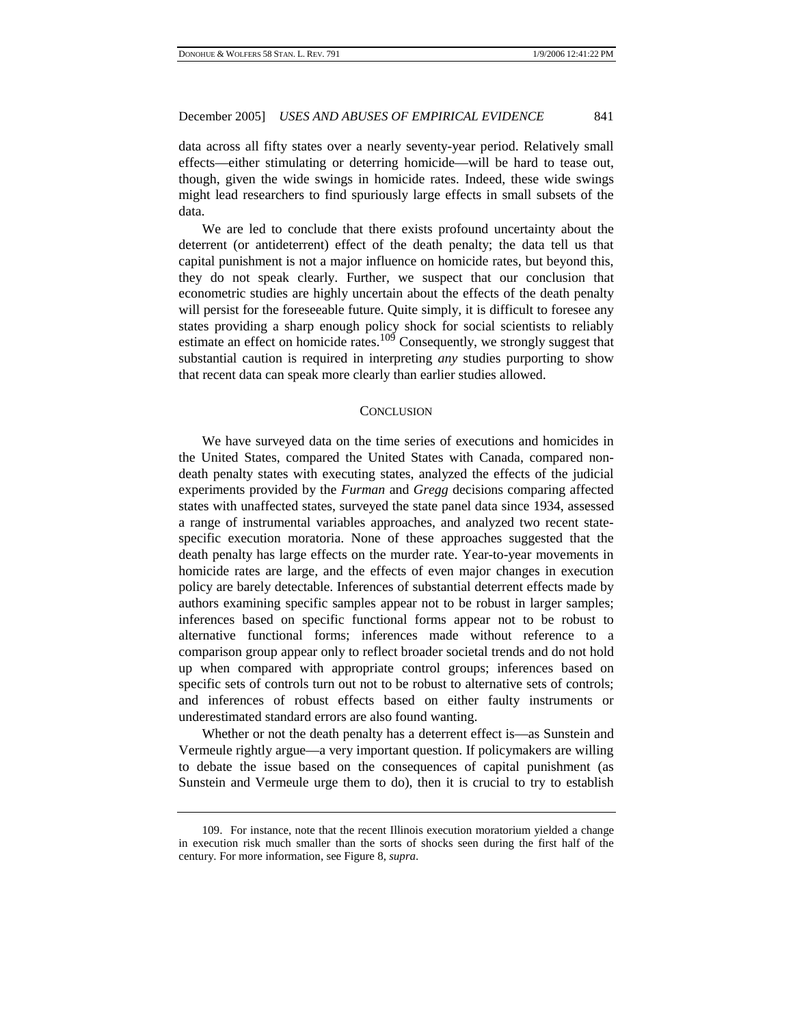data across all fifty states over a nearly seventy-year period. Relatively small effects—either stimulating or deterring homicide—will be hard to tease out, though, given the wide swings in homicide rates. Indeed, these wide swings might lead researchers to find spuriously large effects in small subsets of the data.

We are led to conclude that there exists profound uncertainty about the deterrent (or antideterrent) effect of the death penalty; the data tell us that capital punishment is not a major influence on homicide rates, but beyond this, they do not speak clearly. Further, we suspect that our conclusion that econometric studies are highly uncertain about the effects of the death penalty will persist for the foreseeable future. Quite simply, it is difficult to foresee any states providing a sharp enough policy shock for social scientists to reliably estimate an effect on homicide rates.<sup>109</sup> Consequently, we strongly suggest that substantial caution is required in interpreting *any* studies purporting to show that recent data can speak more clearly than earlier studies allowed.

#### **CONCLUSION**

We have surveyed data on the time series of executions and homicides in the United States, compared the United States with Canada, compared nondeath penalty states with executing states, analyzed the effects of the judicial experiments provided by the *Furman* and *Gregg* decisions comparing affected states with unaffected states, surveyed the state panel data since 1934, assessed a range of instrumental variables approaches, and analyzed two recent statespecific execution moratoria. None of these approaches suggested that the death penalty has large effects on the murder rate. Year-to-year movements in homicide rates are large, and the effects of even major changes in execution policy are barely detectable. Inferences of substantial deterrent effects made by authors examining specific samples appear not to be robust in larger samples; inferences based on specific functional forms appear not to be robust to alternative functional forms; inferences made without reference to a comparison group appear only to reflect broader societal trends and do not hold up when compared with appropriate control groups; inferences based on specific sets of controls turn out not to be robust to alternative sets of controls; and inferences of robust effects based on either faulty instruments or underestimated standard errors are also found wanting.

Whether or not the death penalty has a deterrent effect is—as Sunstein and Vermeule rightly argue—a very important question. If policymakers are willing to debate the issue based on the consequences of capital punishment (as Sunstein and Vermeule urge them to do), then it is crucial to try to establish

<sup>109.</sup> For instance, note that the recent Illinois execution moratorium yielded a change in execution risk much smaller than the sorts of shocks seen during the first half of the century. For more information, see Figure 8, *supra*.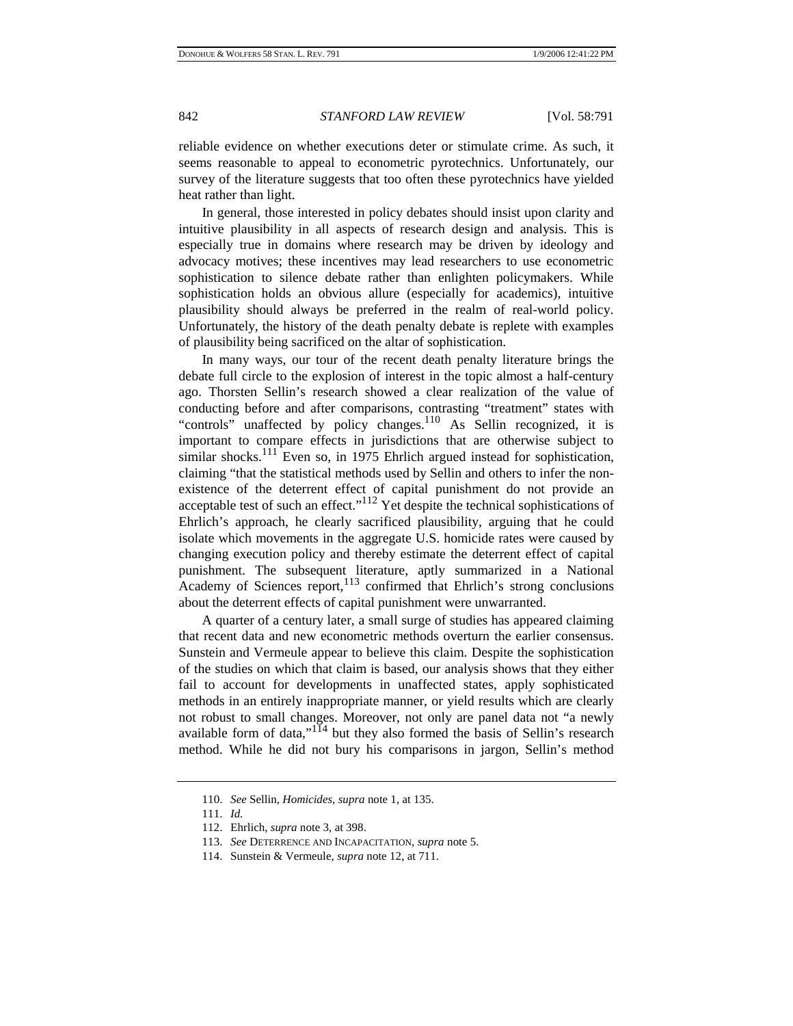reliable evidence on whether executions deter or stimulate crime. As such, it seems reasonable to appeal to econometric pyrotechnics. Unfortunately, our survey of the literature suggests that too often these pyrotechnics have yielded heat rather than light.

In general, those interested in policy debates should insist upon clarity and intuitive plausibility in all aspects of research design and analysis. This is especially true in domains where research may be driven by ideology and advocacy motives; these incentives may lead researchers to use econometric sophistication to silence debate rather than enlighten policymakers. While sophistication holds an obvious allure (especially for academics), intuitive plausibility should always be preferred in the realm of real-world policy. Unfortunately, the history of the death penalty debate is replete with examples of plausibility being sacrificed on the altar of sophistication.

In many ways, our tour of the recent death penalty literature brings the debate full circle to the explosion of interest in the topic almost a half-century ago. Thorsten Sellin's research showed a clear realization of the value of conducting before and after comparisons, contrasting "treatment" states with "controls" unaffected by policy changes.<sup>110</sup> As Sellin recognized, it is important to compare effects in jurisdictions that are otherwise subject to similar shocks.<sup>111</sup> Even so, in 1975 Ehrlich argued instead for sophistication, claiming "that the statistical methods used by Sellin and others to infer the nonexistence of the deterrent effect of capital punishment do not provide an acceptable test of such an effect." $^{112}$  Yet despite the technical sophistications of Ehrlich's approach, he clearly sacrificed plausibility, arguing that he could isolate which movements in the aggregate U.S. homicide rates were caused by changing execution policy and thereby estimate the deterrent effect of capital punishment. The subsequent literature, aptly summarized in a National Academy of Sciences report, $113$  confirmed that Ehrlich's strong conclusions about the deterrent effects of capital punishment were unwarranted.

A quarter of a century later, a small surge of studies has appeared claiming that recent data and new econometric methods overturn the earlier consensus. Sunstein and Vermeule appear to believe this claim. Despite the sophistication of the studies on which that claim is based, our analysis shows that they either fail to account for developments in unaffected states, apply sophisticated methods in an entirely inappropriate manner, or yield results which are clearly not robust to small changes. Moreover, not only are panel data not "a newly available form of data," $114$  but they also formed the basis of Sellin's research method. While he did not bury his comparisons in jargon, Sellin's method

<sup>110.</sup> *See* Sellin, *Homicides*, *supra* note 1, at 135.

<sup>111.</sup> *Id.*

<sup>112.</sup> Ehrlich, *supra* note 3, at 398.

<sup>113.</sup> *See* DETERRENCE AND INCAPACITATION, *supra* note 5.

<sup>114.</sup> Sunstein & Vermeule, *supra* note 12, at 711.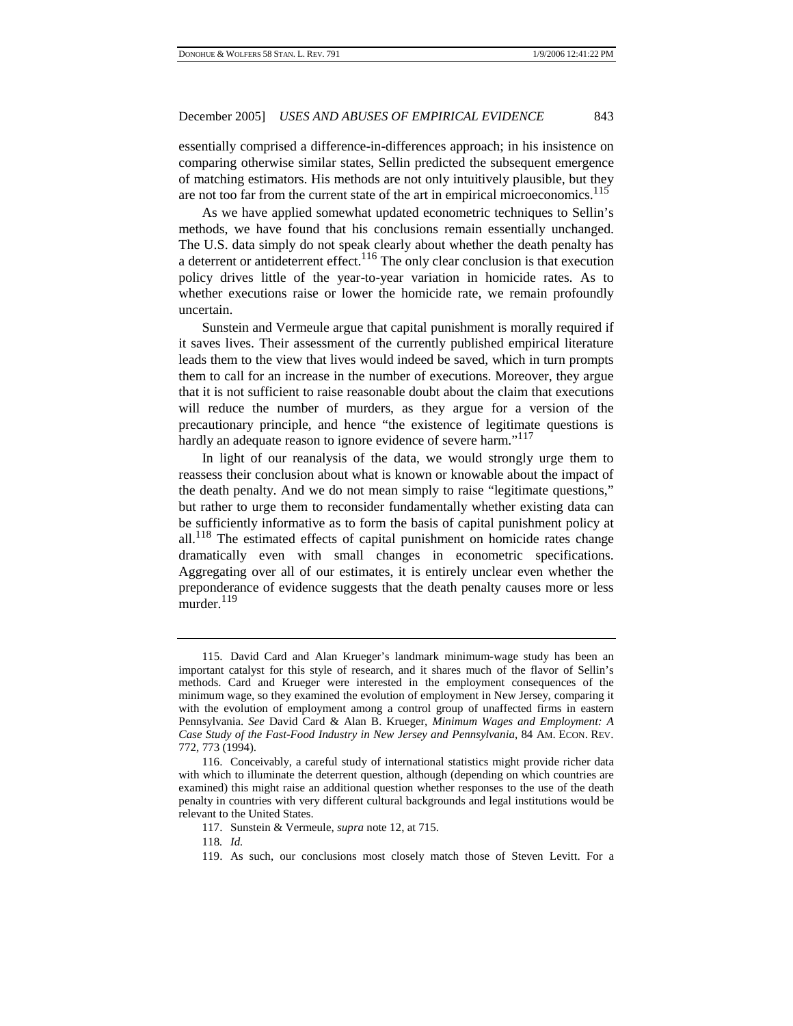essentially comprised a difference-in-differences approach; in his insistence on comparing otherwise similar states, Sellin predicted the subsequent emergence of matching estimators. His methods are not only intuitively plausible, but they are not too far from the current state of the art in empirical microeconomics.<sup>115</sup>

As we have applied somewhat updated econometric techniques to Sellin's methods, we have found that his conclusions remain essentially unchanged. The U.S. data simply do not speak clearly about whether the death penalty has a deterrent or antideterrent effect.<sup>116</sup> The only clear conclusion is that execution policy drives little of the year-to-year variation in homicide rates. As to whether executions raise or lower the homicide rate, we remain profoundly uncertain.

Sunstein and Vermeule argue that capital punishment is morally required if it saves lives. Their assessment of the currently published empirical literature leads them to the view that lives would indeed be saved, which in turn prompts them to call for an increase in the number of executions. Moreover, they argue that it is not sufficient to raise reasonable doubt about the claim that executions will reduce the number of murders, as they argue for a version of the precautionary principle, and hence "the existence of legitimate questions is hardly an adequate reason to ignore evidence of severe harm."<sup>117</sup>

In light of our reanalysis of the data, we would strongly urge them to reassess their conclusion about what is known or knowable about the impact of the death penalty. And we do not mean simply to raise "legitimate questions," but rather to urge them to reconsider fundamentally whether existing data can be sufficiently informative as to form the basis of capital punishment policy at all.<sup>118</sup> The estimated effects of capital punishment on homicide rates change dramatically even with small changes in econometric specifications. Aggregating over all of our estimates, it is entirely unclear even whether the preponderance of evidence suggests that the death penalty causes more or less murder. $^{119}$ 

118*. Id.*

<sup>115.</sup> David Card and Alan Krueger's landmark minimum-wage study has been an important catalyst for this style of research, and it shares much of the flavor of Sellin's methods. Card and Krueger were interested in the employment consequences of the minimum wage, so they examined the evolution of employment in New Jersey, comparing it with the evolution of employment among a control group of unaffected firms in eastern Pennsylvania. *See* David Card & Alan B. Krueger, *Minimum Wages and Employment: A Case Study of the Fast-Food Industry in New Jersey and Pennsylvania*, 84 AM. ECON. REV. 772, 773 (1994).

<sup>116.</sup> Conceivably, a careful study of international statistics might provide richer data with which to illuminate the deterrent question, although (depending on which countries are examined) this might raise an additional question whether responses to the use of the death penalty in countries with very different cultural backgrounds and legal institutions would be relevant to the United States.

<sup>117.</sup> Sunstein & Vermeule, *supra* note 12, at 715.

<sup>119.</sup> As such, our conclusions most closely match those of Steven Levitt. For a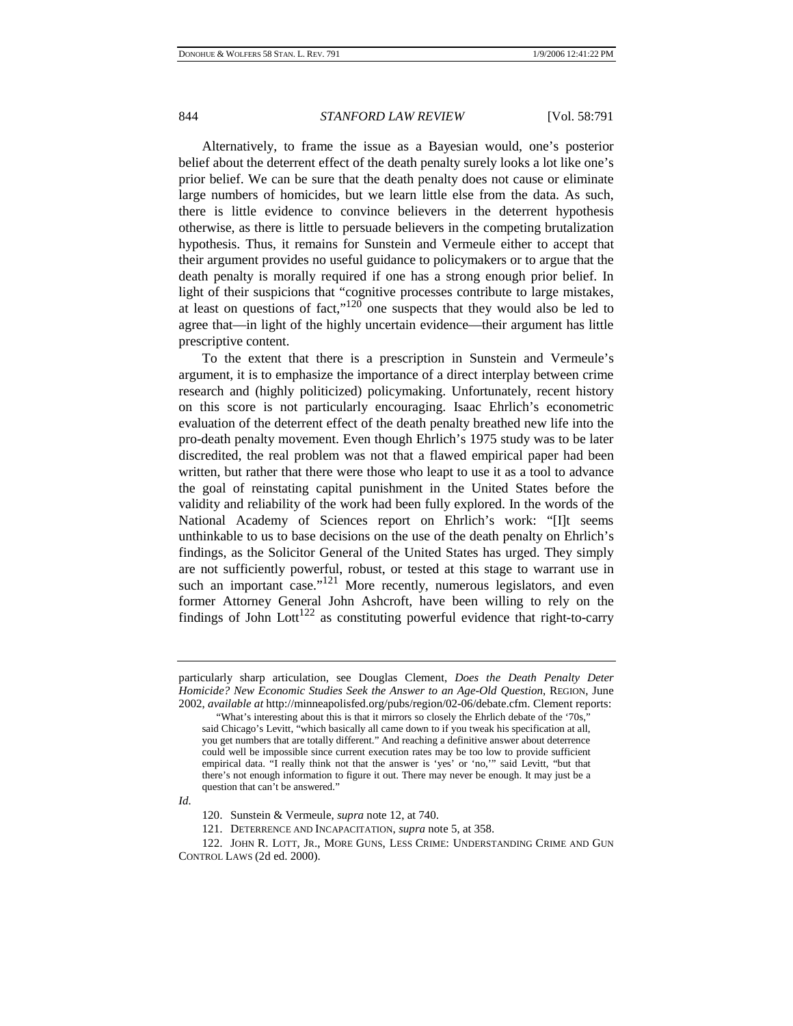Alternatively, to frame the issue as a Bayesian would, one's posterior belief about the deterrent effect of the death penalty surely looks a lot like one's prior belief. We can be sure that the death penalty does not cause or eliminate large numbers of homicides, but we learn little else from the data. As such, there is little evidence to convince believers in the deterrent hypothesis otherwise, as there is little to persuade believers in the competing brutalization hypothesis. Thus, it remains for Sunstein and Vermeule either to accept that their argument provides no useful guidance to policymakers or to argue that the death penalty is morally required if one has a strong enough prior belief. In light of their suspicions that "cognitive processes contribute to large mistakes, at least on questions of fact," $120$  one suspects that they would also be led to agree that—in light of the highly uncertain evidence—their argument has little prescriptive content.

To the extent that there is a prescription in Sunstein and Vermeule's argument, it is to emphasize the importance of a direct interplay between crime research and (highly politicized) policymaking. Unfortunately, recent history on this score is not particularly encouraging. Isaac Ehrlich's econometric evaluation of the deterrent effect of the death penalty breathed new life into the pro-death penalty movement. Even though Ehrlich's 1975 study was to be later discredited, the real problem was not that a flawed empirical paper had been written, but rather that there were those who leapt to use it as a tool to advance the goal of reinstating capital punishment in the United States before the validity and reliability of the work had been fully explored. In the words of the National Academy of Sciences report on Ehrlich's work: "[I]t seems unthinkable to us to base decisions on the use of the death penalty on Ehrlich's findings, as the Solicitor General of the United States has urged. They simply are not sufficiently powerful, robust, or tested at this stage to warrant use in such an important case." $121$  More recently, numerous legislators, and even former Attorney General John Ashcroft, have been willing to rely on the findings of John Lott<sup>122</sup> as constituting powerful evidence that right-to-carry

*Id.* 

121. DETERRENCE AND INCAPACITATION, *supra* note 5, at 358.

particularly sharp articulation, see Douglas Clement, *Does the Death Penalty Deter Homicide? New Economic Studies Seek the Answer to an Age-Old Question*, REGION, June 2002, *available at* http://minneapolisfed.org/pubs/region/02-06/debate.cfm. Clement reports:

 <sup>&</sup>quot;What's interesting about this is that it mirrors so closely the Ehrlich debate of the '70s," said Chicago's Levitt, "which basically all came down to if you tweak his specification at all, you get numbers that are totally different." And reaching a definitive answer about deterrence could well be impossible since current execution rates may be too low to provide sufficient empirical data. "I really think not that the answer is 'yes' or 'no,'" said Levitt, "but that there's not enough information to figure it out. There may never be enough. It may just be a question that can't be answered."

<sup>120.</sup> Sunstein & Vermeule, *supra* note 12, at 740.

<sup>122.</sup> JOHN R. LOTT, JR., MORE GUNS, LESS CRIME: UNDERSTANDING CRIME AND GUN CONTROL LAWS (2d ed. 2000).